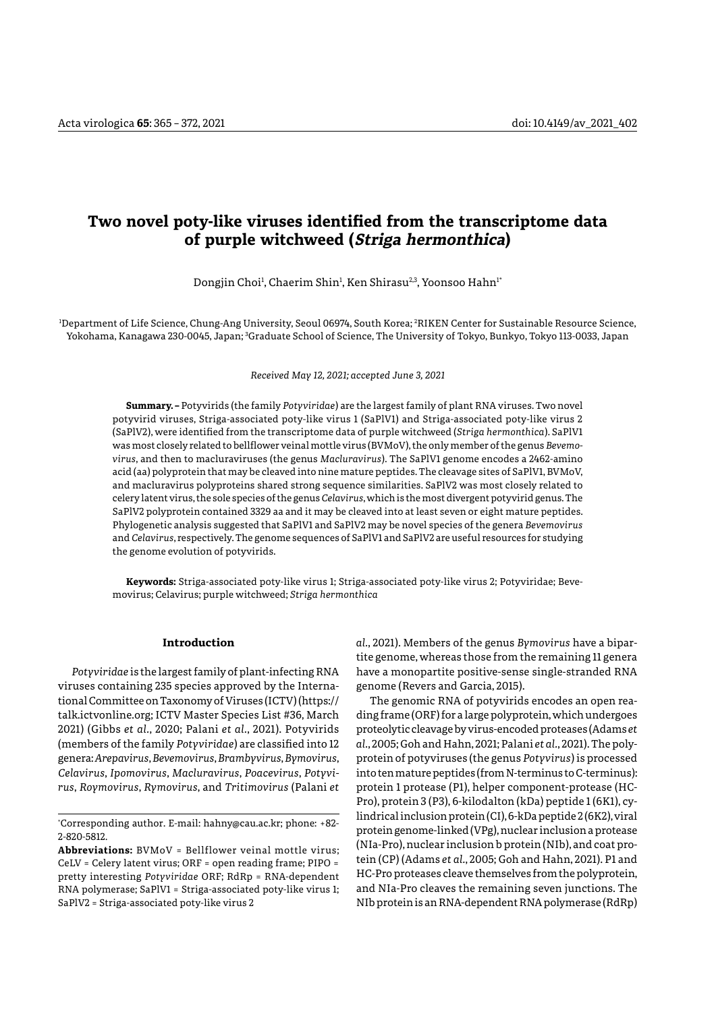# **Two novel poty-like viruses identified from the transcriptome data of purple witchweed (Striga hermonthica)**

Dongjin Choi<sup>1</sup>, Chaerim Shin<sup>1</sup>, Ken Shirasu<sup>2,3</sup>, Yoonsoo Hahn<sup>1</sup>'

1 Department of Life Science, Chung-Ang University, Seoul 06974, South Korea; 2 RIKEN Center for Sustainable Resource Science, Yokohama, Kanagawa 230-0045, Japan; <sup>3</sup>Graduate School of Science, The University of Tokyo, Bunkyo, Tokyo 113-0033, Japan

*Received May 12, 2021; accepted June 3, 2021*

**Summary. –** Potyvirids (the family *Potyviridae*) are the largest family of plant RNA viruses. Two novel potyvirid viruses, Striga-associated poty-like virus 1 (SaPlV1) and Striga-associated poty-like virus 2 (SaPlV2), were identified from the transcriptome data of purple witchweed (*Striga hermonthica*). SaPlV1 was most closely related to bellflower veinal mottle virus (BVMoV), the only member of the genus *Bevemovirus*, and then to macluraviruses (the genus *Macluravirus*). The SaPlV1 genome encodes a 2462-amino acid (aa) polyprotein that may be cleaved into nine mature peptides. The cleavage sites of SaPlV1, BVMoV, and macluravirus polyproteins shared strong sequence similarities. SaPlV2 was most closely related to celery latent virus, the sole species of the genus *Celavirus*, which is the most divergent potyvirid genus. The SaPlV2 polyprotein contained 3329 aa and it may be cleaved into at least seven or eight mature peptides. Phylogenetic analysis suggested that SaPlV1 and SaPlV2 may be novel species of the genera *Bevemovirus* and *Celavirus*, respectively. The genome sequences of SaPlV1 and SaPlV2 are useful resources for studying the genome evolution of potyvirids.

**Keywords:** Striga-associated poty-like virus 1; Striga-associated poty-like virus 2; Potyviridae; Bevemovirus; Celavirus; purple witchweed; *Striga hermonthica*

### **Introduction**

*Potyviridae* is the largest family of plant-infecting RNA viruses containing 235 species approved by the International Committee on Taxonomy of Viruses (ICTV) (https:// talk.ictvonline.org; ICTV Master Species List #36, March 2021) (Gibbs *et al.*, 2020; Palani *et al.*, 2021). Potyvirids (members of the family *Potyviridae*) are classified into 12 genera: *Arepavirus*, *Bevemovirus*, *Brambyvirus*, *Bymovirus*, *Celavirus*, *Ipomovirus*, *Macluravirus*, *Poacevirus*, *Potyvirus*, *Roymovirus*, *Rymovirus*, and *Tritimovirus* (Palani *et* 

**Abbreviations:** BVMoV = Bellflower veinal mottle virus; CeLV = Celery latent virus; ORF = open reading frame; PIPO = pretty interesting *Potyviridae* ORF; RdRp = RNA-dependent RNA polymerase; SaPlV1 = Striga-associated poty-like virus 1; SaPlV2 = Striga-associated poty-like virus 2

*al.*, 2021). Members of the genus *Bymovirus* have a bipartite genome, whereas those from the remaining 11 genera have a monopartite positive-sense single-stranded RNA genome (Revers and Garcia, 2015).

The genomic RNA of potyvirids encodes an open reading frame (ORF) for a large polyprotein, which undergoes proteolytic cleavage by virus-encoded proteases (Adams *et al.*, 2005; Goh and Hahn, 2021; Palani *et al.*, 2021). The polyprotein of potyviruses (the genus *Potyvirus*) is processed into ten mature peptides (from N-terminus to C-terminus): protein 1 protease (P1), helper component-protease (HC-Pro), protein 3 (P3), 6-kilodalton (kDa) peptide 1 (6K1), cylindrical inclusion protein (CI), 6-kDa peptide 2 (6K2), viral protein genome-linked (VPg), nuclear inclusion a protease (NIa-Pro), nuclear inclusion b protein (NIb), and coat protein (CP) (Adams *et al.*, 2005; Goh and Hahn, 2021). P1 and HC-Pro proteases cleave themselves from the polyprotein, and NIa-Pro cleaves the remaining seven junctions. The NIb protein is an RNA-dependent RNA polymerase (RdRp)

<sup>\*</sup> Corresponding author. E-mail: hahny@cau.ac.kr; phone: +82- 2-820-5812.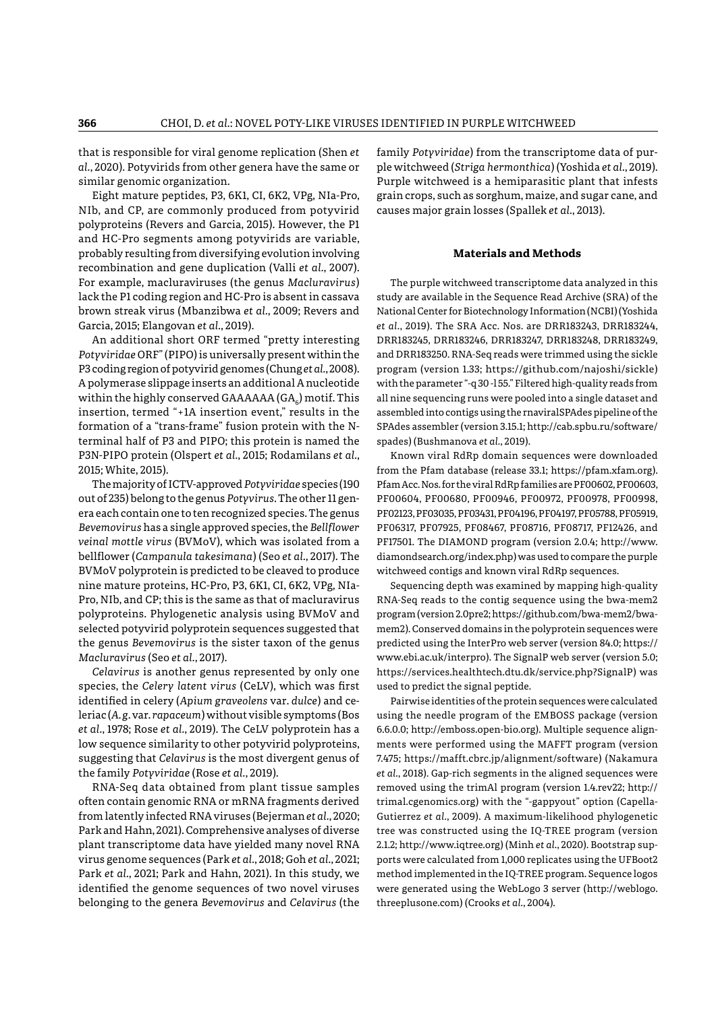that is responsible for viral genome replication (Shen *et al.*, 2020). Potyvirids from other genera have the same or similar genomic organization.

Eight mature peptides, P3, 6K1, CI, 6K2, VPg, NIa-Pro, NIb, and CP, are commonly produced from potyvirid polyproteins (Revers and Garcia, 2015). However, the P1 and HC-Pro segments among potyvirids are variable, probably resulting from diversifying evolution involving recombination and gene duplication (Valli *et al.*, 2007). For example, macluraviruses (the genus *Macluravirus*) lack the P1 coding region and HC-Pro is absent in cassava brown streak virus (Mbanzibwa *et al.*, 2009; Revers and Garcia, 2015; Elangovan *et al.*, 2019).

An additional short ORF termed "pretty interesting *Potyviridae* ORF" (PIPO) is universally present within the P3 coding region of potyvirid genomes (Chung *et al.*, 2008). A polymerase slippage inserts an additional A nucleotide within the highly conserved GAAAAAA ( $GA<sub>c</sub>$ ) motif. This insertion, termed "+1A insertion event," results in the formation of a "trans-frame" fusion protein with the Nterminal half of P3 and PIPO; this protein is named the P3N-PIPO protein (Olspert *et al.*, 2015; Rodamilans *et al.*, 2015; White, 2015).

The majority of ICTV-approved *Potyviridae* species (190 out of 235) belong to the genus *Potyvirus*. The other 11 genera each contain one to ten recognized species. The genus *Bevemovirus* has a single approved species, the *Bellflower veinal mottle virus* (BVMoV), which was isolated from a bellflower (*Campanula takesimana*) (Seo *et al.*, 2017). The BVMoV polyprotein is predicted to be cleaved to produce nine mature proteins, HC-Pro, P3, 6K1, CI, 6K2, VPg, NIa-Pro, NIb, and CP; this is the same as that of macluravirus polyproteins. Phylogenetic analysis using BVMoV and selected potyvirid polyprotein sequences suggested that the genus *Bevemovirus* is the sister taxon of the genus *Macluravirus* (Seo *et al.*, 2017).

*Celavirus* is another genus represented by only one species, the *Celery latent virus* (CeLV), which was first identified in celery (*Apium graveolens* var. *dulce*) and celeriac (*A*. *g*. var. *rapaceum*) without visible symptoms (Bos *et al.*, 1978; Rose *et al.*, 2019). The CeLV polyprotein has a low sequence similarity to other potyvirid polyproteins, suggesting that *Celavirus* is the most divergent genus of the family *Potyviridae* (Rose *et al.*, 2019).

RNA-Seq data obtained from plant tissue samples often contain genomic RNA or mRNA fragments derived from latently infected RNA viruses (Bejerman *et al.*, 2020; Park and Hahn, 2021). Comprehensive analyses of diverse plant transcriptome data have yielded many novel RNA virus genome sequences (Park *et al.*, 2018; Goh *et al.*, 2021; Park *et al.*, 2021; Park and Hahn, 2021). In this study, we identified the genome sequences of two novel viruses belonging to the genera *Bevemovirus* and *Celavirus* (the

family *Potyviridae*) from the transcriptome data of purple witchweed (*Striga hermonthica*) (Yoshida *et al.*, 2019). Purple witchweed is a hemiparasitic plant that infests grain crops, such as sorghum, maize, and sugar cane, and causes major grain losses (Spallek *et al.*, 2013).

## **Materials and Methods**

The purple witchweed transcriptome data analyzed in this study are available in the Sequence Read Archive (SRA) of the National Center for Biotechnology Information (NCBI) (Yoshida *et al.*, 2019). The SRA Acc. Nos. are DRR183243, DRR183244, DRR183245, DRR183246, DRR183247, DRR183248, DRR183249, and DRR183250. RNA-Seq reads were trimmed using the sickle program (version 1.33; https://github.com/najoshi/sickle) with the parameter "-q 30 -l 55." Filtered high-quality reads from all nine sequencing runs were pooled into a single dataset and assembled into contigs using the rnaviralSPAdes pipeline of the SPAdes assembler (version 3.15.1; http://cab.spbu.ru/software/ spades) (Bushmanova *et al.*, 2019).

Known viral RdRp domain sequences were downloaded from the Pfam database (release 33.1; https://pfam.xfam.org). Pfam Acc. Nos. for the viral RdRp families are PF00602, PF00603, PF00604, PF00680, PF00946, PF00972, PF00978, PF00998, PF02123, PF03035, PF03431, PF04196, PF04197, PF05788, PF05919, PF06317, PF07925, PF08467, PF08716, PF08717, PF12426, and PF17501. The DIAMOND program (version 2.0.4; http://www. diamondsearch.org/index.php) was used to compare the purple witchweed contigs and known viral RdRp sequences.

Sequencing depth was examined by mapping high-quality RNA-Seq reads to the contig sequence using the bwa-mem2 program (version 2.0pre2; https://github.com/bwa-mem2/bwamem2). Conserved domains in the polyprotein sequences were predicted using the InterPro web server (version 84.0; https:// www.ebi.ac.uk/interpro). The SignalP web server (version 5.0; https://services.healthtech.dtu.dk/service.php?SignalP) was used to predict the signal peptide.

Pairwise identities of the protein sequences were calculated using the needle program of the EMBOSS package (version 6.6.0.0; http://emboss.open-bio.org). Multiple sequence alignments were performed using the MAFFT program (version 7.475; https://mafft.cbrc.jp/alignment/software) (Nakamura *et al.*, 2018). Gap-rich segments in the aligned sequences were removed using the trimAl program (version 1.4.rev22; http:// trimal.cgenomics.org) with the "-gappyout" option (Capella-Gutierrez *et al.*, 2009). A maximum-likelihood phylogenetic tree was constructed using the IQ-TREE program (version 2.1.2; http://www.iqtree.org) (Minh *et al.*, 2020). Bootstrap supports were calculated from 1,000 replicates using the UFBoot2 method implemented in the IQ-TREE program. Sequence logos were generated using the WebLogo 3 server (http://weblogo. threeplusone.com) (Crooks *et al.*, 2004).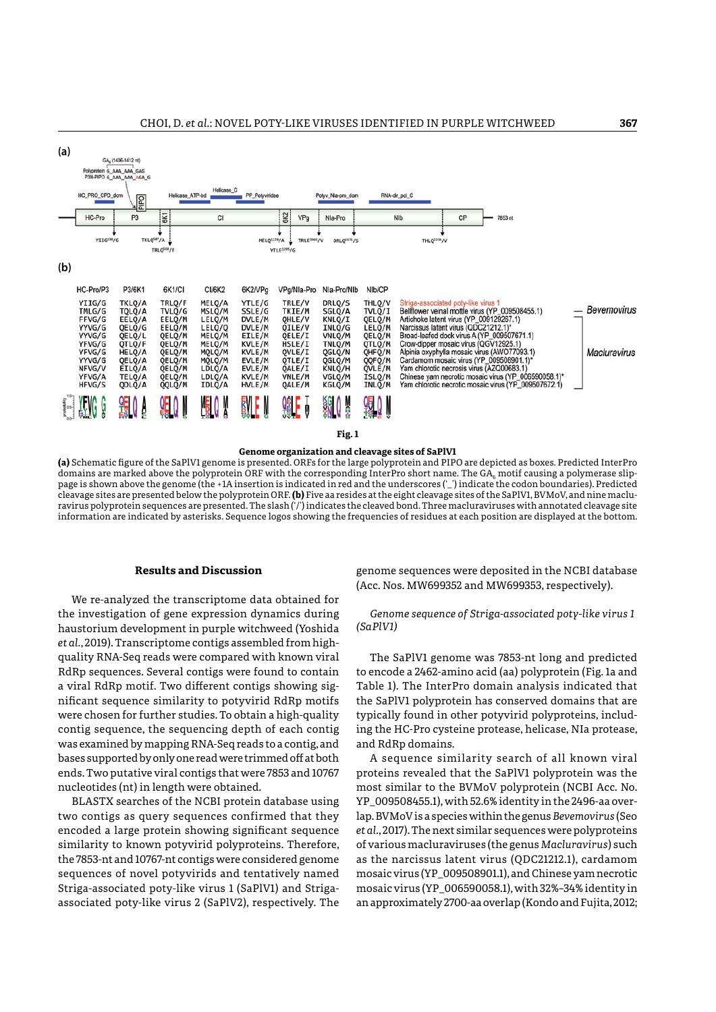| (a)          |                                                                                                            | GA <sub>6</sub> (1406-1412 nt)                                                                             |                                                                                                            |                                                                                                            |                                                                                                            |                                                                                                            |                                                                                                            |                                                                                                            |                                                                                                                                                                                                                                                                                                                                                                                                                                                                                                                        |                                    |
|--------------|------------------------------------------------------------------------------------------------------------|------------------------------------------------------------------------------------------------------------|------------------------------------------------------------------------------------------------------------|------------------------------------------------------------------------------------------------------------|------------------------------------------------------------------------------------------------------------|------------------------------------------------------------------------------------------------------------|------------------------------------------------------------------------------------------------------------|------------------------------------------------------------------------------------------------------------|------------------------------------------------------------------------------------------------------------------------------------------------------------------------------------------------------------------------------------------------------------------------------------------------------------------------------------------------------------------------------------------------------------------------------------------------------------------------------------------------------------------------|------------------------------------|
|              | Polyprotein G AAA AAA GAG                                                                                  | P3N-PIPO G AAA AAA AGA G                                                                                   |                                                                                                            |                                                                                                            |                                                                                                            |                                                                                                            |                                                                                                            |                                                                                                            |                                                                                                                                                                                                                                                                                                                                                                                                                                                                                                                        |                                    |
|              | HC_PRO_CPD_dom                                                                                             | Delld                                                                                                      | Helicase_ATP-bd                                                                                            | Helicase <sub>C</sub>                                                                                      | PP_Potyviridae                                                                                             |                                                                                                            | Potyv_Nla-pro_dom                                                                                          |                                                                                                            | RNA-dir_pol_C                                                                                                                                                                                                                                                                                                                                                                                                                                                                                                          |                                    |
|              | HC-Pro                                                                                                     | P <sub>3</sub>                                                                                             | 6K1                                                                                                        | CI                                                                                                         |                                                                                                            | 6K2<br>VPg                                                                                                 | Nia-Pro                                                                                                    |                                                                                                            | NIb<br>CP<br>7853 nt                                                                                                                                                                                                                                                                                                                                                                                                                                                                                                   |                                    |
|              | YIIG230/G                                                                                                  | TKLQ <sup>587</sup> /A                                                                                     | TRLQ <sup>568</sup> /F                                                                                     |                                                                                                            | MELQ1228/A                                                                                                 | <b>TRLE1466/V</b><br><b>YTLE1295/G</b>                                                                     | DRLQ <sup>1676</sup> /S                                                                                    |                                                                                                            | THLQ2218/V                                                                                                                                                                                                                                                                                                                                                                                                                                                                                                             |                                    |
| (b)          |                                                                                                            |                                                                                                            |                                                                                                            |                                                                                                            |                                                                                                            |                                                                                                            |                                                                                                            |                                                                                                            |                                                                                                                                                                                                                                                                                                                                                                                                                                                                                                                        |                                    |
|              | HC-Pro/P3                                                                                                  | P3/6K1                                                                                                     | 6K1/CI                                                                                                     | CI/6K2                                                                                                     | 6K2/VPg                                                                                                    | VPg/Nla-Pro                                                                                                | Nla-Pro/Nlb                                                                                                | NIb/CP                                                                                                     |                                                                                                                                                                                                                                                                                                                                                                                                                                                                                                                        |                                    |
|              | YIIG/G<br>TMLG/G<br>FFVG/G<br>YYVG/G<br>YYVG/G<br>YFVG/G<br>YFVG/G<br>YYVG/G<br>NFVG/V<br>YFVG/A<br>HFVG/S | TKLO/A<br>TOLO/A<br>EELQ/A<br>QELQ/G<br>QELQ/L<br>QTLQ/F<br>HELQ/A<br>QELQ/A<br>EILQ/A<br>TELQ/A<br>QDLQ/A | TRLQ/F<br>TVLQ/G<br>EELQ/M<br>EELQ/M<br>QELQ/M<br>QELQ/M<br>QELQ/M<br>QELQ/M<br>QELQ/M<br>QELQ/M<br>QQLQ/M | MELO/A<br>MSLQ/M<br>LELQ/M<br>LELQ/Q<br>MELO/M<br>MELQ/M<br>MQLQ/M<br>MQLQ/M<br>LDLQ/A<br>LDLQ/A<br>IDLQ/A | YTLE/G<br>SSLE/G<br>DVLE/M<br>DVLE/M<br>EILE/M<br>KVLE/M<br>KVLE/M<br>EVLE/M<br>EVLE/M<br>KVLE/M<br>HVLE/M | TRLE/V<br>TKIE/M<br>OHLE/V<br>OILE/V<br>OELE/I<br>HSLE/I<br>OVLE/I<br>QTLE/I<br>QALE/I<br>VNLE/M<br>QALE/M | DRLQ/S<br>SGLQ/A<br>KNLQ/I<br>INLQ/G<br>VNLQ/M<br>TNLQ/M<br>QGLQ/N<br>QGLQ/M<br>KNLQ/H<br>VGLO/M<br>KGLQ/M | THLQ/V<br>TVLQ/I<br>QELQ/M<br>LELQ/M<br>QELQ/M<br>QTLQ/M<br>QHFQ/M<br>QQFQ/M<br>OVLE/M<br>ISLO/M<br>INLQ/M | Striga-associated poty-like virus 1<br>Bellflower veinal mottle virus (YP_009508455.1)<br>Artichoke latent virus (YP_009129267.1)<br>Narcissus latent virus (QDC21212.1)*<br>Broad-leafed dock virus A (YP_009507671.1)<br>Crow-dipper mosaic virus (QGV12925.1)<br>Alpinia oxyphylla mosaic virus (AWO77093.1)<br>Cardamom mosaic virus (YP_009508901.1)*<br>Yam chlorotic necrosis virus (AZQ00683.1)<br>Chinese yam necrotic mosaic virus (YP_006590058.1)*<br>Yam chlorotic necrotic mosaic virus (YP 009507672.1) | <b>Bevemovirus</b><br>Macluravirus |
| Anapara<br>A |                                                                                                            |                                                                                                            |                                                                                                            |                                                                                                            |                                                                                                            | Qî                                                                                                         | ŞĢ                                                                                                         |                                                                                                            |                                                                                                                                                                                                                                                                                                                                                                                                                                                                                                                        |                                    |

**Fig. 1**

#### **Genome organization and cleavage sites of SaPlV1**

**(a)** Schematic figure of the SaPlV1 genome is presented. ORFs for the large polyprotein and PIPO are depicted as boxes. Predicted InterPro domains are marked above the polyprotein ORF with the corresponding InterPro short name. The GA<sub>6</sub> motif causing a polymerase slippage is shown above the genome (the +1A insertion is indicated in red and the underscores ('\_') indicate the codon boundaries). Predicted cleavage sites are presented below the polyprotein ORF. **(b)** Five aa resides at the eight cleavage sites of the SaPlV1, BVMoV, and nine macluravirus polyprotein sequences are presented. The slash ('/') indicates the cleaved bond. Three macluraviruses with annotated cleavage site information are indicated by asterisks. Sequence logos showing the frequencies of residues at each position are displayed at the bottom.

## **Results and Discussion**

We re-analyzed the transcriptome data obtained for the investigation of gene expression dynamics during haustorium development in purple witchweed (Yoshida *et al.*, 2019). Transcriptome contigs assembled from highquality RNA-Seq reads were compared with known viral RdRp sequences. Several contigs were found to contain a viral RdRp motif. Two different contigs showing significant sequence similarity to potyvirid RdRp motifs were chosen for further studies. To obtain a high-quality contig sequence, the sequencing depth of each contig was examined by mapping RNA-Seq reads to a contig, and bases supported by only one read were trimmed off at both ends. Two putative viral contigs that were 7853 and 10767 nucleotides (nt) in length were obtained.

BLASTX searches of the NCBI protein database using two contigs as query sequences confirmed that they encoded a large protein showing significant sequence similarity to known potyvirid polyproteins. Therefore, the 7853-nt and 10767-nt contigs were considered genome sequences of novel potyvirids and tentatively named Striga-associated poty-like virus 1 (SaPlV1) and Strigaassociated poty-like virus 2 (SaPlV2), respectively. The genome sequences were deposited in the NCBI database (Acc. Nos. MW699352 and MW699353, respectively).

*Genome sequence of Striga-associated poty-like virus 1 (SaPlV1)*

The SaPlV1 genome was 7853-nt long and predicted to encode a 2462-amino acid (aa) polyprotein (Fig. 1a and Table 1). The InterPro domain analysis indicated that the SaPlV1 polyprotein has conserved domains that are typically found in other potyvirid polyproteins, including the HC-Pro cysteine protease, helicase, NIa protease, and RdRp domains.

A sequence similarity search of all known viral proteins revealed that the SaPlV1 polyprotein was the most similar to the BVMoV polyprotein (NCBI Acc. No. YP\_009508455.1), with 52.6% identity in the 2496-aa overlap. BVMoV is a species within the genus *Bevemovirus* (Seo *et al.*, 2017). The next similar sequences were polyproteins of various macluraviruses (the genus *Macluravirus*) such as the narcissus latent virus (QDC21212.1), cardamom mosaic virus (YP\_009508901.1), and Chinese yam necrotic mosaic virus (YP\_006590058.1), with 32%–34% identity in an approximately 2700-aa overlap (Kondo and Fujita, 2012;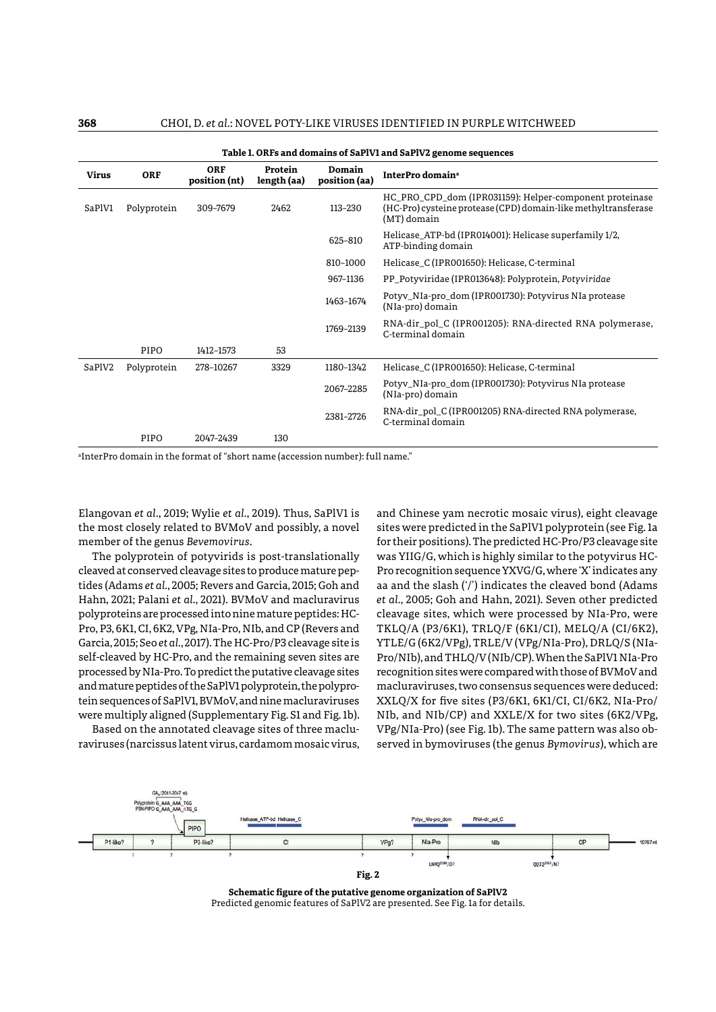|                            | Table I. ORFs and domains of SaPIVI and SaPIV2 genome sequences |                      |                        |           |                                                                                                                                          |  |  |  |
|----------------------------|-----------------------------------------------------------------|----------------------|------------------------|-----------|------------------------------------------------------------------------------------------------------------------------------------------|--|--|--|
| <b>Virus</b><br><b>ORF</b> |                                                                 | ORF<br>position (nt) | Protein<br>length (aa) |           | InterPro domain <sup>a</sup>                                                                                                             |  |  |  |
| SaPlV1<br>Polyprotein      |                                                                 | 309-7679             | 2462                   | 113-230   | HC_PRO_CPD_dom (IPR031159): Helper-component proteinase<br>(HC-Pro) cysteine protease (CPD) domain-like methyltransferase<br>(MT) domain |  |  |  |
|                            |                                                                 |                      |                        | 625-810   | Helicase ATP-bd (IPR014001): Helicase superfamily 1/2,<br>ATP-binding domain                                                             |  |  |  |
|                            |                                                                 |                      |                        | 810-1000  | Helicase C (IPR001650): Helicase, C-terminal                                                                                             |  |  |  |
|                            |                                                                 |                      |                        | 967-1136  | PP Potyviridae (IPR013648): Polyprotein, Potyviridae                                                                                     |  |  |  |
|                            |                                                                 |                      |                        | 1463-1674 | Potyv_NIa-pro_dom (IPR001730): Potyvirus NIa protease<br>(NIa-pro) domain                                                                |  |  |  |
|                            |                                                                 |                      |                        | 1769-2139 | RNA-dir pol C (IPR001205): RNA-directed RNA polymerase,<br>C-terminal domain                                                             |  |  |  |
|                            | PIPO                                                            | 1412-1573            | 53                     |           |                                                                                                                                          |  |  |  |
| SaPlV2                     | Polyprotein                                                     | 278-10267            | 3329                   | 1180-1342 | Helicase_C (IPR001650): Helicase, C-terminal                                                                                             |  |  |  |
|                            |                                                                 |                      |                        | 2067-2285 | Potyv_NIa-pro_dom (IPR001730): Potyvirus NIa protease<br>(NIa-pro) domain                                                                |  |  |  |
|                            |                                                                 |                      |                        | 2381-2726 | RNA-dir_pol_C (IPR001205) RNA-directed RNA polymerase,<br>C-terminal domain                                                              |  |  |  |
|                            | PIPO                                                            | 2047-2439            | 130                    |           |                                                                                                                                          |  |  |  |

**Table 1. ORFs and domains of SaPlV1 and SaPlV2 genome sequences**

a InterPro domain in the format of "short name (accession number): full name."

Elangovan *et al.*, 2019; Wylie *et al.*, 2019). Thus, SaPlV1 is the most closely related to BVMoV and possibly, a novel member of the genus *Bevemovirus*.

The polyprotein of potyvirids is post-translationally cleaved at conserved cleavage sites to produce mature peptides (Adams *et al.*, 2005; Revers and Garcia, 2015; Goh and Hahn, 2021; Palani *et al.*, 2021). BVMoV and macluravirus polyproteins are processed into nine mature peptides: HC-Pro, P3, 6K1, CI, 6K2, VPg, NIa-Pro, NIb, and CP (Revers and Garcia, 2015; Seo *et al.*, 2017). The HC-Pro/P3 cleavage site is self-cleaved by HC-Pro, and the remaining seven sites are processed by NIa-Pro. To predict the putative cleavage sites and mature peptides of the SaPlV1 polyprotein, the polyprotein sequences of SaPlV1, BVMoV, and nine macluraviruses were multiply aligned (Supplementary Fig. S1 and Fig. 1b).

Based on the annotated cleavage sites of three macluraviruses (narcissus latent virus, cardamom mosaic virus, and Chinese yam necrotic mosaic virus), eight cleavage sites were predicted in the SaPlV1 polyprotein (see Fig. 1a for their positions). The predicted HC-Pro/P3 cleavage site was YIIG/G, which is highly similar to the potyvirus HC-Pro recognition sequence YXVG/G, where 'X' indicates any aa and the slash ('/') indicates the cleaved bond (Adams *et al.*, 2005; Goh and Hahn, 2021). Seven other predicted cleavage sites, which were processed by NIa-Pro, were TKLQ/A (P3/6K1), TRLQ/F (6K1/CI), MELQ/A (CI/6K2), YTLE/G (6K2/VPg), TRLE/V (VPg/NIa-Pro), DRLQ/S (NIa-Pro/NIb), and THLQ/V (NIb/CP). When the SaPlV1 NIa-Pro recognition sites were compared with those of BVMoV and macluraviruses, two consensus sequences were deduced: XXLQ/X for five sites (P3/6K1, 6K1/CI, CI/6K2, NIa-Pro/ NIb, and NIb/CP) and XXLE/X for two sites (6K2/VPg, VPg/NIa-Pro) (see Fig. 1b). The same pattern was also observed in bymoviruses (the genus *Bymovirus*), which are



**Schematic figure of the putative genome organization of SaPlV2** Predicted genomic features of SaPlV2 are presented. See Fig. 1a for details.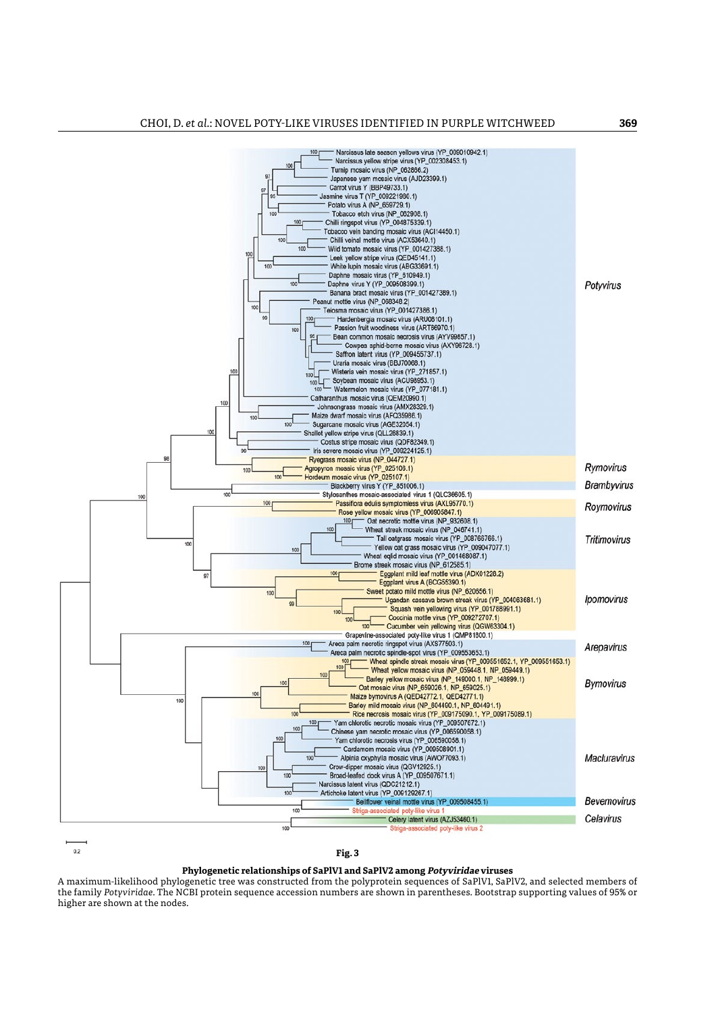

 $0.2$ 

**Fig. 3**

## **Phylogenetic relationships of SaPlV1 and SaPlV2 among Potyviridae viruses**

A maximum-likelihood phylogenetic tree was constructed from the polyprotein sequences of SaPlV1, SaPlV2, and selected members of the family *Potyviridae*. The NCBI protein sequence accession numbers are shown in parentheses. Bootstrap supporting values of 95% or higher are shown at the nodes.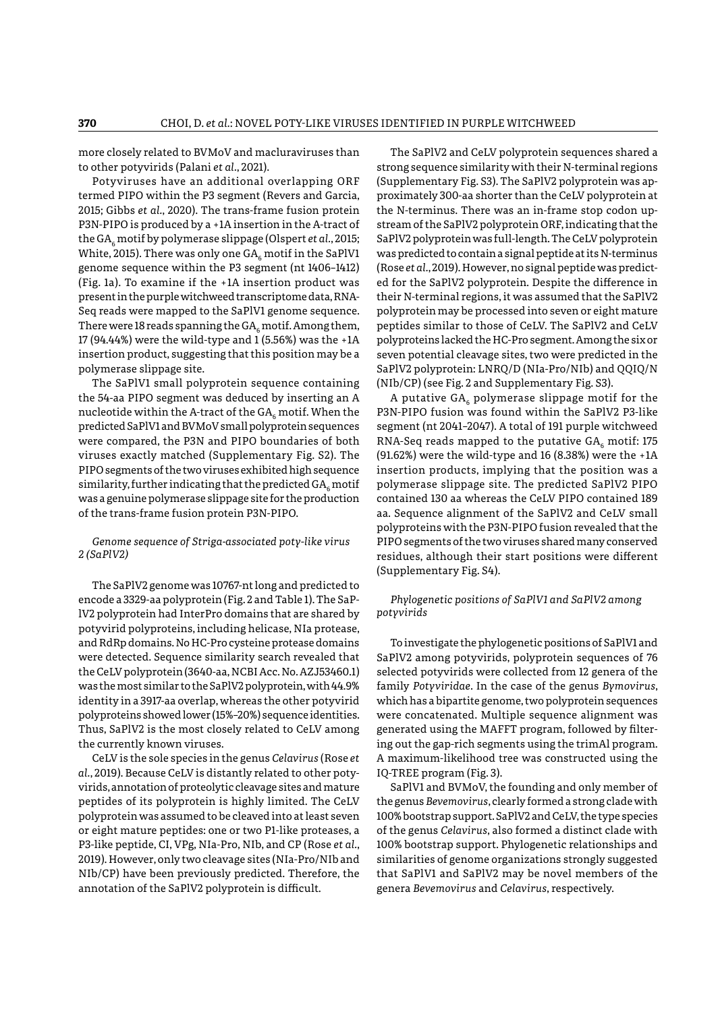more closely related to BVMoV and macluraviruses than to other potyvirids (Palani *et al.*, 2021).

Potyviruses have an additional overlapping ORF termed PIPO within the P3 segment (Revers and Garcia, 2015; Gibbs *et al.*, 2020). The trans-frame fusion protein P3N-PIPO is produced by a +1A insertion in the A-tract of the GA<sub>c</sub> motif by polymerase slippage (Olspert *et al.*, 2015; White, 2015). There was only one  $GA<sub>e</sub>$  motif in the SaPlV1 genome sequence within the P3 segment (nt 1406–1412) (Fig. 1a). To examine if the +1A insertion product was present in the purple witchweed transcriptome data, RNA-Seq reads were mapped to the SaPlV1 genome sequence. There were 18 reads spanning the  $GA<sub>c</sub>$  motif. Among them, 17 (94.44%) were the wild-type and 1 (5.56%) was the +1A insertion product, suggesting that this position may be a polymerase slippage site.

The SaPlV1 small polyprotein sequence containing the 54-aa PIPO segment was deduced by inserting an A nucleotide within the A-tract of the  $GA_{\epsilon}$  motif. When the predicted SaPlV1 and BVMoV small polyprotein sequences were compared, the P3N and PIPO boundaries of both viruses exactly matched (Supplementary Fig. S2). The PIPO segments of the two viruses exhibited high sequence similarity, further indicating that the predicted  $GA_{\epsilon}$  motif was a genuine polymerase slippage site for the production of the trans-frame fusion protein P3N-PIPO.

*Genome sequence of Striga-associated poty-like virus 2 (SaPlV2)*

The SaPlV2 genome was 10767-nt long and predicted to encode a 3329-aa polyprotein (Fig. 2 and Table 1). The SaPlV2 polyprotein had InterPro domains that are shared by potyvirid polyproteins, including helicase, NIa protease, and RdRp domains. No HC-Pro cysteine protease domains were detected. Sequence similarity search revealed that the CeLV polyprotein (3640-aa, NCBI Acc. No. AZJ53460.1) was the most similar to the SaPlV2 polyprotein, with 44.9% identity in a 3917-aa overlap, whereas the other potyvirid polyproteins showed lower (15%–20%) sequence identities. Thus, SaPlV2 is the most closely related to CeLV among the currently known viruses.

CeLV is the sole species in the genus *Celavirus* (Rose *et al.*, 2019). Because CeLV is distantly related to other potyvirids, annotation of proteolytic cleavage sites and mature peptides of its polyprotein is highly limited. The CeLV polyprotein was assumed to be cleaved into at least seven or eight mature peptides: one or two P1-like proteases, a P3-like peptide, CI, VPg, NIa-Pro, NIb, and CP (Rose *et al.*, 2019). However, only two cleavage sites (NIa-Pro/NIb and NIb/CP) have been previously predicted. Therefore, the annotation of the SaPlV2 polyprotein is difficult.

The SaPlV2 and CeLV polyprotein sequences shared a strong sequence similarity with their N-terminal regions (Supplementary Fig. S3). The SaPlV2 polyprotein was approximately 300-aa shorter than the CeLV polyprotein at the N-terminus. There was an in-frame stop codon upstream of the SaPlV2 polyprotein ORF, indicating that the SaPlV2 polyprotein was full-length. The CeLV polyprotein was predicted to contain a signal peptide at its N-terminus (Rose *et al.*, 2019). However, no signal peptide was predicted for the SaPlV2 polyprotein. Despite the difference in their N-terminal regions, it was assumed that the SaPlV2 polyprotein may be processed into seven or eight mature peptides similar to those of CeLV. The SaPlV2 and CeLV polyproteins lacked the HC-Pro segment. Among the six or seven potential cleavage sites, two were predicted in the SaPlV2 polyprotein: LNRQ/D (NIa-Pro/NIb) and QQIQ/N (NIb/CP) (see Fig. 2 and Supplementary Fig. S3).

A putative  $GA_6$  polymerase slippage motif for the P3N-PIPO fusion was found within the SaPlV2 P3-like segment (nt 2041–2047). A total of 191 purple witchweed RNA-Seq reads mapped to the putative  $GA<sub>e</sub>$  motif: 175 (91.62%) were the wild-type and 16 (8.38%) were the +1A insertion products, implying that the position was a polymerase slippage site. The predicted SaPlV2 PIPO contained 130 aa whereas the CeLV PIPO contained 189 aa. Sequence alignment of the SaPlV2 and CeLV small polyproteins with the P3N-PIPO fusion revealed that the PIPO segments of the two viruses shared many conserved residues, although their start positions were different (Supplementary Fig. S4).

## *Phylogenetic positions of SaPlV1 and SaPlV2 among potyvirids*

To investigate the phylogenetic positions of SaPlV1 and SaPlV2 among potyvirids, polyprotein sequences of 76 selected potyvirids were collected from 12 genera of the family *Potyviridae*. In the case of the genus *Bymovirus*, which has a bipartite genome, two polyprotein sequences were concatenated. Multiple sequence alignment was generated using the MAFFT program, followed by filtering out the gap-rich segments using the trimAl program. A maximum-likelihood tree was constructed using the IQ-TREE program (Fig. 3).

SaPlV1 and BVMoV, the founding and only member of the genus *Bevemovirus*, clearly formed a strong clade with 100% bootstrap support. SaPlV2 and CeLV, the type species of the genus *Celavirus*, also formed a distinct clade with 100% bootstrap support. Phylogenetic relationships and similarities of genome organizations strongly suggested that SaPlV1 and SaPlV2 may be novel members of the genera *Bevemovirus* and *Celavirus*, respectively.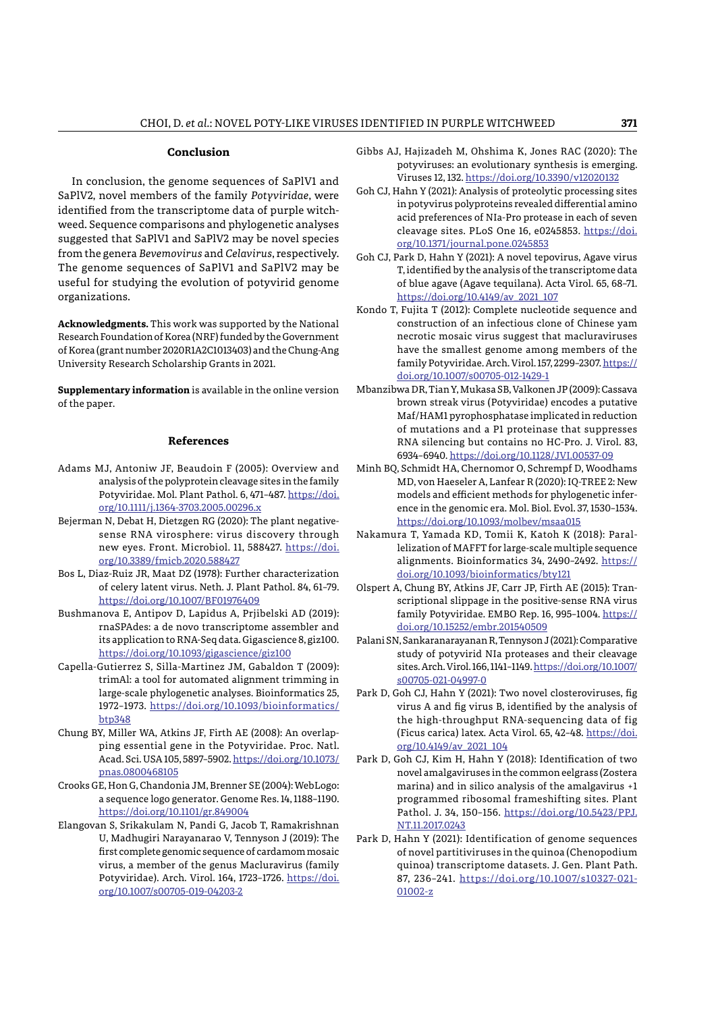## **Conclusion**

In conclusion, the genome sequences of SaPlV1 and SaPlV2, novel members of the family *Potyviridae*, were identified from the transcriptome data of purple witchweed. Sequence comparisons and phylogenetic analyses suggested that SaPlV1 and SaPlV2 may be novel species from the genera *Bevemovirus* and *Celavirus*, respectively. The genome sequences of SaPlV1 and SaPlV2 may be useful for studying the evolution of potyvirid genome organizations.

**Acknowledgments.** This work was supported by the National Research Foundation of Korea (NRF) funded by the Government of Korea (grant number 2020R1A2C1013403) and the Chung-Ang University Research Scholarship Grants in 2021.

**Supplementary information** is available in the online version of the paper.

## **References**

- Adams MJ, Antoniw JF, Beaudoin F (2005): Overview and analysis of the polyprotein cleavage sites in the family Potyviridae. Mol. Plant Pathol. 6, 471–487. [https://doi.](https://doi.org/10.1111/j.1364-3703.2005.00296.x) [org/10.1111/j.1364-3703.2005.00296.x](https://doi.org/10.1111/j.1364-3703.2005.00296.x)
- Bejerman N, Debat H, Dietzgen RG (2020): The plant negativesense RNA virosphere: virus discovery through new eyes. Front. Microbiol. 11, 588427. [https://doi.](https://doi.org/10.3389/fmicb.2020.588427) [org/10.3389/fmicb.2020.588427](https://doi.org/10.3389/fmicb.2020.588427)
- Bos L, Diaz-Ruiz JR, Maat DZ (1978): Further characterization of celery latent virus. Neth. J. Plant Pathol. 84, 61–79. <https://doi.org/10.1007/BF01976409>
- Bushmanova E, Antipov D, Lapidus A, Prjibelski AD (2019): rnaSPAdes: a de novo transcriptome assembler and its application to RNA-Seq data. Gigascience 8, giz100. <https://doi.org/10.1093/gigascience/giz100>
- Capella-Gutierrez S, Silla-Martinez JM, Gabaldon T (2009): trimAl: a tool for automated alignment trimming in large-scale phylogenetic analyses. Bioinformatics 25, 1972–1973. [https://doi.org/10.1093/bioinformatics/](https://doi.org/10.1093/bioinformatics/btp348) [btp348](https://doi.org/10.1093/bioinformatics/btp348)
- Chung BY, Miller WA, Atkins JF, Firth AE (2008): An overlapping essential gene in the Potyviridae. Proc. Natl. Acad. Sci. USA 105, 5897–5902. [https://doi.org/10.1073/](https://doi.org/10.1073/pnas.0800468105) [pnas.0800468105](https://doi.org/10.1073/pnas.0800468105)
- Crooks GE, Hon G, Chandonia JM, Brenner SE (2004): WebLogo: a sequence logo generator. Genome Res. 14, 1188–1190. <https://doi.org/10.1101/gr.849004>
- Elangovan S, Srikakulam N, Pandi G, Jacob T, Ramakrishnan U, Madhugiri Narayanarao V, Tennyson J (2019): The first complete genomic sequence of cardamom mosaic virus, a member of the genus Macluravirus (family Potyviridae). Arch. Virol. 164, 1723–1726. [https://doi.](https://doi.org/10.1007/s00705-019-04203-2) [org/10.1007/s00705-019-04203-2](https://doi.org/10.1007/s00705-019-04203-2)
- Gibbs AJ, Hajizadeh M, Ohshima K, Jones RAC (2020): The potyviruses: an evolutionary synthesis is emerging. Viruses 12, 132.<https://doi.org/10.3390/v12020132>
- Goh CJ, Hahn Y (2021): Analysis of proteolytic processing sites in potyvirus polyproteins revealed differential amino acid preferences of NIa-Pro protease in each of seven cleavage sites. PLoS One 16, e0245853. [https://doi.](https://doi.org/10.1371/journal.pone.0245853) [org/10.1371/journal.pone.0245853](https://doi.org/10.1371/journal.pone.0245853)
- Goh CJ, Park D, Hahn Y (2021): A novel tepovirus, Agave virus T, identified by the analysis of the transcriptome data of blue agave (Agave tequilana). Acta Virol. 65, 68–71. [https://doi.org/10.4149/av\\_2021\\_107](https://doi.org/10.4149/av_2021_107)
- Kondo T, Fujita T (2012): Complete nucleotide sequence and construction of an infectious clone of Chinese yam necrotic mosaic virus suggest that macluraviruses have the smallest genome among members of the family Potyviridae. Arch. Virol. 157, 2299–2307. [https://](https://doi.org/10.1007/s00705-012-1429-1) [doi.org/10.1007/s00705-012-1429-1](https://doi.org/10.1007/s00705-012-1429-1)
- Mbanzibwa DR, Tian Y, Mukasa SB, Valkonen JP (2009): Cassava brown streak virus (Potyviridae) encodes a putative Maf/HAM1 pyrophosphatase implicated in reduction of mutations and a P1 proteinase that suppresses RNA silencing but contains no HC-Pro. J. Virol. 83, 6934–6940. <https://doi.org/10.1128/JVI.00537-09>
- Minh BQ, Schmidt HA, Chernomor O, Schrempf D, Woodhams MD, von Haeseler A, Lanfear R (2020): IQ-TREE 2: New models and efficient methods for phylogenetic inference in the genomic era. Mol. Biol. Evol. 37, 1530–1534. <https://doi.org/10.1093/molbev/msaa015>
- Nakamura T, Yamada KD, Tomii K, Katoh K (2018): Parallelization of MAFFT for large-scale multiple sequence alignments. Bioinformatics 34, 2490–2492. [https://](https://doi.org/10.1093/bioinformatics/bty121) [doi.org/10.1093/bioinformatics/bty121](https://doi.org/10.1093/bioinformatics/bty121)
- Olspert A, Chung BY, Atkins JF, Carr JP, Firth AE (2015): Transcriptional slippage in the positive-sense RNA virus family Potyviridae. EMBO Rep. 16, 995–1004. [https://](https://doi.org/10.15252/embr.201540509) [doi.org/10.15252/embr.201540509](https://doi.org/10.15252/embr.201540509)
- Palani SN, Sankaranarayanan R, Tennyson J (2021): Comparative study of potyvirid NIa proteases and their cleavage sites. Arch. Virol. 166, 1141–1149. [https://doi.org/10.1007/](https://doi.org/10.1007/s00705-021-04997-0) [s00705-021-04997-0](https://doi.org/10.1007/s00705-021-04997-0)
- Park D, Goh CJ, Hahn Y (2021): Two novel closteroviruses, fig virus A and fig virus B, identified by the analysis of the high-throughput RNA-sequencing data of fig (Ficus carica) latex. Acta Virol. 65, 42–48. [https://doi.](https://doi.org/10.4149/av_2021_104) [org/10.4149/av\\_2021\\_104](https://doi.org/10.4149/av_2021_104)
- Park D, Goh CJ, Kim H, Hahn Y (2018): Identification of two novel amalgaviruses in the common eelgrass (Zostera marina) and in silico analysis of the amalgavirus +1 programmed ribosomal frameshifting sites. Plant Pathol. J. 34, 150–156. [https://doi.org/10.5423/PPJ.](https://doi.org/10.5423/PPJ.NT.11.2017.0243) [NT.11.2017.0243](https://doi.org/10.5423/PPJ.NT.11.2017.0243)
- Park D, Hahn Y (2021): Identification of genome sequences of novel partitiviruses in the quinoa (Chenopodium quinoa) transcriptome datasets. J. Gen. Plant Path. 87, 236–241. [https://doi.org/10.1007/s10327-021-](https://doi.org/10.1007/s10327-021-01002-z) [01002-z](https://doi.org/10.1007/s10327-021-01002-z)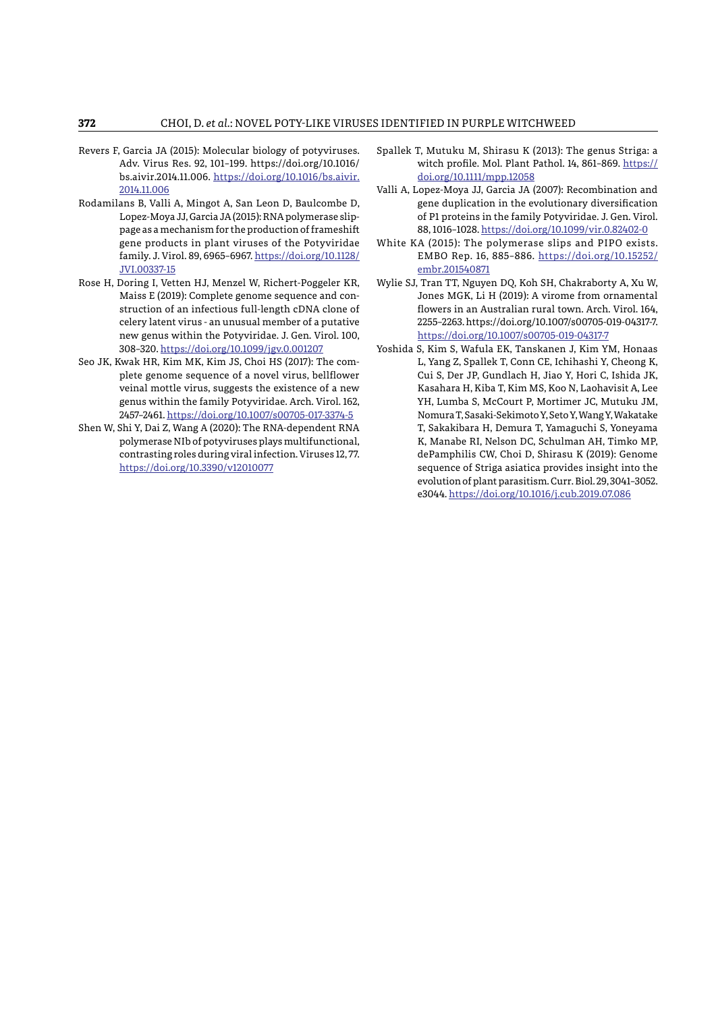- Revers F, Garcia JA (2015): Molecular biology of potyviruses. Adv. Virus Res. 92, 101–199. https://doi.org/10.1016/ bs.aivir.2014.11.006. [https://doi.org/10.1016/bs.aivir.](https://doi.org/10.1016/bs.aivir.2014.11.006) [2014.11.006](https://doi.org/10.1016/bs.aivir.2014.11.006)
- Rodamilans B, Valli A, Mingot A, San Leon D, Baulcombe D, Lopez-Moya JJ, Garcia JA (2015): RNA polymerase slippage as a mechanism for the production of frameshift gene products in plant viruses of the Potyviridae family. J. Virol. 89, 6965–6967. [https://doi.org/10.1128/](https://doi.org/10.1128/JVI.00337-15) [JVI.00337-15](https://doi.org/10.1128/JVI.00337-15)
- Rose H, Doring I, Vetten HJ, Menzel W, Richert-Poggeler KR, Maiss E (2019): Complete genome sequence and construction of an infectious full-length cDNA clone of celery latent virus - an unusual member of a putative new genus within the Potyviridae. J. Gen. Virol. 100, 308–320.<https://doi.org/10.1099/jgv.0.001207>
- Seo JK, Kwak HR, Kim MK, Kim JS, Choi HS (2017): The complete genome sequence of a novel virus, bellflower veinal mottle virus, suggests the existence of a new genus within the family Potyviridae. Arch. Virol. 162, 2457–2461. <https://doi.org/10.1007/s00705-017-3374-5>
- Shen W, Shi Y, Dai Z, Wang A (2020): The RNA-dependent RNA polymerase NIb of potyviruses plays multifunctional, contrasting roles during viral infection. Viruses 12, 77. <https://doi.org/10.3390/v12010077>
- Spallek T, Mutuku M, Shirasu K (2013): The genus Striga: a witch profile. Mol. Plant Pathol. 14, 861-869. [https://](https://doi.org/10.1111/mpp.12058) [doi.org/10.1111/mpp.12058](https://doi.org/10.1111/mpp.12058)
- Valli A, Lopez-Moya JJ, Garcia JA (2007): Recombination and gene duplication in the evolutionary diversification of P1 proteins in the family Potyviridae. J. Gen. Virol. 88, 1016–1028.<https://doi.org/10.1099/vir.0.82402-0>
- White KA (2015): The polymerase slips and PIPO exists. EMBO Rep. 16, 885–886. [https://doi.org/10.15252/](https://doi.org/10.15252/embr.201540871) [embr.201540871](https://doi.org/10.15252/embr.201540871)
- Wylie SJ, Tran TT, Nguyen DQ, Koh SH, Chakraborty A, Xu W, Jones MGK, Li H (2019): A virome from ornamental flowers in an Australian rural town. Arch. Virol. 164, 2255–2263. https://doi.org/10.1007/s00705-019-04317-7. <https://doi.org/10.1007/s00705-019-04317-7>
- Yoshida S, Kim S, Wafula EK, Tanskanen J, Kim YM, Honaas L, Yang Z, Spallek T, Conn CE, Ichihashi Y, Cheong K, Cui S, Der JP, Gundlach H, Jiao Y, Hori C, Ishida JK, Kasahara H, Kiba T, Kim MS, Koo N, Laohavisit A, Lee YH, Lumba S, McCourt P, Mortimer JC, Mutuku JM, Nomura T, Sasaki-Sekimoto Y, Seto Y, Wang Y, Wakatake T, Sakakibara H, Demura T, Yamaguchi S, Yoneyama K, Manabe RI, Nelson DC, Schulman AH, Timko MP, dePamphilis CW, Choi D, Shirasu K (2019): Genome sequence of Striga asiatica provides insight into the evolution of plant parasitism. Curr. Biol. 29, 3041–3052. e3044.<https://doi.org/10.1016/j.cub.2019.07.086>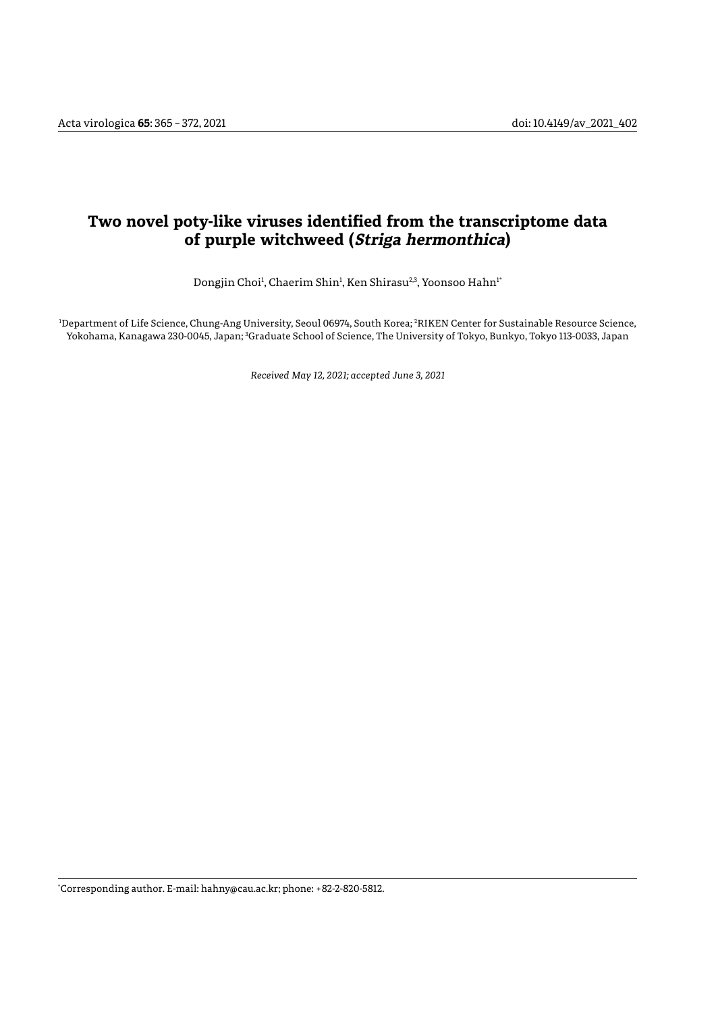# **Two novel poty-like viruses identified from the transcriptome data of purple witchweed (Striga hermonthica)**

Dongjin Choi<sup>1</sup>, Chaerim Shin<sup>1</sup>, Ken Shirasu<sup>2,3</sup>, Yoonsoo Hahn<sup>1</sup>'

1 Department of Life Science, Chung-Ang University, Seoul 06974, South Korea; 2 RIKEN Center for Sustainable Resource Science, Yokohama, Kanagawa 230-0045, Japan; <sup>3</sup>Graduate School of Science, The University of Tokyo, Bunkyo, Tokyo 113-0033, Japan

*Received May 12, 2021; accepted June 3, 2021*

\* Corresponding author. E-mail: hahny@cau.ac.kr; phone: +82-2-820-5812.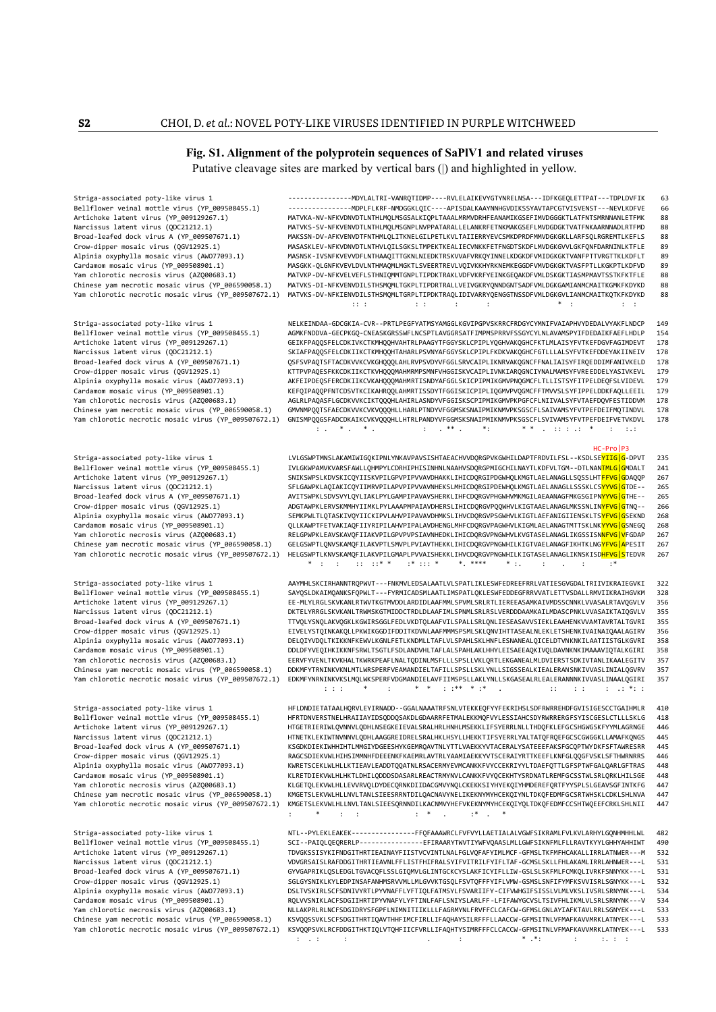## **Fig. S1. Alignment of the polyprotein sequences of SaPlV1 and related viruses** Putative cleavage sites are marked by vertical bars (|) and highlighted in yellow.

Striga-associated poty-like virus 1 ----------------MDYLALTRI-VANRQTIDMP----RVLELAIKEVYGTYNRELNSA---IDFKGEQLETTPAT---TDPLDVFIK 63 Bellflower veinal mottle virus (YP\_009508455.1) ----------------MDPLFLKRF-NMDGGKLQIC----APISDALKAAYNNHGVDIKSSYAVTAPCGTVISVENST---NEVLKDFVE 66 Artichoke latent virus (YP\_009129267.1) MATVKA-NV-NFKVDNVDTLNTHLMQLMSGSALKIQPLTAAALMRMVDRHFEANAMIKGSEFIMVDGGGKTLATFNTSMRNNANLETFMK 88 Narcissus latent virus (QDC21212.1) MATVKS-SV-NFKVENVDTLNTHLMQLMSGNPLNVPPATARALLELANKRFETNKMAKGSEFLMVDGDGKTVATFNKAARNNADLRTFMD 88 Broad-leafed dock virus A (YP\_009507671.1) MAKSSN-DV-AFKVENVDTFNTHMLQLITKNELGILPETLKVLTAIIERRYEVCSMKDPRDFMMVDGKGKLLARFSQLRGREMTLKEFLS 88<br>Crow-dipper mosaic virus (QGV12925.1) MASASKLEV-NFKVDNVDTLNTHVLQILSGKS Crow-dipper mosaic virus (QGV12925.1) MASASKLEV-NFKVDNVDTLNTHVLQILSGKSLTMPEKTKEALIECVNKKFETFNGDTSKDFLMVDGKGVVLGKFQNFDARNINLKTFLE 89<br>Alpinia oxyphylla mosaic virus (AWO77093.1) MASNSK-IVSNFKV Alpinia oxyphylla mosaic virus (AWO77093.1) MASNSK-IVSNFKVEVVDFLNTHAAQITTGKNLNIEDKTRSKVVAFVRKQYINNELKDGKDFVMIDGKGKTVANFPTTVRGTTKLKDFLT<br>Cardamom mosaic virus (YP\_009508901.1) MASGKK-QLGNFKVEVLDVLNTHMAQMLMGKTLSVEERTREVLV MASGKK-QLGNFKVEVLDVLNTHMAQMLMGKTLSVEERTREVLVQIVKKHYRKNEMKEGGDFVMVDGKGKTVASFPTLLKGKPTLKDFVD 89 Yam chlorotic necrosis virus (AZQ00683.1) MATVKP-DV-NFKVELVEFLSTHNIQMMTGNPLTIPDKTRAKLVDFVKRFYEINKGEQAKDFVMLDSKGKTIASMPMAVTSSTKFKTFLE 88 Chinese yam necrotic mosaic virus (YP\_006590058.1) MATVKS-DI-NFKVENVDILSTHSMQMLTGKPLTIPDRTRALLVEIVGKRYQNNDGNTSADFVMLDGKGAMIANMCMAITKGMKFKDYKD 88 Yam chlorotic necrotic mosaic virus (YP\_009507672.1) MATVKS-DV-NFKIENVDILSTHSMQMLTGRPLTIPDKTRAQLIDIVARRYQENGGTNSSDFVMLDGKGVLIANMCMAITKQTKFKDYKD 88 :: : : : : : \* : : :

Striga-associated poty-like virus 1 NELKEINDAA-GDCGKIA-CVR--PRTLPEGFYATMSYAMGGLKGVIPGPVSKRRCFRDGYCYMNIFVAIAPHVYDEDALVYAKFLNDCP 149 Bellflower veinal mottle virus (YP\_009508455.1) AGMKFNDDVA-GECPKGQ-CNEASKGRSSWFLNCSPTLAVGGRSATFIMPMSPRRVFSSGYCYLNLAVAMSPYIFDEDAIKFAEFLHDLP 154 Artichoke latent virus (YP\_009129267.1) GEIKFPAQQSFELCDKIVKCTKMHQQHVAHTRLPAAGYTFGGYSKLCPIPLYQGHVAKQGHCFKTLMLAISYFVTKEFDGVFAGIMDEVT 178 Narcissus latent virus (QDC21212.1) SKIAFPAQQSFELCDKIIKCTKMHQQHTAHARLPSVNYAFGGYSKLCPIPLFKDKVAKQGHCFGTLLLALSYFVTKEFDDEYAKIINEIV 178 OSFSVPAQTSFTACDKVVKCVKGHQQQLAHLRVPSVDYVFGGLSRVCAIPLIKNRVAKQGNCFFNALIAISYFIRQEDDIMFANIVKELD 178 Crow-dipper mosaic virus (QGV12925.1) KTTPVPAQESFKKCDKIIKCTKVHQQQMAHMRMPSMNFVHGGISKVCAIPLIVNKIARQGNCIYNALMAMSYFVREEDDELYASIVKEVL 179 Alpinia oxyphylla mosaic virus (AWO77093.1) AKFEIPDEQSFERCDKIIKCVKAHQQQMAHMRTISNDYAFGGLSKICPIPMIKGMVPNQGMCFLTLLISTSYFITPELDEQFSLVIDEVL 179 Cardamom mosaic virus (YP\_009508901.1) KEFQIPAQQPFNTCDSVTKCIKAHRQQLAHMRTISSDYTFGGISKICPIPLIQGMVPVQGMCFFTMVVSLSYFIPPELDDKFAQLLEEIL 179 Yam chlorotic necrosis virus (AZQ00683.1) AGLRLPAQASFLGCDKVVKCIKTQQQHLAHIRLASNDYVFGGISKSCPIPMIKGMVPKPGFCFLNIIVALSYFVTAEFDQVFESTIDDVM 178 GMVNMPOOTSFAECDKVVKCVKVOOOHLLHARLPTNDYVFGGMSKSNAIPMIKNMVPKSGSCFLSAIVAMSYFVTPEFDEIFMOTINDVL 178 Yam chlorotic necrotic mosaic virus (YP\_009507672.1) GNISMPQQGSFADCDKAIKCVKVQQQHLLHTRLPANDYVFGGMSKSNAIPMIKNMVPKSGSCFLSVIVAMSYFVTPEFDEIFVETVKDVL 178 : . \* . \* . : . \*\* . \*: \* \* . :: : .: \* : :.:

 HC-Pro|P3 Striga-associated poty-like virus 1 LVLGSWPTMNSLAKAMIWIGQKIPNLYNKAVPAVSISHTAEACHVVDQRGPVKGWHILDAPTFRDVILFSL--KSDLSE<mark>YIIG|G</mark>-DPVT 235<br>Bellflower veinal mottle virus (YP\_009508455.1) IVLGKWPA IVLGKWPAMVKVARSFAWLLQHMPYLCDRHIPHISINHNLNAAHVSDQRGPMIGCHILNAYTLKDFVLTGM--DTLNANTMLG|GMDALT 241 Artichoke latent virus (YP\_009129267.1) SNIKSWPSLKDVSKICQYIISKVPILGPVPIPVVAVDHAKKLIHICDQRGIPDGWHQLKMGTLAELANAGLLSQSSLHT<mark>FFVG|G</mark>DAQQP 267 Narcissus latent virus (QDC21212.1) SFLGAWPKLAQIAKICQYIIMRVPILAPVPIPVVAVNHEKSLMHICDQRGIPDEWHQLKMGTLAELANAGLLSSSKLCSYYVG|GTDE-- 265 Broad-leafed dock virus A (YP\_009507671.1) AVITSWPKLSDVSVYLQYLIAKLPYLGAMPIPAVAVSHERKLIHFCDQRGVPHGWHVMKMGILAEAANAGFMKGSGIPN<mark>YYVG|G</mark>THE-- 265<br>Crow-dipper mosaic virus (QGV12925.1) ADGTAWPKLERVSKMMHYIIMKLPYLAAAPM Crow-dipper mosaic virus (QGV12925.1) ADGTAWPKLERVSKMMHYIIMKLPYLAAAPMPAIAVDHERSLIHICDQRGVPQQWHVLKIGTAAELANAGLMKSSNLIN<mark>YFVG|G</mark>TNQ-- 266<br>Alpinia oxyphylla mosaic virus (AWO77093.1) SEMKPWLTLQTASKIVQYIICKIPVLAHV Alpinia oxyphylla mosaic virus (AWO77093.1) SEMKPWLTLQTASKIVQYIICKIPVLAHVPIPAVAVDHMKSLIHVCDQRGVPSGWHVLKIGTLAEFANIGIIENSKLTS<mark>YFVG|G</mark>SEKND 268<br>Cardamom mosaic virus (YP\_009508901.1) QLLKAWPTFETVAKIAQFIIYRIPILAHVPI QLLKAWPTFETVAKIAQFIIYRIPILAHVPIPALAVDHENGLMHFCDQRGVPAGWHVLKIGMLAELANAGTMTTSKLNK<mark>YYVG|G</mark>SNEGQ 268 Yam chlorotic necrosis virus (AZQ00683.1) RELGPWPKLEAVSKAVQFIIAKVPILGPVPVPSIAVNHEDKLIHICDQRGVPNGWHVLKVGTASELANAGLIKGSSISN<mark>NFVG|V</mark>FGDAP 267<br>Chinese yam necrotic mosaic virus (YP 006590058.1) GELGSWPTLONVSKAMOFILAKVPT Chinese yam necrotic mosaic virus (YP\_006590058.1) GELGSWPTLQNVSKAMQFILAKVPTLSMVPLPVIAVTHEKKLIHICDQRGVPNGWHILKIGTVAELANAGFIKHTKLNG<mark>YFVG|A</mark>PESIT 267<br>Yam chlorotic necrotic mosaic virus (YP\_009507672.1) HELGSWPTLKNVSKAMQFILA HELGSWPTLKNVSKAMQFILAKVPILGMAPLPVVAISHEKKLIHVCDQRGVPNGWHILKIGTASELANAGLIKNSKISD<mark>HFVG|S</mark>TEDVR 267<br>\* : : : : : \* \* : : \* \* \*\*\*\* \* :  $\quad \ \ * \quad \ \ : \quad \ \ : \quad \ \ : \quad \ \ : \quad \ \ * \quad \ \ * \quad \ \ * \quad \ \ * \quad \ \ * \quad \ \ * \quad \ \ * \quad \ \ * \quad \ \ * \quad \ \ * \quad \ \ * \quad \ \ * \quad \ \ * \quad \ \ * \quad \ \ * \quad \ \ * \quad \ \ * \quad \ \ * \quad \ \ * \quad \ \ * \quad \ \ * \quad \ \ * \quad \ \ * \quad \ \ * \quad \ \ * \quad \ \ * \quad \$ 

Striga-associated poty-like virus 1 AAYMHLSKCIRHANNTRQPWVT---FNKMVLEDSALAATLVLSPATLIKLESWFEDREEFRRLVATIESGVGDALTRIIVIKRAIEGVKI 322 Bellflower veinal mottle virus (YP\_009508455.1) SAYQSLDKAIMQANKSFQPWLT---FYRMICADSMLAATLIMSPATLQKLESWFEDDEGFRRVVATLETTVSDALLRMVIIKRAIHGVKM 328 Artichoke latent virus (YP\_009129267.1) EE-MLYLRGLSKVKANLRTWVTKGTMVDDLARDIDLAAFMMLSPVMLSRLRTLIEREEASAMKAIVMDSSCNNKLVVASALRTAVOGVLV 356 Narcissus latent virus (QDC21212.1) DKTELYRRGLSKVKANLTRWMSKGTMIDDCTRDLDLAAFIMLSPNMLSRLRSLVERDDDAAMKAILMDASCPNKLVVASAIKTAIQGVLV 355 Broad-leafed dock virus A (YP\_009507671.1) TTVQLYSNQLAKVQGKLKGWIRSGGLFEDLVKDTQLAAFVILSPALLSRLQNLIESEASAVVSIEKLEAAHENKVVAMTAVRTALTGVRI 355 Crow-dipper mosaic virus (QGV12925.1) EIVELYSTQINKAKQLLPKWIKGGDIFDDITKDVNLAAFMMMSPSMLSKLQNVIHTTASEALNLEKLETSHENKIVAINAIQAALAGIRV 356 DELOIYVDOLTKIKKNFKEWVLKGNLFETLKNDMLLTAFLVLSPAHLSKLHNFLESNANEALOICELDTVNKNKILAATIISTGLKGVRI Cardamom mosaic virus (YP\_009508901.1) DDLDFYVEQIHKIKKNFSRWLTSGTLFSDLANDVHLTAFLALSPAHLAKLHHYLEISAEEAQKIVQLDAVNKNKIMAAAVIQTALKGIRI 358 Yam chlorotic necrosis virus (AZQ00683.1) EERVFYVENLTKVKHALTKWRKPEAFLNALTQDINLMSFLLLSPSLLVKLQRTLEKGANEALMLDVIERSTSDKIVTANLIKAALEGITV 357 DDKMEVTRNINKVKNLMTLWRSPERFVEAMANDIELTAFILLSPSLLSKLYNLLSTGSSEALKIEALERANSNKIVVASLINIALOGVRV 357 Yam chlorotic necrotic mosaic virus (YP\_009507672.1) EDKMFYNRNINKVKSLMQLWKSPERFVDGMANDIELAVFIIMSPSLLAKLYNLLSKGASEALRLEALERANNNKIVVASLINAALQGIRI 357 : : : \* : \* \* : :\*\* \* :\* . :: : : : .: \*: :

Striga-associated poty-like virus 1 HFLDNDIETATAALHQRVLEYIRNADD--GGALNAAATRFSNLVTEKKEQFYYFEKRIHSLSDFRWRREHDFGVISIGESCCTGAIHMLR 410 Bellflower veinal mottle virus (YP\_009508455.1) HFRTDNVERSTNELHRAIIAYIDSQDDQSAKDLGDAARRFETMALEKKMQFVYLESSIAHCSDYRWRRERGFSYISCGESLCTLLLSKLG<br>Artichoke latent virus (YP\_009129267.1) HTGETRIERIWLQVNNVLQDHLNSEGKEIEVALSRALHRLHNH HTGETRIERIWLOVNNVLODHLNSEGKEIEVALSRALHRLHNHLMSEKKLIFSYERRLNLLTHDOFKLEFGCSHGWGSKFYYMLAGRNGE 446 Narcissus latent virus (QDC21212.1) HTNETKLEKIWTNVNNVLQDHLAAGGREIDRELSRALHKLHSYLLHEKKTIFSYERRLYALTATQFRQEFGCSCGWGGKLLAMAFKQNGS 445<br>Broad-leafed dock virus A (YP 009507671.1) KSGDKDTFKTWHHTHTIMMGTYDGFFSHYKGFMROAVTNIYTTIVAFK Broad-leafed dock virus A (YP\_009507671.1) KSGDKDIEKIWHHIHTLMMGIYDGEESHYKGEMRQAVTNLYTTLVAEKKYVTACERALYSATEEEFAKSFGCQPTWYDKFSFTAWRESRR 445<br>Crow-dipper mosaic virus (OGV12925.1) RAGCSDIEKVWLHIHSIMMNHFDEEENKFKAE RAGCSDIEKVWLHIHSIMMNHFDEEENKFKAEMRLAVTRLYAAMIAEKKYVTSCERAIYRTTKEEFLKNFGLQQGFVSKLSFTHWRNRRS Alpinia oxyphylla mosaic virus (AWO77093.1) KWRETSCEKLWLHLLKTIEAVLEADDTQQATNLRSACERMYEVMCANKKFVYCCEKRIYYLTDAEFQTTLGFSPTWFGALQARLGFTRAS 448 Cardamom mosaic virus (YP\_009508901.1) KLRETDIEKVWLHLHKTLDHILQDDDSDASARLREACTRMYNVLCANKKFVYQCEKHTYSRDNATLREMFGCSSTWLSRLQRKLHILSGE 448<br>Yam chlorotic necrosis virus (AZQ00683.1) KLGETQLEKVWLHLLEVVRVQLDYDECQRNKDIIDACGMVYNQLCK KLGETQLEKVWLHLLEVVRVQLDYDECQRNKDIIDACGMVYNQLCKEKKSIYHYEKQIYHMDEREFQRTFYYSPLSLGEAVSGFINTKFG Chinese yam necrotic mosaic virus (YP\_006590058.1) KMGETSLEKVWLHLLNVLTANLSIEESRRNTDILQACNAVYNELIKEKNYMYHCEKQIYNLTDKQFEDMFGCSRTWHSKLCDKLSHLNVA 447<br>Yam chlorotic necrotic mosaic virus (YP\_009507672.1) KMGETSLEKVWLHLLNVLTANLS KMGETSLEKVWLHLLNVLTANLSIEESORNNDILKACNMVYHEFVKEKNYMYHCEKOIYOLTDKOFEDMFCCSHTWOEEFCRKLSHLNII 447 : \* : : : \* . :\* . \*

Striga-associated poty-like virus 1 NTL--PYLEKLEAKEK----------------FFQFAAAWRCLFVFVYLLAETIALALVGWFSIKRAMLFVLKVLARHYLGQNHMHHLWL 482 SCI--PAIQLQEQRERLP----------------EFIRAARYTWVTIYWFVQAASLMLLGWFSIKNFMLFLLRAVTKYYLGHHYAHHIWT 490 Artichoke latent virus (YP\_009129267.1) TDVGKSSISYKIFNDGITHRTIEAINAYFIISTVCVINTLNALFGLVQFAFYIMLMCF-GFMSLTKFMFHCAKALLIRRLATNWER---M 532 Narcissus latent virus (QDC21212.1) VDVGRSAISLRAFDDGITHRTIEAVNLFFLISTFHIFRALSYIFVITRILFYIFLTAF-GCMSLSKLLFHLAKAMLIRRLAHNWER---L 531 Broad-leafed dock virus A (YP\_009507671.1) GYVGAPRIKLQSLEDGLTGVACQFLSSLGIQMVLGLINTGCKCYSLAKFICYIFLLIW-GSLSLSKFMLFCMKQLIVRKFSNNYKK---L 531 Crow-dipper mosaic virus (QGV12925.1) SGLGYSNIKLKYLEDPINSAFANHMSRVVMLLMLGVVKTGSQLFSVTQFFFYIFLVMW-GSMSLSNFIFYMFKSVVISRLSGNYKK---L 532 Alpinia oxyphylla mosaic virus (AWO77093.1) DSLTVSKIRLSCFSDNIVYRTLPYVNAFFLYFTIQLFATMSYLFSVARIIFY-CIFVWHGIFSISSLVLMLVKSLIVSRLSRNYNK---L 534<br>Cardamom mosaic virus (YP\_009508901.1) RQLVVSNIKLACFSDGIIHRTIPYVNAFYLYFTINLFAFL RQLVVSNIKLACFSDGIIHRTIPYVNAFYLYFTINLFAFLSNIYSLARLFF-LFIFAWYGCVSLTSIVFHLIKMLVLSRLSRNYNK---V Yam chlorotic necrosis virus (AZQ00683.1) NLLAKPRLRLNCFSDGIDRYSFGPFLNIMNITIIKLLLFAGRMYNLFRVFFCLCAFCW-GFMSLGNLAYIAFKTAVLRRLSGNYEK---L 533 Chinese yam necrotic mosaic virus (YP\_006590058.1) KSVQQSSVKLSCFSDGITHRTIQAVTHHFIMCFIRLLIFAQHAYSILRFFFLLAACCW-GFMSITNLVFMAFKAVVMRKLATNYEK---L 533 Yam chlorotic necrotic mosaic virus (YP\_009507672.1) KSVQQPSVKLRCFDDGITHKTIQLVTQHFIICFVRLLIFAQHTYSIMRFFFCLCACCW-GFMSITNLVFMAFKAVVMRKLATNYEK---L 533  $\mathcal{L}^{\mathcal{L}}(\mathcal{L}^{\mathcal{L}}(\mathcal{L}^{\mathcal{L}}(\mathcal{L}^{\mathcal{L}}(\mathcal{L}^{\mathcal{L}}(\mathcal{L}^{\mathcal{L}}(\mathcal{L}^{\mathcal{L}}(\mathcal{L}^{\mathcal{L}}(\mathcal{L}^{\mathcal{L}}(\mathcal{L}^{\mathcal{L}}(\mathcal{L}^{\mathcal{L}}(\mathcal{L}^{\mathcal{L}}(\mathcal{L}^{\mathcal{L}}(\mathcal{L}^{\mathcal{L}}(\mathcal{L}^{\mathcal{L}}(\mathcal{L}^{\mathcal{L}}(\mathcal{L}^{\mathcal{L$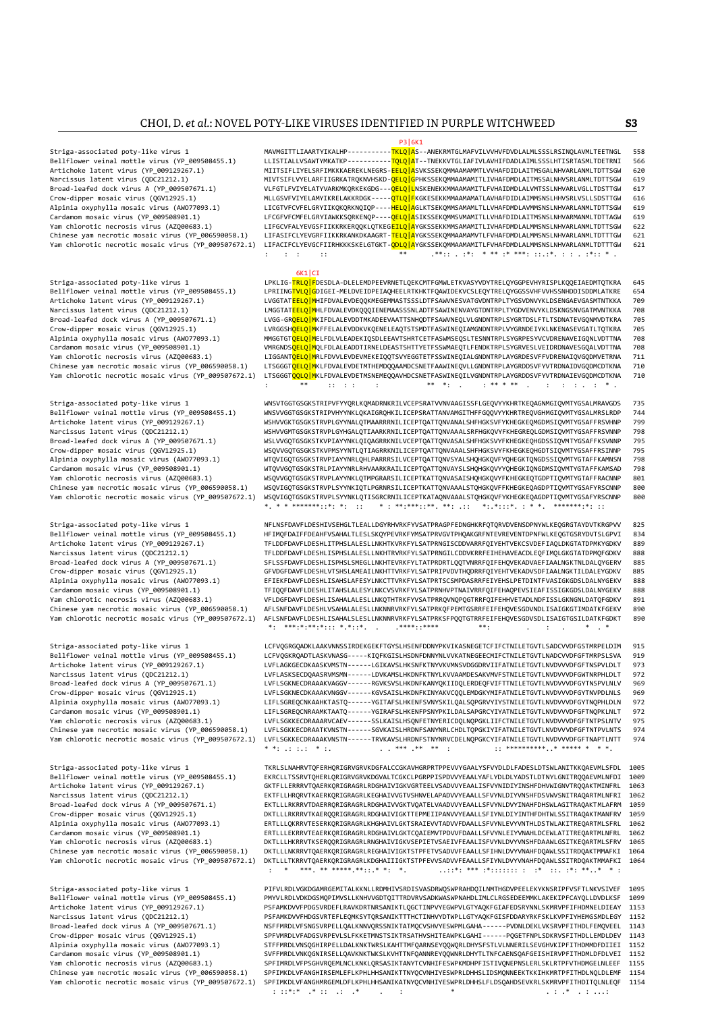P3|6K1 P3|6K1 Striga-associated poty-like virus 1 MAVMGITTLIAARTYIKALHP-----------<mark>TKLQ[A</mark>S--ANEKRMTGLMAFVILVVHVFDVDLALMLSSSLRSINQLAVMLTEETNGL 558<br>Bellflower veinal mottle virus (YP 009508455.1) LLIS LLISTIALLVSAWTYMKATKP----------<mark>TOLO|A</mark>T--TNEKKVTGLIAFIVLAVHIFDADLAIMLSSSLHTISRTASMLTDETRNI Artichoke latent virus (YP\_009129267.1) MIITSIFLIYELSRFIMKKKAEREKLNEGRS-<mark>EELQ|A</mark>SVKSSEKQMMAAMAMMTLVVHAFDIDLAITMSGALNHVSRLANMLTDTTSGW 629<br>Narcissus latent virus (QDC21212.1) MIVTSIFLVYELARFIIGRKATRQKNVHSKD-Narcissus latent virus (QDC21212.1) MIVTSIFLVYELARFIIGRKATRQKNVHSKD-<mark>QELQ|G</mark>PHKSSEKQMMAAMAMITLIVHAFDMDLAITMSSALNHVSRLANMLTDTTSGW 619<br>Broad-leafed dock virus A (YP\_009507671.1) WLFGTLFVIYELATYVARKMKQRKEKGDG---<mark>QELQ|L</mark>NSKENE Broad-leafed dock virus A (YP\_009507671.1) VLFGTLFVIYELATYVARKMKQRKEKGDG---QELQ|LNSKENEKKMMAAMAMITLFVHAIDMDLALVMTSSLNHVARLVGLLTDSTTGW 617 MLLGSVFVIYELAMYIKRELAKKRDGK-----<mark>QTLQ|F</mark>KGKESEKKMMAAMAMATLAVHAFDIDLAIMMSNSLHHVSRLVSLLSDSTTGW 616 Alpinia oxyphylla mosaic virus (AWO77093.1) LICGTVFCVFELGRYIIKQKQRKNQIQP----<mark>HELQ|A</mark>GLKTSEKQMMSAMAMLTLLVHAFDMDLAVMMSNSLNHVARLANMLTDTTSGW 619<br>Cardamom mosaic virus (YP\_009508901.1) LFCGFVFCMFELGRYIAWKKSQRKENQP-Cardamom mosaic virus (YP\_009508901.1) | LECGFVFCMFELGRYIAWKKSQRKENQP----<mark>QELQ|A</mark>SIKSSEKQMMSVMAMITLLVHAFDIDLAITMSNSLNHVARMANMLTDTTAGW 619<br>Yam chlorotic necrosis virus (AZQ00683.1) | LIFGCVFALYEVGSFIIKKRKERQQKLQTKEG<mark>EILQ|A</mark> Yam chlorotic necrosis virus (AZQ00683.1) LIFGCVFALYEVGSFIIKKRKERQQKLQTKEG<mark>EILQ|A</mark>YGKSSEKKMMSAMAMITLIVHAFDMDLALMMSNSLNHVARLANMLTDTTSGW 622<br>Chinese yam necrotic mosaic virus (YP\_006590058.1) LIFASIFCLYEVGRFIIKKRKANKDKAAGRT-Chinese yam necrotic mosaic virus (YP\_006590058.1) LIFASIFCLYEVGRFIIKKRKANKDKAAGRT-<mark>TELQ|A</mark>YGKSSEKQMMAAMAMVTLFVHAFDMDLALMMSNSLNHVARLANMLTDTTTGW 621<br>Yam chlorotic necrotic mosaic virus (YP\_009507672.1) LIFACIFCLYEVGCFIIRHKK Yam chlorotic necrotic mosaic virus (YP\_009507672.1) LIFACIFCLYEVGCFIIRHKKKSKELGTGKT-QDLQ|AYGKSSEKQMMAAMAMITLFVHAFDMDLALMMSNSLNHVARLANMLTDTTTGW 621 : : : :: \*\* .\*\*:: . :\*: \* \*\* :\* \*\*\*: ::.:\*. : : . :\*:: \* . enter and the state of the state of the state of the state of the state of the state of the state of the state of the state of the state of the state of the state of the state of the state of the state of the state of the Striga-associated poty-like virus 1 LPKLIG-<mark>TRLQ|F</mark>DESDLA-DLELEMDPEEVRNETLQEKCMTFGMWLETKVASYVDYTRELQYGGPEVHYRISPLKQQEIAEDMTQTKRA 645<br>Rellflower veinal mottle virus (YP 009508455.1) IPRTINGTVLOLGDIGET-MELDVETDPETAOHEELRTKHK Bellflower veinal mottle virus (YP\_009508455.1) LPRIING<mark>TVLQ|G</mark>DIGEI-MELDVEIDPEIAQHEELRTKHKTFQAWIDEKVCSLEQYTRELQYGGSSVHFVVHSSNHDDISDDMLATKRE 654<br>Artichoke latent virus (YP 009129267.1) LVGGTAT<mark>EELO|M</mark>HIFDVALEVDEOO Artichoke latent virus (YP\_009129267.1) LVGGTAT<mark>EELQ|M</mark>HIFDVALEVDEQQKMEGEMMASTSSSLDTFSAWVNESVATGVDNTRPLTYGSVDNVYKLDSENGAEVGASMTNTKKA 709<br>Narcissus latent virus (QDC21212.1) LMGGTAT<mark>EELQ|M</mark>HLFDVALEVDKQQQIENE Narcissus latent virus (QDC21212.1) <sup>1</sup> LMGGTAT<mark>EELQ|M</mark>HLFDVALEVDKQQQIENEMAASSSNLADTFSAWINENVAYGTDNTRPLTYGDVENVYKLDSKNGSNVGATMVNTKKA 708<br>Broad-leafed dock virus A (YP\_009507671.1) LVGG-Broad-leafed dock virus A (YP\_009507671.1) LVGG-GR<mark>QELQ|M</mark>KIFDLALEVDDTMKADEEVAATTSNHQDTFSAWVNEQLVLGNDNTRPLSYGRTDSLFTLTSDNATEVGQNMVDTKRA<br>Crow-dipper mosaic virus (QGV12925.1) LVRGGSH<mark>QELQ|M</mark>KFFELALEVDDKVKQENEL LVRGGSH<mark>OFLO<code>lm</code>KFFELALEVDDKVKOENELEAOTSTSMDTFASWINEOIAMGNDNTRPLVYGRNDEIYKLNKENASEVGATLTOTKRA 705</mark> Alpinia oxyphylla mosaic virus (AWO77093.1) MMGGTGTOELQ|MELFDLVLEADEKIQSDLEEAVTSHRTCETFASWMSEQSLTESNNTRPLSYGRPESYVCVDRENAVEIGQNLVDTTNA 708<br>Cardamom mosaic virus (YP\_009508901.1) MMGGTGT<mark>QELQ|M</mark>QLFDLALEADDTIRNELDEASTSHTTYET Cardamom mosaic virus (YP\_009508901.1) VMRGNDSQELQ|MQLFDLALEADDTIRNELDEASTSHTTYETFSSWMAEQTLFENDKTRPLSYGRVESLVEIDRDNAVESGQALVDTTNA 708 LIGGANT<mark>QELQ|M</mark>RLFDVVLEVDEVMEKEIQQTSVYEGGTETFSSWINEQIALGNDNTRPLAYGRDESVFFVDRENAIQVGQDMVETRNA 711 Chinese yam necrotic mosaic virus (YP\_006590058.1) LTSGGGT<mark>OELO|M</mark>KLFDVALEVDETMTHEMDOOAAMDCSNETFAAWINEOVLLGNDNTRPLAYGRDDSVFYVTRDNAIDVGODMCDTKNA 710 Yam chlorotic necrotic mosaic virus (YP\_009507672.1) LTSGGGTQQLQ|MKLFDVALEVDETMSNEMEQQAVHDCSNETFASWINEQILVGNDNTRPLAYGRDDSVFYVTRDNAIEVGQDMCDTKNA 710 : \*\* :: : : : \*\* \*: . : \*\* \* \*\* . : : : . : \* . Striga-associated poty-like virus 1 WNSVTGGTGSGKSTRIPVFYYQRLKQMADRNKRILVCEPSRATVVNVAAGISSFLGEQVYYKHRTKEQAGNMGIQVMTYGSALMRAVGDS 735<br>Bellflower veinal mottle virus (YP 009508455.1) WNSVVGGTGSGKSTRIPVHYYNKLOKAIGRO Bellflower veinal mottle virus (YP\_009508455.1) WNSVVGGTGSGKSTRIPVHYYNKLQKAIGRQHKILICEPSRATTANVAMGITHFFGQQVYYKHRTREQVGHMGIQVMTYGSALMRSLRDP 744<br>Artichoke latent virus (YP 009129267.1) WSHVVGKTGSGKSTRVPLGYYNALQTMAARRRNILICEP Artichoke latent virus (YP\_009129267.1) WSHVVGKTGSGKSTRVPLGYYNALQTMAARRRNILICEPTQATTQNVANALSHFHGKSVFYKHEGKEQMGDMSIQVMTYGSAFFRSVHNP 799<br>Narcissus latent virus (QDC21212.1) WSHVVGMTGSGKSTRVPLGYHGALQTIAARKRNILICEPTQATTQNVAAAL Narcissus latent virus (QDC21212.1) WSHVVGMTGSGKSTRVPLGYHGALQTIAARKRNILICEPTQATTQNVAAALSRFHGKQVYFKHEGREQLGDMSIQVMTYGSAFFRSVNNP 798<br>Broad-leafed dock virus A (YP\_009507671.1) WSLVVGQTGSGKSTKVPIAYYNKLQIQAGRRKNILVCEPTQATTQNVA Broad-leafed dock virus A (YP\_009507671.1) WSLVVGQTGSGKSTKVPIAYYNKLQIQAGRRKNILVCEPTQATTQNVASALSHFHGKSVYFKHEGKEQHGDSSIQVMTYGSAFFKSVNNP 795<br>Crow-dinner mosaic virus (OGV12925.1) WSQVVGQTGSGKSTKVPMSYVNTIQTIAGRRKNILICEPTQATTQN Crow-dipper mosaic virus (QGV12925.1) WSQVVGQTGSGKSTKVPMSYYNTLQTIAGRRKNILICEPTQATTQNVAAALSHFHGKSVYFKHEGKEQHGDTSIQVMTYGSAFFRSINNF بولاد WSQVVGQTGSGKSTRVPIAYYNTLQTIAGRRKNILICEPTQATTQNVAAALSHFHGKSVYFKHEGKEQHGDTSIQVMTYGTAFFRSI Alpinia oxyphylla mosaic virus (AWO77093.1) WTQVIGQTGSGKSTRVPIAYYNRLQHLPARRRSILVCEPTQATTQNVSYALSHQHGKQVFYQHEGKTQNGDSSIQVMTYGTAFFKAMNSN 798<br>Cardamom mosaic virus (YP\_009508901.1) WTQVVGQTGSGKSTRLPIAYYNRLRHVAARKRAILICEPTQATT Cardamom mosaic virus (YP\_009508901.1) WTQVVGQTGSGKSTRLPIAYYNRLRHVAARKRAILICEPTQATTQNVAYSLSHQHGKQVYYQHEGKIQNGDMSIQVMTYGTAFFKAMSAD 798<br>Yam chlorotic necrosis virus (AZQ00683.1) WSQVVGQTGSGKSTRVPLAYYNKLQTMPGRARSILICEPTKATTQN Yam chlorotic necrosis virus (AZQ00683.1) WSQVVGQTGSGKSTRVPLAYYNKLQTMPGRARSILICEPTKATTQNVASAISHQHGKQVYFKHEGKEQTGDPTIQVMTYGTAFFRACNNP<br>Chinese yam necrotic mosaic virus (YP\_006590058.1) WSQVIGQTGSGKSTRVPLSYYNKIQTLPGRNRSILICE WSQVIGOTGSGKSTRVPLSYYNKIOTLPGRNRSILICEPTKATTONVAAALSTOHGKOVFFKHEGKEQAGDPTIQVMTYGSAFYRSCNNP 800 Yam chlorotic necrotic mosaic virus (YP\_009507672.1) WSQVIGQTGSGKSTRVPLSYYNKLQTISGRCRNILICEPTKATAQNVAAALSTQHGKQVFYKHEGKEQAGDPTIQVMTYGSAFYRSCNNP 800  $* \cdot \cdot \cdot * * \cdot * * * \cdot \cdot * * * \cdot * * * \cdot \cdot \cdot : :$ Striga-associated poty-like virus 1 NFLNSFDAVFLDESHIVSEHGLTLEALLDGYRHVRKFYVSATPRAGPFEDNGHKRFQTQRVDVENSDPNYWLKEQGRGTAYDVTKRGPVV 825 Bellflower veinal mottle virus (YP\_009508455.1) HFIMQFDAIFFDEAHFVSAHALTLESLSKQYPEVRKFYMSATPRVGVTPHQAKGRFNTEVREVENTDPNFWLKEQGTGSRYDVTSLGPVI 834<br>Artichoke latent virus (YP\_009129267.1) TFLDDFDAVFLDESHLITPH Artichoke latent virus (YP\_009129267.1) TFLDDFDAVFLDESHLITPHSLALESLLNKHTKVRKFYLSATPRNGISCDDVARRFQIYEHTVEKCSVDEFIAQLDKGTATDPMKYGDKV TERDDFDAVFLDESHLITPHSLALESLLNKHTRVRKFYLSATPRNGILCODVKRRFEIHEHAVEACDLEQFIMQLGKGTATDPMQFGDKV Narcissus latent virus (QDC21212.1) TFLDDFDAVFLDESHLISPHSLALESLLNKHTRVRKFYLSATPRNGILCDDVKRRFEIHEHAVEACDLEQFIMQLGKGTATDPMQFGDKV 888 SFLSSFDAVFLDESHLISPHSLSMEGLLNKHTEVRKFYLTATPRDRTLQQTVNRRFQIFEHQVEKADVAEFIAALNGKTNLDALQYGERV 885 Crow-dipper mosaic virus (QGV12925.1) GFVDGFDAVFLDESHLVTSHSLAMEAILNKHTTVRKFYLSATPRIPVDVTHQDRRFQIYEHTVEKADVSDFIAALNGKTILDALEYGDKV 885<br>Alpinia oxyphylla mosaic virus (AWO77093.1) Alpinia oxyphylla mosaic virus (AWO77093.1) EFIEKFDAVFLDESHLISAHSLAFESYLNKCTTVRKFYLSATPRTSCSMPDASRRFEIYEHSLPETDINTFVASIGKGDSLDALNYGEKV 888 Cardamom mosaic virus (YP\_009508901.1) TFIQQFDAVFLDESHLITAHSLALESYLNKCVSVRKFYLSATPRNHVPTNAIVRRFQIFEHAQPEVSIEAFISSIGKGDSLDALNYGEKV 888<br>Yam chlorotic necrosis virus (AZQ00683.1) VFLDGFDAVFLDESHLISAHALALESLLNKQTHTRKFYVSATPRRQ Yam chlorotic necrosis virus (AZQ00683.1) VFLDGFDAVFLDESHLISAHALALESLLNKQTHTRKFYVSATPRRQVNQPQGTRRFQIFEHHVETADLNDFISSLGKNGNLDATQFGDKV<br>Chinese yam necrotic mosaic virus (YP 006590058.1) AFLSNFDAVFLDESHLVSAHALALESLLNKNNRVRKFY Chinese yam necrotic mosaic virus (YP\_006590058.1) AFLSNFDAVFLDESHLVSAHALALESLLNKNNRVRKFYLSATPRKQFPEMTGSRRFEIFEHQVESGDVNDLISAIGKGTIMDATKFGEKV 890<br>Yam chlorotic necrotic mosaic virus (YP\_009507672.1) AFLSNFDAVFLDESHLISAHALS AFLSNFDAVFLDESHLISAHALSLESLLNKNNRVRKFYLSATPRKSFPQQTGTRRFEIFEHQVESGDVSDLISAIGTGSILDATKFGDKT 890<br>\*: \*\*\*:\*:\*\*::: \*.\*::\* \*\*\*\*::\*\*\*\* \*\*\*: \*\*\* \*\*: \*: \*\*\*:\*:\*\*:\*::: \*.\*::\*. . .\*\*\*\*::\*\*\*\* \*\*: . : . \* . \* Striga-associated poty-like virus 1 LCFVQGRGQADKLAAKVNNSSIRDEKGEKFTGYSLHSENFDDNYPKVIKASNEGETCFIFCTNILETGVTLSADCVVDFGSTMRPELDIM 915 Bellflower veinal mottle virus (YP\_009508455.1) LCFVQGKRQADTLASKVNASG-----KIQFKGISLHSDNFDNNYNLVVKATNEGEECMIFCTNILETGVTLNADCVVDFGFTMRPSLSVA 919<br>Artichoke latent virus (YP\_009129267.1) LVFLAGKGECDKAASKVMSTN-----LGIKAVSLHKSNF Artichoke latent virus (YP\_009129267.1) LVFLAGKGECDKAASKVMSTN------LGIKAVSLHKSNFKTNYVKVMNSVDGGDRVIIFATNILETGVTLNVDVVVDFGFTNSPVLDLT 973<br>Narcissus latent virus (QDC21212.1) LVFLASKSECDQAASRVMSMN------LDVKAMSL LVFLASKSECDQAASRVMSMN------LDVKAMSLHKDNFKTNYLKVVAAMDESAKVMVFSTNILETGVTLNVDVVVDFGWTNRPHLDLT Broad-leafed dock virus A (YP\_009507671.1) LVFLSGKNECDRAAAKVAGGV------RGVKSVSLHKDNFKANYQKIIDQLERDEQFVIFTTNILETGVTLNVDVVVDFGYTNSPVLNLV 969<br>Crow-dipper mosaic virus (QGV12925.1) LVFLSGKNECDKAAAKVNGGV-----Crow-dipper mosaic virus (QGV12925.1) LVFLSGKNECDKAAAKVNGGV------KGVSAISLHKDNFKINYAKVCQQLEMDGKYMIFATNILETGVTLNVDVVVDFGYTNVPDLNLS 969<br>Alpinia oxyphylla mosaic virus (AWO77093.1) LIFLSGREQ Alpinia oxyphylla mosaic virus (AWO77093.1) LIFLSGREQCNKAAHKTASTQ-----YGITAFSLHKENFSVNYSKILQALSQPGRVYIYSTNILETGVTLNVDVVVDFGYTNQPHLDLN 1<br>Cardamom mosaic virus (YP\_009508901.1) LIFLSGREQCNRAAMKTAATQ-----YGIRAF Cardamom mosaic virus (YP\_009508901.1) | LIFLSGREQCNRAAMKTAATQ------YGIRAFSLHKENFPSNYPKILDALSAPGRCYIYATNILETGVTLNVDVVVDFGFTNQPKLNLT 972<br>| Yam chlorotic necrosis virus (AZQ00683.1) | LIFLSGKKECDRAAARVCAEV-----SSLKAISLHSQNFE LVFLSGKKECDRAAARVCAEV------SSLKAISLHSQNFETNYERICDQLNQPGKLIIFCTNILETGVTLNVDVVVDFGFTNTPSLNTV 975 Chinese yam necrotic mosaic virus (YP\_006590058.1) LVFLSGKKECDRAATKVNSTN-----SGVKAISLHRDNFSANYNRLCHDLTQPGKIYIFATNILETGVTLNVDVVVDFGFTNTPVLNTS 974<br>Yam chlorotic necrotic mosaic virus (YP 009507672.1) LVFLSGKKECDRAAAKVNSTN---Yam chlorotic necrotic mosaic virus (YP\_009507672.1) LVFLSGKKECDRAAAKVNSTN------TRVKAVSLHRDNFSTNYNRVCDELNQPGKCYIFATNILETGVTLNVDVVVDFGFTNAPTLNTT 974 \* \*: .: :.: \* :. . . \*\*\* .\*\* \*\* : :: \*\*\*\*\*\*\*\*\*\*..\* \*\*\*\*\* \* \* \*. Striga-associated poty-like virus 1 TKRLSLNAHRVTQFERHQRIGRVGRVKDGFALCCGKAVHGRPRTPPEVVYGAALYSFVYDLDLFADESLDTSWLANITKKQAEVMLSFDL 1005 Bellflower veinal mottle virus (YP\_009508455.1) EKRCLLTSSRVTQHERLQRIGRVGRVKDGVALTCGKCLPGRPPISPDVVYEAALYAFLYDLDLYADSTLDTNYLGNITRQQAEVMLNFDI 1009<br>Artichoke latent virus (YP\_009129267.1) GKTFLLERRRVTQAERKQRIGRAGRLRDGHA Artichoke latent virus (YP\_009129267.1) GKTFLLERRRVTQAERKQRIGRAGRLRDGHAIVIGKVGRTEELVSADVVYEAALISFVYNIDIYINSHFDHVWIGNVTRQQAKTMINFRL 1063 EKTFLLHRORVTKAERKORIGRAGRLKEGHAIVVGTVSHNVELAPADVVYEAALLSFVYNLDIYVNSHFDSVWVSNITRAOARTMLNFRI Broad-leafed dock virus A (YP\_009507671.1) EKTLLLRKRRVTDAERRQRIGRAGRLRDGHAIVVGKTVQATELVAADVVYEAALLSFVYNLDVYINAHFDHSWLAGITRAQAKTMLAFRM 1059 Crow-dipper mosaic virus (QGV12925.1) DKTLLLRKRRVTKAERQQRIGRAGRLRDGHAIVIGKTTEPMEIIPANVVYEAALLSFIYNLDIYINTHFDHTWLSSITRAQAKTMANFRV 1059 Alpinia oxyphylla mosaic virus (AWO77093.1) ERTLLLQKRRVTESERKQRIGRAGRLKHGHAIVLGKTSRAIEVVTADVVFDAALLSFVYNLEVYVNTHLDSTWLAKITREQARTMLSFRL 1062 ERTLLLEKRRVTEAERKQRIGRAGRLRDGHAIVLGKTCQAIEMVTPDVVFDAALLSFVYNLEIYVNAHLDCEWLATITREQARTMLNFRL Yam chlorotic necrosis virus (AZQ00683.1) DKTLLLHKRRVTKSERQQRIGRAGRLRNGHAIVIGKVSEPIETVSAEIVFEAALISFVYNLDVYVNSHFDAAWLGSITKEQARTMLSFRV 1065 Chinese yam necrotic mosaic virus (YP\_006590058.1) DKTLLLNKRRVTQAERKQRIGRAGRLREGHAIVIGKTSTPFETVSADVVFEAALLSFIHNLDVYVNAHFDQAWLSSITRDQAKTMMAFKI 1064<br>Yam chlorotic necrotic mosaic virus (YP\_009507672.1) DKTLLLTKRRVTQAERKQRIGR Yam chlorotic necrotic mosaic virus (YP\_009507672.1) DKTLLLTKRRVTQAERKQRIGRAGRLKDGHAIIIGKTSTPFEVVSADVVFEAALLSFIYNLDVYVNAHFDQAWLSSITRDQAKTMMAFKI 1064

Striga-associated poty-like virus 1 PIFVLRDLVGKDGAMRGEMITALKKNLLRDMHIVSRDISVASDRWQSWPRAHDQILNMTHGDVPEELEKYKNSRIPFVSFTLNKVSIVEF 1095 Bellflower veinal mottle virus (YP\_009508455.1) PMYVLRDLVDKDGSMQPIMVSLLKNHVVGDTQITTRDVRVSADKWASWPNAHDLIMLCLRGSEDEEMMKLAKEKIPFCAYQLLDVDLKSF 1099129267.1) PSFAMKDVVFPDGSVRDEFLRAVKDRTNRSANIKTLQGCTINPVYEGWPVLGTYAQKFGIAFEDSRYNN Artichoke latent virus (YP\_009129267.1) PSFAMKDVVFPDGSVRDEFLRAVKDRTNRSANIKTLQGCTINPVYEGWPVLGTYAQKFGIAFEDSRYNNLSKMRVPFIFHDMNELDIEAY 1153 Narcissus latent virus (QDC21212.1) PSFAMKDVVFHDGSVRTEFLEQMKSYTQRSANIKTTTHCTINHVYDTWPLLGTYAQKFGISFDDARYRKFSKLKVPFIYHEMGSMDLEGY 1152<br>Broad-leafed dock virus A (YP 009507671.1) NSFFMRDLVFSNGSVRPELLOALKNNVORSSNIKTATMOCVSHVYES Broad-leafed dock virus A (YP\_009507671.1) NSFFMRDLVFSNGSVRPELLQALKNNVQRSSNIKTATMQCVSHVYESWPMLGAHA------PVDNLDEKLVKSRVPFITHDLFEMQVEEL 1143 Crow-dipper mosaic virus (QGV12925.1) SPFVMRDLVFADGSVRPEVLSLFKKETMNSTSIKTRSATHVSHITEAWPKLGAHI------PQGETFNPLSDKRVSFITHDLLEMDLDEV 1143<br>Alpinia oxyphylla mosaic virus (AWO77093.1) STFFMRDLVNSQGHIRPELLDALKNKTWRSLKAHTTMFQARNSE Alpinia oxyphylla mosaic virus (AWO77093.1) STFFMRDLVNSQGHIRPELLDALKNKTWRSLKAHTTMFQARNSEYQQWQRLDHYSFSTLVLNNERILSEVGHVKIPFITHDMMDFDIIEI 1152 Cardamom mosaic virus (YP\_009508901.1) SVFFMRDLVNKQGNIRSELLQAVKNKTWKSLKVHTTNFQANNREYQQWNRLDHYTLTNFCAENSQAFGEISHIRVPFITHDMLDFDLVEI 1152<br>Yam chlorotic necrosis virus (AZQ00683.1) SPFIMRDLVFPSGHVRQEMLNCLKNKLQRSASIKTANYTCVNHIF Yam chlorotic necrosis virus (AZQ00683.1) SPFIMRDLVFPSGHVRQEMLNCLKNKLQRSASIKTANYTCVNHIFESWPKMDHPFISTIVQNEPNSLERLSKLRTPFVTHDMGELNLEEF (https://www.chinese.yam.necrotic.mosaic.virus (YP\_006590058.1) SPFIMKDLVFANGHIRSEMLEFLKP Chinese yam necrotic mosaic virus (YP\_006590058.1) SPFIMKDLVFANGHIRSEMLEFLKPHLHHSANIKTTNYQCVNHIYESWPRLDHHSLIDSMQNNEEKTKKIHKMRTPFITHDLNQLDLEMF 1154<br>Yam chlorotic necrotic mosaic virus (YP\_009507672.1) SPFIMKDLVFANGHMRGEMLDF SPFIMKDLVFANGHMRGEMLDFLKPHLHHSANIKATNYQCVNHIYESWPRLDHHSLFLDSQAHDSEVKRLSKMRVPFITHDITQLNLEQF 1154<br>Yiiiii Septimati Septimati Septimati Septimati Septimati Septimati Septimati Septimati Septimati Septimati Sep : ::\*:\* .\* :: .: .\* . : \* . : .\* . : ...:

: \* \*\*\*. \*\* \*\*\*\*\*.\*\*::.\* \*: \*. ..::\*: \*\*\* :\*::::::: : :\* ::. :\*: \*\*..\* \* :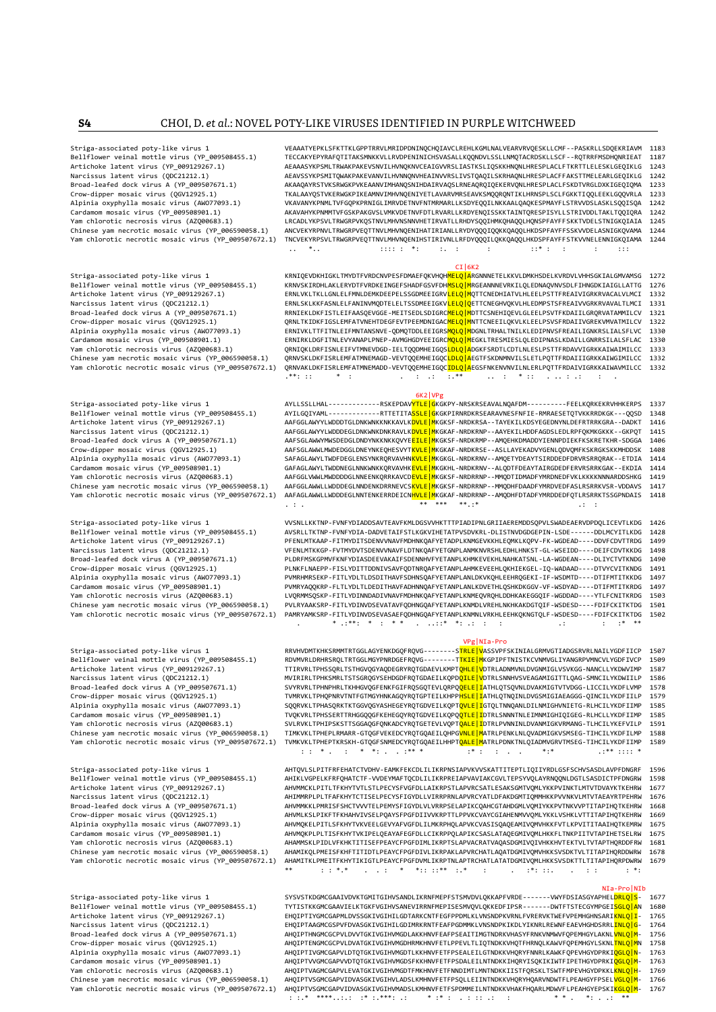Striga-associated poty-like virus 1 VEAAATYEPKLSFKTTKLGPPTRRVLMRIDPDNINQCHQIAVCLREHLKGMLNALVEARVRVQESKLLCMF--PASKRLLSDQEKRIAVM 1183 BECCAKYEPYRAFQTITAKSMNKKVLLRVDPENINICHSVASALLKQQNDVLSSLLNMQTACRDSKLLSCF--RQTRRFMSDHQNRIEAT 1187<br>AFAAASYKPSMITRMAKPAKFVSNVTI HVNOKNVCFATGVVRSI TASTKSI TOSKKHNONI HRFSPI ACI FTKRTTI FI FSKI GFOTKI G 1243 Artichoke latent virus (YP\_009129267.1) AEAAASYKPSMLTRWAKPAKEVSNVILHVNQKNVCEAIGVVRSLIASTKSLIQSKKHNQNLHRESPLACLFTKRTTLELESKLGEQIKLG 1243<br>AEAAASYKPSMITRWAKPAKEVSNVILHVNNQKNVCEAIGVVRSLIVSTQAQILSKRHAQNLHRESPLACLFTKRTTLELESKLGE Narcissus latent virus (QDC21212.1) AEAVSSYKPSMITQWAKPAKEVANVILHVNNQNVHEAINVVRSLIVSTQAQILSKRHAQNLHRESPLACFFAKSTTMELEARLGEQIKLG 12424 AEAVSSYKPSMITQWAKPAKEVANVILHVNNQNVHEAINVVRSLIVSTQAQILSKRHAQNLHRESPLACFFAKSTTMELEARLGEQIQM AKAAQAYRSTVKSRWGKPVKEAANVIMHANQSNIHDAIRVAQSLRNEAQRQIQEKERVQNLHRESPLACLFSKDTVRGLDXKIGEQIQMA 1233 Crow-dipper mosaic virus (QGV12925.1) TKALAAYQSTVKERWGKPIKEAMNVIMHVNQENIYETLAVARVMRSEAVKSMQQRQNTIKLHRNSPLSCLFGKKTIQQLEEKLGQQVRLA 1233 Alpinia oxyphylla mosaic virus (AWO77093.1) VKAVANYKPNMLTVFGQPKPRNIGLIMRVDETNVFNTMRMARLLKSDYEQQILNKKAALQAQKESPMAYFLSTRVVDSLASKLSQQISQA 1242<br>Cardamom mosaic virus (YP\_009508901.1) AKAVAHYKPNMMTVFGSKPAKGVSLVMKV Cardamom mosaic virus (YP\_009508901.1) <br>Cardamom mosaic virus (YP\_009508901.1) AKAVAHYKPNMMTVFGSKPAKGVSLVMKVDETNVFDTLRVARLLKRDYENQISSKKTAINTQRESPISYLLSTRIVDDLTAKLTQQIQRA 1242<br>Vam chlorotic pecrosis virus (AZO00683.1) IRCAD Yam chlorotic necrosis virus (AZQ00683.1) LRCADLYKPSVLTRWGRPVKQSTNVLMHVNSNNVHETIRVATLLRHDYSQQIHMKQHAQQLHQNSPFAYFFSKKTVDELSTNIGKQIAIA<br>Chinese yam necrotic mosaic virus (YP\_006590058.1) ANCVEKYRPNVLTRWGRPVEQTTNVLMHVNQENIHATI Chinese yam necrotic mosaic virus (YP\_006590058.1) ANCVEKYRPNVLTRWGRPVEQTTNVLMHVNQENIHATIRIANLLRYDYQQQIQQKKQAQQLHKDSPFAYFFSSKVVDELASNIGKQVAMA 1244<br>Yam chlorotic necrotic mosaic virus (YP\_009507672.1) TNCVEKYRPSVLTRWGRPVEQT TNCVEKYRPSVLTRWGRPVEQTTNVLMHVNQENIHSTIRIVNLLRFDYQQQILQKKQAQQLHKDSPFAYFFSTKVVNELENNIGKQIAMA .. \*.. :::: : \*: :. : : ::\* : : : :::

#### CI | 6K2

Striga-associated poty-like virus 1 KRNIQEVDKHIGKLTMYDTFVRDCNVPESFDMAEFQKVHQH<mark>MELQ|A</mark>RGNNNETELKKVLDMKHSDELKVRDVLVHHSGKIALGMVAMSG 1272<br>Bellflower veinal mottle virus (YP 009508455.1) KRNVSKIRDHLAKLERYDTFVRDKEINGEFSHADFGSVFD Bellflower veinal mottle virus (YP\_009508455.1) KRNVSKIRDHLAKLERYDTFVRDKEINGEFSHADFGSVFDH<mark>MSLQ|M</mark>RGEANNNEVRKILQLEDNAQVNVSDLFIHNGDKIAIGLLATTG 1276<br>Artichoke latent virus (YP\_009129267.1) ERNLVKLTKLLGNLELFMNLDEMKDEEP Artichoke latent virus (YP\_009129267.1) ERNLVKLTKLLGNLELFMNLDEMKDEEPELSSGDMEEIGRVLELQ|MQTTCNEDHIATVLHLEELPSTTFREAIVIGRKRVACALVLMCI 1332 Narcissus latent virus (QDC21212.1) <sup>1</sup> ERNLSKLKKFASNLELFANINVMQDTELELTSSDMEEIGKV<mark>LELQ|Q</mark>ETTCNEGHVQKVLHLEDMPSTSFREAIVVGRKRVAVALTLMCI<br>Broad-leafed dock virus A (YP\_009507671.1) RRNIEKLDKFISTLEIFAASQEVGGE-MEITSEDLSDIGR Broad-leafed dock virus A (YP\_009507671.1) RRNIEKLDKFISTLEIFAASQEVGGE-MEITSEDLSDIGRC<mark>MELQ|M</mark>DTTCSNEHIQEVLGLEELPSVTFKDAIILGRQRVATAMMILCV 1321<br>Crow-dipper mosaic virus (QGV12925.1) QRNLTKIDKFIGSLEMFATVNEHTDEGFEV Alpinia oxyphylla mosaic virus (AWO77093.1) ERNIVKLTTFITNLEIFMNTANSNVE-QDMQTDDLEEIGRSMQLQ|MOGNLTRHALTNILKLEDIPNVSFREAILIGNKRSLIALSFLVC 1330<br>Cardamom mosaic virus (YP\_009508901.1) ERNIRKLDGFITNLEVYANAPLPNEP-AVMGHGDYEEIGRCMQ Cardamom mosaic virus (YP\_009508901.1) ERNIRKLDGFITNLEVYANAPLPNEP-AVMGHGDYEEIGRC<mark>MQLQ|M</mark>EGKLTRESMIESLQLEDIPNASLKDAILLGNRRSILALSFLAC 1330<br>Yam chlorotic necrosis virus (AZQ00683.1) QRNIQKLDRFISNLEIFVTMNEVDGD-IE Chinese yam necrotic mosaic virus (YP\_006590058.1) QRNVSKLDKFISRLEMFATMNEMAGD-VEVTQQEMHEIGQC<mark>LDLQ|A</mark>EGTFSKDNMNVILSLETLPQTTFRDAIIIGRKKAIWGIMILCC 1332<br>Yam chlorotic necrotic mosaic virus (YP\_009507672.1) QRNVAKLDKFISRLEMFATM Yam chlorotic necrotic mosaic virus (YP\_009507672.1) QRNVAKLDKFISRLEMFATMNEMADD-VEVTQQEMHEIGQCIDLQ|AEGSFNKENVNVILNLERLPQTTFRDAIVIGRKKAIWAVMILCC 1332 .\*\*: :: \* : . : .: :.\*\* .. : \* :: . .. : .: : .

|                                                      | 6K2 VPg |                                                                                                             |      |
|------------------------------------------------------|---------|-------------------------------------------------------------------------------------------------------------|------|
| Striga-associated poty-like virus 1                  |         | AYLLSSLLHAL-----------RSKEPDAVYTLE GKGKPY-NRSKRSEAVALNOAFDM---------FEELKORKEKRVHHKERPS 1337                |      |
| Bellflower veinal mottle virus (YP 009508455.1)      |         | AYILGOIYAML-------------RTTETITASSLE GKGKPIRNRDKRSEARAVNESFNFIE-RMRAESETOTVKKRRDKGK---QOSD                  | 1348 |
| Artichoke latent virus (YP 009129267.1)              |         | AAFGGLAWYYLWDDDTGLDNKWNKKNKKAVLK <mark>DVLE M</mark> KGKSF-NRDKRSA--TAYEKILKDSYEGEDNYNLDEFRTRRKGRA--DADKT   | 1416 |
| Narcissus latent virus (ODC21212.1)                  |         | AAFGGLAWYYLWDDDEGLDNKWNKDNKRAVLK <mark>DVLE M</mark> KGKAF-NRDKRNP--AAYEKILHDDFAGDSLEDLRPFOKMKGKKK--GKPOT   | 1415 |
| Broad-leafed dock virus A (YP 009507671.1)           |         | AAFSGLAWWYMWSDEDGLDNDYNKKNKKQVYE <mark>EILE M</mark> KGKSF-NRDKRMP--AMQEHKDMADDYIENNPDIEKFKSKRETKHR-SDGGA   | 1406 |
| Crow-dipper mosaic virus (QGV12925.1)                |         | AAFSGLAWWLMWDEDGGLDNEYNKEOHESVYT <mark>KVLE M</mark> KGKAF-NRDKRSE--ASLLAYEKADVYGENLODVOMFKSKRGKSKKMHDDSK   | 1408 |
| Alpinia oxyphylla mosaic virus (AWO77093.1)          |         | SAFAGLAWYLTWDFDEGLENSYNKRORVAVHN <mark>KVLE   M</mark> KGKGL-NRDKRNV--AMQETYDEAYTSIRDDEDFDRVRSRRORAK--ETDIA | 1414 |
| Cardamom mosaic virus (YP 009508901.1)               |         | GAFAGLAWYLTWDDNEGLNNKWNKKQRVAVHK <mark>EVLE M</mark> KGKHL-NRDKRNV--ALQDTFDEAYTAIRGDEDFERVRSRRKGAK--EKDIA   | 1414 |
| Yam chlorotic necrosis virus (AZ000683.1)            |         | AAFGGLVWWLMWDDDDGLNNEENKORRKAVCD <mark>EVLE M</mark> KGKSF-NRDRRNP--MMODTIDMADFYMRDNEDFVKLKKKKNNNARDDSHKG   | 1419 |
| Chinese yam necrotic mosaic virus (YP 006590058.1)   |         | AAFGGLAWWLLWDDDEGLNNDENKDRRNEVCS <mark>KVLE M</mark> KGKSF-NRDRRNP--MMQDHFDAADFYMRDVEDFASLRSRRKVSR-VDDAVS   | 1417 |
| Yam chlorotic necrotic mosaic virus (YP 009507672.1) |         | AAFAGLAWWLLWDDDEGLNNTENKERRDEICNHVLE MKGKAF-NRDRRNP--AMODHFDTADFYMRDDEDFOTLRSRRKTSSGPNDAIS 1418             |      |
|                                                      |         | ** **                                                                                                       |      |

Striga-associated poty-like virus 1 VVSNLLKKTNP-FVNFYDIADDSAVTEAVFKMLDGSVVHKTTTPIADIPNLGRIIAEREMDDSQPVLSWADEAERVDPDQLICEVTLKDG 1426 AVSRLLTKTNP-FVNFYDIA-DADVETAIFSTLKGKVIHETATPVSDVKRL-DLISTNVDGDGEPIN-LSDE------DDLMCYITLKDG 1428 PFENLMTKAAP-FITMYDITSDENVVNAVFMDHNKQAFYETADPLKNMGEVKKHLEQMKLKQPV-FK-WGDEAD----DDVFCDVTTRDG 1499<br>VEFNIMTKKGP-FVTMYDVTSDENVVNAVELDTNKOAFYETGNPLANMKNVRSHLEDHLHNKST-GL-WSETDD----DETECDVTKKDG 1498 Narcissus latent virus (QDC21212.1) // VFENLMTKKGP-FVTMYDVTSDENVVNAVFLDTNKQAFYETGNPLANMKNVRSHLEDHLHNKST-GL-WSEIDD----DEIFCDVTKKDG 1498<br>Broad-leafed dock virus A (YP\_009507671.1) PLDRFMSKGPMVFKNFYDIASDEEVAKAIFS Broad-leafed dock virus A (YP\_009507671.1) PLDRFMSKGPMVFKNFYDIASDEEVAKAIFSDENNHVFYETANPLKHMKEVEKHLNAHKATSNL-LA-WGDEAN----DLIYCTVTKNDG<br>Crow-dipper mosaic virus (QGV12925.1) PLNKFLNAEPP-FISLYDITTDDNIVSAVFQDTNRQAFYETANPLAHMKE PLNKFLNAEPP-FISLYDITTDDNIVSAVFQDTNRQAFYETANPLAHMKEVEEHLQKHIEKGEL-IQ-WADAAD----DTVYCVITKNDG 1491 Alpinia oxyphylla mosaic virus (AWO77093.1) PVMRHMRSEKP-FITLYDLTLDSDITHAVFSDHNSQAFYETANPLANLDKVKQHLEEHRQGEKI-IF-WSDMTD----DTIFMTITKKDG 1497 Cardamom mosaic virus (YP\_009508901.1) PVMRYAQQKRP-FLTLYDLTLDEDITHAVFADHNNQAFYETANPLANLKDVETHLQSHKDKGGV-VF-WSDYAD----DTIFMTITKRDG 1497<br>PWMRYAQQKRP-FLTLYDLTLDEDITHAVFADHNNQAFYETANPLANLKDVETHLQSHKDKGGV-VF-WSDYAD---DTIFMTITKR LVQRMMSQSKP-FITLYDINNDADIVNAVFMDHNKQAFYETANPLKNMEQVRQHLDDHKAKEGGQIF-WGDDAD----YTLFCNITKRDG Chinese yam necrotic mosaic virus (YP\_006590058.1) PVLRYAAKSRP-FITLYDINVDSEVATAVFQDHNGQAFYETANPLKNMDLVREHLNKHKAKDGTQIF-WSDESD----FDIFCKITKTDG 1501<br>Yam chlorotic necrotic mosaic virus (YP\_009507672.1) PAMRYAMKSRP-FITLYDINVD PAMRYAMKSRP-FITLYDINVDSEVASAEFQDHNGQAFYETANPLKNMNLVRKHLEEHKQKNGTQLF-WSDESD----FDIFCKITKTDG 1: 1: 1: 1: 1: 1: 1  $\ldots$  .:::\* \*: .: : :

#### VPg|NIa-Pro

| Striga-associated poty-like virus 1                  | RRVHVDMTKHKSRMMTRTGGLAGYENKDGQFRQVG--                                                                     | -S <mark>TRLE V</mark> ASSVPFSKINIALGRMVGTIADGSRVRLNAILYGDFIICP | 1507 |  |
|------------------------------------------------------|-----------------------------------------------------------------------------------------------------------|-----------------------------------------------------------------|------|--|
| Bellflower veinal mottle virus (YP 009508455.1)      | RDVMVRLDRHRSROLTRTGGLMGYPNRDGEFROVG--------TTKIE MKGPIPFTNISTKCVNMVGLIYANGRPVMNCVLYGDFIVCP                |                                                                 | 1509 |  |
| Artichoke latent virus (YP 009129267.1)              | TTIRVRLTPHSSORLTSTHGVOGYAODEGRYROTGDAEVLKMPT <mark>OHLE V</mark> DTRLADNMVNLDVGNMIGLVSVKGG-NANCLLYKDWVIMP |                                                                 | 1587 |  |
| Narcissus latent virus (ODC21212.1)                  | MVIRIRLTPHKSMRLTSTSGRQGYSEHDGDFRQTGDAEILKQPD <mark>QILE V</mark> DTRLSNNHVSVEAGAMIGITTLQAG-SMNCILYKDWIILP |                                                                 | 1586 |  |
| Broad-leafed dock virus A (YP 009507671.1)           | SVYRVRLTPHNPHRLTKHHGVQGFENKFGIFRQSGQTEVLQRPQ <mark>QELE I</mark> ATHLQTSQVNLDVAKMIGTVTVDGG-LICCILYKDFLVMP |                                                                 | 1578 |  |
| Crow-dipper mosaic virus (QGV12925.1)                | TVMRVKLTPHOPNRVTNTFGTMGYHNKAGOYROTGPTEILKHPP <mark>HSLE I</mark> ATHLOTNOINLDVGSMIGIAEAGGG-OINCILYKDFIILP |                                                                 | 1579 |  |
| Alpinia oxyphylla mosaic virus (AWO77093.1)          | SQQRVKLTPHASQRKTKTGGVQGYASHEGEYRQTGDVEILKQPT <mark>QVLE I</mark> GTQLTNNQANLDILNMIGHVNIETG-RLHCILYKDFIIMP |                                                                 | 1585 |  |
| Cardamom mosaic virus (YP 009508901.1)               | TVQKVRLTPHSSERTTRHGGQQGFKEHEGQYRQTGDVEILKQPQ <mark>QTLE I</mark> DTRLSNNNTNLEIMNMIGHIOIGEG-RLHCLLYKDFIIMP |                                                                 | 1585 |  |
| Yam chlorotic necrosis virus (AZQ00683.1)            | SVLRVKLTPHIPSKSTTSGGAQGFONKADCYRQTGETEVLVQPT <mark>QALE I</mark> DTRLPVNNINLDVANMIGKVRMANG-TLHCILYKEFVILP |                                                                 | 1591 |  |
| Chinese yam necrotic mosaic virus (YP 006590058.1)   | TIMKVKLTPHEPLRMARR-GTQGFVEKEDCYRQTGQAEILQHPG <mark>VNLE MA</mark> TRLPENKLNLQVADMIGKVSMSEG-TIHCILYKDFILMP |                                                                 | 1588 |  |
| Yam chlorotic necrotic mosaic virus (YP 009507672.1) | TVMKVKLTPHEPTKRSKH-GTOGFSNMEDCYROTGOAEILHHPTOALE MATRLPDNKTNLOIADMVGRVTMSEG-TIHCILYKDFIIMP                |                                                                 | 1589 |  |
|                                                      |                                                                                                           |                                                                 |      |  |

Striga-associated poty-like virus 1 AHTQVLSLPITFRFEHATCTVDHV-EAMKFEKCDLILIKRPNSIAPVKVVSKATTITEPTLIQIIYRDLGSFSCHVSASDLAVPFDNGRF 1596 Bellflower veinal mottle virus (YP\_009508455.1) AHIKLVGPELKFRFQHATCTF-VVDEYMAFTQCDLILIKRPREIAPVAVIAKCGVLTEPSYVQLAYRNQQNLDGTLSASDICTPFDNGRW 1598<br>AHtichoke latent virus (YP\_009129267.1) AHVMMCKLPITLTFKHYTVTLSTLPECYSFVGFDLLAI AHVMMCKI PITI TEKHYTVTI STI PECYSEVGEDI LATKRPSTLAPVRCSATI ESAKSGMTVOMI YKKPVTNKTI MTVTDVAYKTKEHRW 1677 Narcissus latent virus (QDC21212.1) AHIMMRPLPLTFAFKHYTCTISELPECYSFIGYDLLVIRRPRNLAPVRCYATLDFAKDGMTIQMMHKKPVVNKVLMTVTAEAYRTPEHRW 1676 Broad-leafed dock virus A (YP\_009507671.1) AHVMMKKLPMRISFSHCTVVVTELPEMYSFIGYDLVLVRRPSELAPIKCQAHCGTAHDGMLVQMIYKKPVTNKVVPTITAPIHQTKEHRW 1669<br>Crow-dipper mosaic virus (QGV12925.1) AHVMLKSLPIKFTFKHAHVIVSELPQAYSFPGF Crow-dipper mosaic virus (QGV12925.1) AHVMLKSLPIKFTFKHAHVIVSELPQAYSFPGFDIIVVKRPTTLPPVKCVAYCGIAHENMVVQMLYKKLVSHKLVTTITAPIHQTKEHRW 1699<br>Alpinia oxyphylla mosaic virus (AWO77093.1) AHVMQKEL Alpinia oxyphylla mosaic virus (AWO77093.1) AHVMQKELPITLSFKHYTVKVEELGEVYAFVGFDLILMKRPHQLAPVKCVASISQAQEAMIVQMVHKKFVTLKPVITITAAIHQTKEMRW 1675 Cardamom mosaic virus (YP\_009508901.1) AHVMQKPLPLTISFKHYTVKIPELQEAYAFEGFDLLCIKRPPQLAPIKCSASLATAQEGMIVQMLHKKFLTNKPIITVTAPIHETSELRW 1675 Yam chlorotic necrosis virus (AZQ00683.1) AHAMMSKLPIDLVFKHKTITISEFPEAYCFPGFDIMLIKRPTSLAPVACRATVAQASDGMIVQIVHKKHVTEKTVLTVTAPTHQRDDFRW 1681<br>Chinese yam necrotic mosaic virus (YP\_006590058.1) AHAMIKQLPMEISFKHFTITIDTLPEAYCFPGF AHAMIKQLPMEISFKHFTITIDTLPEAYCFPGFDIVLIKRPAKLAPVRCHATLAQATDGMIVQMVHKKSVSDKTVLTITAPIHQRDDWRW 1678<br>AHAMITKLPMEITFKHYTIKIGTLPFAYCFPGFDVMLIKRPTNLAPTRCHATLATATDGMIVOMLHKKSVSDKTTLTITAPIHORPDWRW 1679 AHAMITKLPMEITFKHYTIKIGTLPEAYCFPGFDVMLIKRPTNLAPTRCHATLATATDGMIVQMLHKKSVSDKTTLTITAPIHQRPDWRW \*\* ::\*\* ::: \* \* ::: \* \* ::: \* \* ::: \* \* ::: \* \* ::: \* :: \* ::: \* ::: \* ::: : \* ::: : \* ::: : \* ::: : \* ::: : \* ::: : : \* ::: : : :  $\ast\ast$  : : : :  $\ast\ast$  : : :  $\ast$   $\ast$  :  $\ast$  :  $\ast$  :  $\ast$  :  $\ast$  : :  $\ast$  :  $\ast$  : :  $\ast$  :  $\ast$  :  $\ast$  :  $\ast$  :  $\ast$  :  $\ast$  :  $\ast$  :  $\ast$  :  $\ast$  :  $\ast$  :  $\ast$  :  $\ast$  :  $\ast$  :  $\ast$  :  $\ast$  :  $\ast$  :  $\ast$  :  $\ast$  :  $\ast$  :  $\$ 

 NIa-Pro|NIb Striga-associated poty-like virus 1 SYSVSTKDGMCGAAIVDVKTGMITGIHVSANDLIKRNFMEPFSTSMVDVLQKKAPFVRDE-------VWYFDSIASGYAPHEL<mark>DRLQ|S</mark>- 1677<br>Bellflower veinal mottle virus (YP\_009508455.1) TYTISTKKG TYTISTKKGMCGAAVIELKTGKFVGIHVSANEVIRRNFMEPISESMVQVLQKKEDFIPSR-------DWTFTSTECGYMPGEI<mark>SGLQ|A</mark>N 1680 Artichoke latent virus (YP\_009129267.1) EHQIPTIYGMCGAPMLDVSSGKIVGIHILGDTARKCNTFEGFPPDMLKLVNSNDPKVRNLFVRERVKTWEFVPEMHGHNSARI<mark>KNLQ|I</mark>- 1765<br>Narcissus latent virus (QDC21212.1) EHQIPTAAGMCGSPVFDVASGKIVGIHILG Narcissus latent virus (QDC21212.1) EHQIPTAAGMCGSPVFDVASGKIVGIHILGDIMRKRNTFEAFPGDMMKLVNSNDPKIKDLYIKNRLREWNFEAEVHGHDSRRLINLQ|G- 1764 Broad-leafed dock virus A (YP\_009507671.1) AHQIPTHNGMCGCPVLDVVTGKIVGIHVMGDLAKKHNVFEAFPSEAITIMGTNDRKVHASYFRNKVNMWVFQPEMHGYLAKNL<mark>VNLQ|M-</mark> 1756<br>Crow-dipper mosaic virus (QGV12925.1) AHQIPTENGMCGCPVLDVATGKIVGIHVMGD AHQIPTENGMCGCPVLDVATGKIVGIHVMGDHRMKHNVFETLPPEVLTLIQTNDKKVHQTFHRNQLKAMVFQPEMHGYLSKNL<mark>TNLQ|M</mark>N 1758<br>AHOTPTTVGMCGAPVI DTOTGKTVGTHVMGDTI KKHNVFFTFPSFAI FTI GTNDKKVHORVFNNRI KAWKFOPFVHGYDPRKT<mark>OGI O.I.</mark>N- 1763 Alpinia oxyphylla mosaic virus (AWO77093.1) AHQIPTIVGMCGAPVLDTQTGKIVGIHVMGDTLKKHNVFETFPSEALEILGTNDKKVHQRYFNNRLKAWKFQPEVHGYDPRKIQGLQ[N-<br>AHQIPTIVGMCGAPVLDTQTGKIVGIHVMGDTLKKHNVFETFPSDALEILGTNDKKVHQRYFNNRLKAWKFQPEVHGYDPRKIQGLQ Cardamom mosaic virus (YP\_009508901.1) AHQIPTVVGMCGAPVVDTQTGKIVGIHVMGDSFKKHNVFETFPSDALEILNTNDKKIHQRYISQKIKIWTFIPETHGYDPRKI<mark>QGLQ|M</mark>- 1769<br>Yam chlorotic necrosis virus (AZQ00683.1) AHQIPTVAGMCGAPVLEVATGKIVGIHVMG AHOTPTVAGMCGAPVLEVATGKTVGTHVMGDTFMKHNVFETFNNDIMTLMNTNDKKITSTFORSKLTSWTFMPEVHGYDPKKLKNLOH- 1769 Chinese yam necrotic mosaic virus (YP\_006590058.1) AHQIPTVSGMCGAPVIDVASGKIVGIHVLADSLKMHNVFETFPSQLLEIINTNDKKVHQRYHQARVNDWTFLPEAHGYFPSEL<mark>VGLQ|M</mark>- 1766<br>Yam chlorotic necrotic mosaic virus (YP\_009507672.1) AHQIPTVSGMCGAPVIDVAS Yam chlorotic necrotic mosaic virus (YP\_009507672.1) AHQIPTVSGMCGAPVIDVASGKIVGIHVMADSLKMHNVFETFSPDMMEILNTNDKKVHAKFHQARLMDWVFLPEAHGYEPSKIKGLQ|M- 1767 : :.\* \*\*\*\*..:.: :\* :.\*\*\*: .: \* :\* : . : :: .: : \* \* . \*: . .: \*\*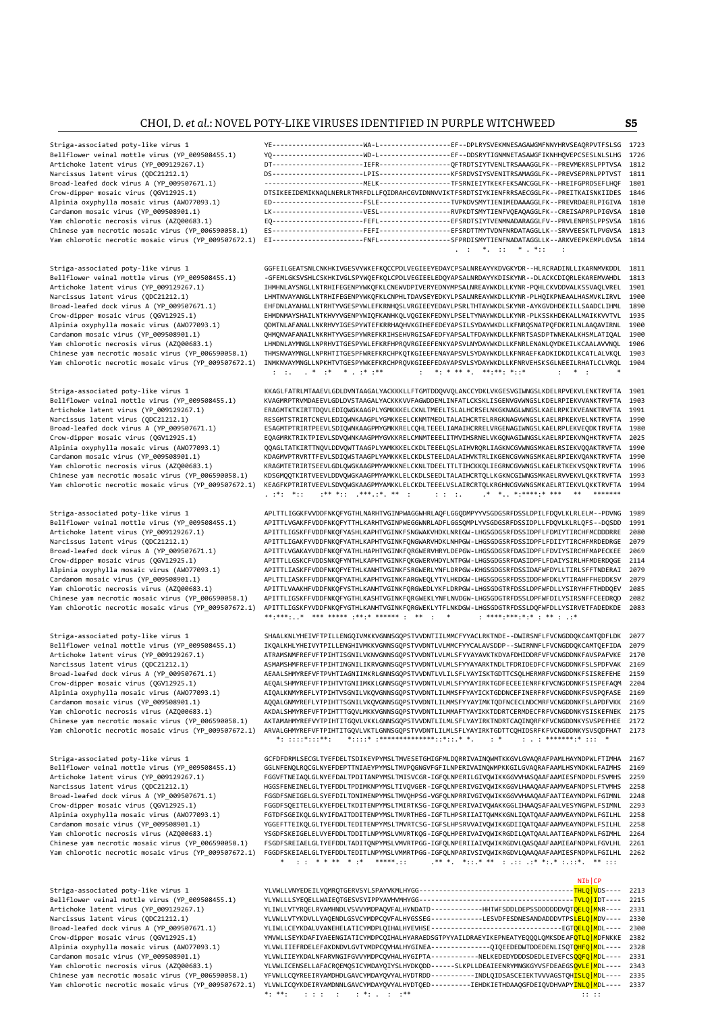Striga-associated poty-like virus 1 YE-----------------------WA-L------------------EF--DPLRYSVEKMNESAGAWGMFNNYHRVSEAQRPVTFSLSG 1723 Bellflower veinal mottle virus (YP\_009508455.1) YQ-----------------------WD-L------------------EF--DDSRYTIGNMNETASAWGFIKNHHQVEPCSESLNLSLHG 1726 Artichoke latent virus (YP\_009129267.1) DT-----------------------IEFR------------------QFTRDTSIYTVENLTRSAAAGGLFK--PREVMEKRSLPPTVSA 1812 Narcissus latent virus (QDC21212.1) DS-----------------------LPIS------------------KFSRDVSIYSVENITRSAMAGGLFK--PREVSEPRNLPPTVST 1811 Broad-leafed dock virus A (YP\_009507671.1) -------------------------MELK------------------TFSRNIEIYTKEKFEKSANCGGLFK--HREIFGPRDSEFLHQF 1801 Crow-dipper mosaic virus (QGV12925.1) DTSIKEEIDEMIKNAQLNERLRTMRFDLLFQIDRAHCGVIDNNVVIKTFSRDTSIYKIENFRRSAECGGLFK--PREITKAISNKIIDES 1846 Alpinia oxyphylla mosaic virus (AWO77093.1) ED-----------------------FSLE------------------TVPNDVSMYTIENIMEDAAAGGLFK--PREVRDAERLPIGIVA 1810 Cardamom mosaic virus (YP\_009508901.1) LK-----------------------VESL------------------RVPKDTSMYTIENFVQEAQAGGLFK--CREISAPRPLPIGVSA 1810 Yam chlorotic necrosis virus (AZQ00683.1) EQ-----------------------FEFL------------------EFSRDTSIYTVENMNADARAGGLFV--PRVLENPRSLPPSVSA 1816 Chinese yam necrotic mosaic virus (YP\_006590058.1) ES-----------------------FEFI------------------EFSRDTTMYTVDNFNRDATAGGLLK--SRVVEESKTLPVGVSA 1813 Yam chlorotic necrotic mosaic virus (YP\_009507672.1) EI-----------------------FNFL------------------SFPRDISMYTIENFNADATAGGLLK--ARKVEEPKEMPLGVSA 1814 . :  $\ast$  . :  $\ast$  .  $\ast$  :  $\ast$  .  $\ast$  :  $\ast$  .  $\ast$  :  $\ast$  .  $\ast$  :  $\ast$  .  $\ast$  .  $\ast$  .  $\ast$  .  $\ast$  .  $\ast$  .  $\ast$  .  $\ast$  .  $\ast$  .  $\ast$  .  $\ast$  .  $\ast$  .  $\ast$  .  $\ast$  .  $\ast$  .  $\ast$  .  $\ast$  .  $\ast$  .  $\ast$  .  $\ast$  .  $\ast$  .  $\ast$  Striga-associated poty-like virus 1 GGFEILGEATSNLCNKHKIVGESVYWKEFKQCCPDLVEGIEEYEDAYCPSALNREAYYKDVGKYDR--HLRCRADINLLIKARNMVKDDL 1811 Bellflower veinal mottle virus (YP\_009508455.1) -GFEMLGKSVSHLCSKHKIVGLSPYWQEFKQLCPDLVEGIEELEDQYAPSALNRDAYYKDISKYNR--DLACKCDIQRLEKAREMVAHDL 1813 Artichoke latent virus (YP\_009129267.1) IHMHNLAYSNGLLNTRHIFEGENPYWKQFKLCNEWVDPIVERYEDNYMPSALNREAYWKDLLKYNR-PQHLCKVDDVALKSSVAQLVREL 1901 LHMTNVAYANGLLNTRHIFEGENPYWKQFKLCNPHLTDAVSEYEDKYLPSALNREAYWKDLLKYNR -PLHQIKPNEAALHASMVKLIRVL 1900<br>EHFDNLAYAHALLNTRHTYVGESPYWLEFKRNHOSLVRGIEFYEDAYLPSRITHTAYWKDISKYNR -AYKGVDHDFKTLISAADCLTHML 1899 Broad-leafed dock virus A (YP\_009507671.1) EHFDNLAYAHALLNTRHTYVGESPYWLEFKRNHQSLVRGIEEYEDAYLPSRLTHTAYWKDLSKYNR-AYKGVDHDEKILLSAADCLIHML 1890 Crow-dipper mosaic virus (QGV12925.1) EHMDNMAYSHAILNTKHVYVGENPYWIQFKANHKQLVQGIEKFEDNYLPSELTYNAYWKDLLKYNR-PLKSSKHDEKALLMAIKKVVTVL 1935 Alpinia oxyphylla mosaic virus (AWO77093.1) QDMTNLAFANALLNKRHVYIGESPYWTEFKRRHAQHVKGIHEFEDEYAPSILSYDAYWKDLLKFNRQSNATPQFDKRILNLAAQAVIRNL 1900<br>Cardamom mosaic virus (YP\_009508901.1) QHMQNVAFANAILNKRHTYVGESPYWREFKRIHSEHVRGISAF Cardamom mosaic virus (YP\_009508901.1) <sup>C</sup>OHMQNVAFANAILNKRHTYVGESPYWREFKRIHSEHVRGISAFEDFYAPSALTFDAYWKDLLKFNRTSASDPTWNEKALKHSMLATIQAL<br>1900 Yam chlorotic necrosis virus (AZQ00683.1) LHMDNLAYMNGLLNPRHVITGESPYWLEFKRFHPRQVRGIEE Yam chlorotic necrosis virus (AZQ00683.1) LHMDNLAYMNGLLNPRHVITGESPYWLEFKRFHPRQVRGIEEFENKYAPSVLNYDAYWKDLLKFNRLENANLQYDKEILKCAALAVVNQL 1906 THMSNVAYMNGLLNPRHTITGESPFWREFKRCHPKQTKGIEEFENAYAPSVLSYDAYWKDLLKFNRAEFKADKIDKDILKCATLALVKQL 1903 Yam chlorotic necrotic mosaic virus (YP\_009507672.1) INMKNVAYMNGLLNPKHTVTGESPYWKEFKRCHPRQVKGIEEFEDAYAPSVLSYDAYWKDLLKFNRVEHSKSGLNEEILRHATLCLVRQL 1904 : :. . \* :\* \* . :\* :\*\* : \*: \* \*\* \*. \*\*:\*\*: \*::\* : \* : \* Striga-associated poty-like virus 1 KKAGLFATRLMTAAEVLGDLDVNTAAGALYACKKKLLFTGMTDDQVVQLANCCYDKLVKGESVGIWNGSLKDELRPVEKVLENKTRVFTA 1901<br>Bellflower veinal mottle virus (YP\_009508455.1) KVAGMRPTRVMD KVAGMRPTRVMDAEEVLGDLDVSTAAGALYACKKKVVFAGWDDEMLINFATLCKSKLISGENVGVWNGSLKDELRPIEKVVANKTRVFTA Artichoke latent virus (YP\_009129267.1) ERAGMTKTKIRTTDQVLEDIQWGKAAGPLYGMKKKELCKNLTMEELTSLALHCRSELNKGKNAGLWNGSLKAELRPKIKVEANKTRVFTA 1998<br>RESGMITSTRIKTRIKTRIKTRIKTRIKTRIRTON RESGMITSTRIRTCNEVLEDIOWNKAAGPLYGMKKEELCKNMTMEDLTAL Narcissus latent virus (QDC21212.1) RESGMTSTRIRTCNEVLEDIQWNKAAGPLYGMKKEELCKMMTMEDLTALAIHCRTELRRGKNAGVWNGSLKAELRPKEKVELNKTRVFTA 1990<br>Broad-leafed dock virus A (YP\_009507671.1) ESAGMTPTRIRTPEEVLSDIQWNKAAGPMYGMK Broad-leafed dock virus A (YP\_009507671.1) ESAGMTPTRIRTPEEVLSDIQWNKAAGPMYGMKKRELCQHLTEEELIAMAIHCRRELVRGENAGIWNGSLKAELRPLEKVEQDKTRVFTA 1980<br>Crow-dipper mosaic virus (QGV12925.1) EQAGMRKTRIKTPIEVLSDVQWNKAAGPMYGVKKRELCMMMTEEE EQAGMRKTRIKTPIEVLSDVQWNKAAGPMYGVKKRELCMNMTEEELITMVIHSRNELVKGQNAGIWNGSLKAELRPIEKVNQHKTRVFTA Alpinia oxyphylla mosaic virus (AWO77093.1) QQAGLTATKIRTTNQVLDDVQWTTAAGPLYAMKKKELCKDLTEEELQSLAIHVRQRLIAGKNCGVWNGSMKAELRSIEKVQQAKTRVFTA 1990 Cardamom mosaic virus (YP\_009508901.1) KDAGMVPTRVRTTFEVLSDIQWSTAAGPLYAMKKKELCKDLSTEELDALAIHVKTRLIKGENCGVWNGSMKAELRPIEKVQANKTRVFTA 1990 Yam chlorotic necrosis virus (AZQ00683.1) KRAGMTETRIRTSEEVLGDLQWGKAAGPMYAMKKNELCKNLTDEELTTLTIHCKKQLIEGRNCGVWNGSLKAELRTKEKVSQNKTRVFTA<br>Chinese yam necrotic mosaic virus (YP\_006590058.1) KDSGMQQTKIRTVEEVLDDVQWGKAAGPMYAMKKLELC Chinese yam necrotic mosaic virus (YP\_006590058.1) KDSGMQQTKIRTVEEVLDDVQWGKAAGPMYAMKKLELCKDLSEEDLTALAIHCRTQLLKGKNCGIWNGSMKAELRVVEKVLQKKTRVFTA 1993<br>Yam chlorotic necrotic mosaic virus (YP\_009507672.1) KEAGFKPTRIRTVEEVLSDVQW Yam chlorotic necrotic mosaic virus (YP\_009507672.1) KEAGFKPTRIRTVEEVLSDVQWGKAAGPMYAMKKLELCKDLTEEELVSLAIRCRTQLKRGHNCGVWNGSMKAELRTIEKVLQKKTRVFTA 1994 . :\*: \*:: :\*\* \*:: .\*\*\*.:\*. \*\* : : : :. .\* \*.. \*:\*\*\*\*:\* \*\*\* \*\* \*\*\*\*\*\*\* Striga-associated poty-like virus 1 APLTTLIGGKFVVDDFNKQFYGTHLNARHTVGINPWAGGWHRLAQFLGGQDMPYYVSGDGSRFDSSLDPILFDQVLKLRLELM--PDVNG 1989 Bellflower veinal mottle virus (YP\_009508455.1) APITTLVGAKFFVDDFNKQFYTTHLKARHTVGINPWEGGWNRLADFLGGSQMPLYVSGDGSRFDSSIDPLLFDQVLKLRLQFS--DQSDD 1991<br>Artichoke latent virus (YP\_009129267.1) APITTLIGSKFFVDDFNKQFYASHLKAPHTVGINKFSN Artichoke latent virus (YP\_009129267.1) APITTLIGSKFFVDDFNKQFYASHLKAPHTVGINKFSNGWAKVHDKLNREGW-LHGSGDGSRFDSSIDPFLFDMIYTIRCHFMCDDDRRE 2080 Narcissus latent virus (QDC21212.1) APITTLIGAKFYVDDFNKQFYATHLKAPHTVGINKFQNGWARVHDKLNHPGW-LHGSGDGSRFDSSIDPFLFDIIYTIRCHFMRDEDRGE 2079 Broad-leafed dock virus A (YP\_009507671.1) APITTLVGAKAYVDDFNKQFYATHLHAPHTVGINKFQRGWERVHRYLDEPGW-LHGSGDGSRFDASIDPFLFDVIYSIRCHFMAPECKEE 2069<br>Crow-dipper mosaic virus (QGV12925.1) APITTLGSKCFVDDSNKQFYNTHLKAPHTVGINKFQKGWERVHDY Crow-dipper mosaic virus (QGV12925.1) // APITTLLGSKCFVDDSNKQFYNTHLKAPHTVGINKFQKGWERVHDYLNTPGW-LHGSGDGSRFDASIDPFLFDAIYSIRLHFMDERDQGE 2114<br>Alpinia oxyphylla mosaic virus (AWO77093.1) // APITTLIASKFFVDDFNKQFYETHLKANHTVGINKFSR Alpinia oxyphylla mosaic virus (AWO77093.1) APITTLIASKFFVDDFNKQFYETHLKANHTVGINKFSRGWERLYNFLDRPGW-KHGSGDGSRFDSSIDAFWFDYLLTIRLSFFTNDERAI APITTLIASKFFVDDFNKQFYATHLKAPHTVGINKFARGWEQLYTYLHKDGW-LHGSGDGSRFDSSIDDFWFDKLYTIRAHFFHEDD APLTTLIASKFFVDDFNKQFYATHLKAPHTVGINKFARGWEQLYTYLHKDGW-LHGSGDGSRFDSSIDDFWFDKLYTIRAHFFHEDDKSV 2079 Yam chlorotic necrosis virus (AZQ00683.1) APITTLVAAKHFVDDFNKQFYSTHLKANHTVGINKFQRGWEDLYKFLDRPGW-LHGSGDGTRFDSSLDPFWFDLLYSIRYHFFTHDDQEV 2085 Chinese yam necrotic mosaic virus (YP\_006590058.1) APITTLIGSKFFVDDFNKQFYGTHLKASHTVGINKFQRGWEKLYNFLNVDGW-LHGSGDGTRFDSSLDPFWFDILYSIRSNFFCEEDRQD 2082<br>Yam chlorotic necrotic mosaic virus (YP\_009507672.1) APITTLIGSKFYVDDFNKQFYG APITTLIGSKFYVDDFNKQFYGTHLKANHTVGINKFQRGWEKLYTFLNKDGW-LHGSGDGTRFDSSLDQFWFDLLYSIRVETFADEDKDE 2083<br>\*\*:\*\*\*:..\* \*\*\* \*\*\*\*\* :\*\*:\* \*\*\*\*\* : \*\* : \* \* : \*\*\*\*:\*\*\*:\* : \*\* : .:\* \*\*\* \*\*\*\*\* \*\*\*\*\* \*\*\*\*\*\* \* \*\* Striga-associated poty-like virus 1 SHAALKNLYHEIVFTPILLENGQIVMKKVGNNSGQPSTVVDNTIILMMCFYYACLRKTNDE--DWIRSNFLFVCNGDDQKCAMTQDFLDK 2077 Bellflower veinal mottle virus (YP\_009508455.1) IKQALKHLYHEIVYTPILLENGHIVMKKVGNNSGQPSTVVDNTLVLMMCFYYCALAVSDDP--SWIRNNFLFVCNGDDQKCAMTQEFIDA 2079 Artichoke latent virus (YP\_009129267.1) ATRAMSNMFREFVFTPIHTISGNILVKNVGNNSGQPSTVVDNTLVLMLSFYYAYAVKTKDYAFDHIDDRFVFVCNGDDNKFAVSPAFVKE 2170<br>Narcissus latent virus (QDC21212.1) ASMAMSHMFREFVFTPIHTINGNILIKRVGNNSGQ ASMAMSHMFREFVFTPIHTINGNILIKRVGNNSGQPSTVVDNTLVLMLSFYYAYARKTNDLTFDRIDEDFCFVCNGDDNKFSLSPDFVAK Broad-leafed dock virus A (YP\_009507671.1) AEAALSHMYREFVFTPVHTIAGNIIMKRLGNNSGQPSTVVDNTLVLILSFLYAYISKTGDTTCSQLHERMRFVCNGDDNKFSISREFEHE 2159<br>2204 Crow-dipper mosaic virus (QGV12925.1) AEQALSHMYREFVFTPIHTVTGNIIM AEQALSHMYREFVFTPIHTVTGNIIMKKLGNNSGQPSTVVDNTLVLMLSFYYAYIRKTGDFECEEIENRFKFVCNGDDNKFSISPEFAQM 2204<br>1996.html KNMYRFFI YTPTHTVSGNTI VKOVGNNSGOPSTVVDNTI TIMMSFFYAYTCKTGDDNCFFTNFRFRFVCNGDDNKFSVSPOFASF 2169 Alpinia oxyphylla mosaic virus (AWO77093.1) AIQALKNMYREFLYTPIHTVSGNILVKQVGNNSGQPSTVVDNTLILMMSFFYAYICKTGDDNCEFINERFRFVCNGDDNKFSVSPQFASE 2169<br>Cardamom mosaic virus (YP\_009508901.1) AQQALGNMYREFLYTPIHTTSGNILVKQVGNNSGQPSTVVDNT Cardamom mosaic virus (YP\_009508901.1) | AQQALGNMYREFLYTPIHTTSGNILVKQVGNNSGQPSTVVDNTLILMMSFYYAYIMKTQDFNCECLNDCMRFVCNGDDNKFSLAPDFVKK<br>2169 Yam chlorotic necrosis virus (AZQ00683.1) | AKDALSHMYREFVFTPIHTTTGQVLMKKVGNNSGQPSTVVD Yam chlorotic necrosis virus (AZQ00683.1) AKDALSHMYREFVFTPIHTTTGQVLMKKVGNNSGQPSTVVDNTLILMMAFTYAYIKKTDDRTCERMDECFRFVCNGDDNKYSISKEFNEK 2175<br>Chinese yam necrotic mosaic virus (YP\_006590058.1) AKTAMAHMYREFVYTPIHTITGQVLVKKLGNNS AKTAMAHMYREFVYTPIHTITGQVLVKKLGNNSGQPSTVVDNTLILMLSFLYAYIRKTNDRTCAQINQRFKFVCNGDDNKYSVSPEFHEE 2172 Yam chlorotic necrotic mosaic virus (YP\_009507672.1) ARVALGHMYREFVFTPIHTITGQVLVKTLGNNSGQPSTVVDNTLILMLSFLYAYIRKTGDTTCQHIDSRFKFVCNGDDNKYSVSQDFHAT 2173 \*: ::::\*:::\*\*: \*::::\* :\*\*\*\*\*\*\*\*\*\*\*\*\*\*::\*::.\* \*. : \* : . : \*\*\*\*\*\*\*:\* ::: \* Striga-associated poty-like virus 1 GCFDFDRMLSECGLTYEFDELTSDIKEYPYMSLTMVESETGHIGFMLDQRRIVAINQWMTKKGVLGVAQRAFPAMLHAYNDPWLFTIMHA 2167<br>Bellflower veinal mottle virus (YP\_009508455.1) GGLNFENQLRQCGLNYEFDEPTTNIAEYPY GGLNFENQLRQCGLNYEFDEPTTNIAEYPYMSLTMVPQGNGVFGFILNPERIVAINQWMPKKGILGVAQRAFAAMLHSYNDKWLFAIMHS Artichoke latent virus (YP\_009129267.1) FGGVFTNEIAQLGLNYEFDALTPDITANPYMSLTMISVCGR-IGFQLNPERILGIVQWIKKGGVVHASQAAFAAMIESFNDPDLFSVMHS 2258<br>Narcissus latent virus (ODC21212.1) HGGSFENEINELGLTYEFDDLTPDIMKNPYMSLTIVOVGER-IGFOLNPE Narcissus latent virus (QDC21212.1) // HGGSFENEINELGLTYEFDDLTPDIMKNPYMSLTIVQVGER-IGFQLNPERIVGIVQWIKKGGVLHAAQAAFAAMVEAFNDPSLFTVMHS 2258<br>Broad-leafed dock virus A (YP\_009507671.1) FGGDFSNEIGELGLSYEFDILTDNIMENPY Broad-leafed dock virus A (YP\_009507671.1) FGGDFSNEIGELGLSYEFDILTDNIMENPYMSLTMVQHPSG-VGFQLNPRRIVGIVQWIKKGGVVHAAQAAFAATIEAYNDPWLFGIMNL 2248<br>Crow-dipper mosaic virus (QGV12925.1) FGGDFSQEITELGLKYEFDELTKDITENPYMSLTMIRTKSG-IGF FGGDFSQEITELGLKYEFDELTKDITENPYMSLTMIRTKSG-IGFQLNPERIVAIVQWAKKGGLIHAAQSAFAALVESYNGPWLFSIMNL Alpinia oxyphylla mosaic virus (AWO77093.1) FGTDFSGEIKQLGLNYIFDAITDDITENPYMSLTMVRTHEG-IGFTLHPSRIIAITQMMKKGNLIQATQAAFAAMVEAYNDPWLFGILHL 2258<br>Cardamom mosaic virus (YP\_009508901.1) YGGEFTTEIKQLGLTYEFDDLTEDITENPYMSLTMV YGGEFTTEIKOLGLTYEFDDLTEDITENPYMSLTMVRTCSG-IGFSLHPSRVVAIVOWIKKGDIIOATOAAFAAMVEAYNDPWLFSILHL 2258 Yam chlorotic necrosis virus (AZQ00683.1) YSGDFSKEIGELELVYEFDDLTDDITLNPYMSLVMVRTKQG-IGFQLHPERIVAIVQWIKRGDILQATQAALAATIEAFNDPWLFGIMHL 2264<br>Chinese yam necrotic mosaic virus (YP\_006590058.1) FSGDFSREIAELGLTYEFDDLTADITQNPYMSL Chinese yam necrotic mosaic virus (YP\_006590058.1) FSGDFSREIAELGLTYEFDDLTADITQNPYMSLVMVRTPGG-IGFQLNPERIIAIVQWIKRGDVLQASQAAFAAMIEAFNDPWLFGVLHL 2262<br>Yam chlorotic necrotic mosaic virus (YP\_009507672.1) FGGDFSKEIAELGLTYEFDDLT FGGDFSKEIAELGLTYEFDDLTEDITLNPYMSLVMMRTPGG-IGFQLNPARIVSIVQWIKRGDVLQAAQAAFAAMIESFNDPWLFGILHL 2262 \* : : \* \* \*\* \* :\* \*\*\*\*\*.:: .\*\* \*. \*::.\* \*\* : .:: .:\* \*:.\* :.::\*. \*\* ::: NIb|CP Striga-associated poty-like virus 1 YLVWLLVNYEDEILYQMRQTGERVSYLSPAYVKMLHYGG---------------------------------------THLQ|VDS---- 2213 Bellflower veinal mottle virus (YP\_009508455.1) YLYWLLLSYEQELLWAIEQTGESVSYIPPYAVHVMHYGG---------------------------------------TVLQ|IDT---- 2215 YLIWLLVTYROELRYAMHNDLVSVVYMDPAQVFALHYNDATD------------HHTWFSDDLDEPSSDDDDDDVQT<mark>OELQ|M</mark>NR---- 2331

YLVWLIIEFRDELEFAKDNDVLGVTYMDPCQVHALHYGINEA-------------QIQEEDEDWTDDEDENLISQT<mark>QHFQ|M</mark>DL---- 2328

YFVWLLCQYREEIRYAMDHDLGAVCYMDAYQVYALHYDTRDD----------INDLQIDSASCEIEKTVVVAGSTQH<mark>ISLQ|M</mark>DL---- 2335

\*: \*\*: : : : : : \*: . : :\*\* :: ::

Narcissus latent virus (QDC21212.1) YLVWLLVTYKDVLLYAQENDLGSVCYMDPCQVFALHYGSSEG-------------LESVDFESDNESANDADDDVTPSLELQ|MDV---- 2330 Broad-leafed dock virus A (YP\_009507671.1) YLIWLLCEYKDALVYANEHELATICYMDPLQIHALHYEVHSE---------------------------------EGTQELQ|MDL---- 2300 Crow-dipper mosaic virus (QGV12925.1) YMVWLLSEYKDAFIYAEENGIATICYMDPCQIHALHYARAEDSGTPYYAILDRAEYIKEPNEATYEQQQLQMKSDEAFQTLQ|MDFNKKE 2382 Cardamom mosaic virus (YP\_009508901.1) YLVWLIIEYKDALNFARVNGIFGVVYMDPCQVHALHYGIPTA-----------NELKEDEDYDDDSDEDLEIVEFCS<mark>QQFQ|M</mark>DL---- 2331<br>Yam chlorotic necrosis virus (AZ000683.1) YLVWLICENSELLAFACROEMOSICYMDAYO Yam chlorotic necrosis virus (AZQ00683.1) YLVWLICENSELLAFACRQEMQSICYMDAYQIYSLHYDKQDD------SLKPLLDEAIEENRYMNGKGYVSFDEAEGS<mark>QVLE|M</mark>DL---- 2343<br>Chinese yam necrotic mosaic virus (YP\_006590058.1) YFVWLLCQYREEIRYAMDHDLGAVCYMDAYQ Yam chlorotic necrotic mosaic virus (YP\_009507672.1) YLVWLICQYKDEIRYAMDNNLGAVCYMDAYQVYALHYDTQED----------IEHDKIETHDAAQGFDEIQVDHVAPY<mark>INLQ|M</mark>DL----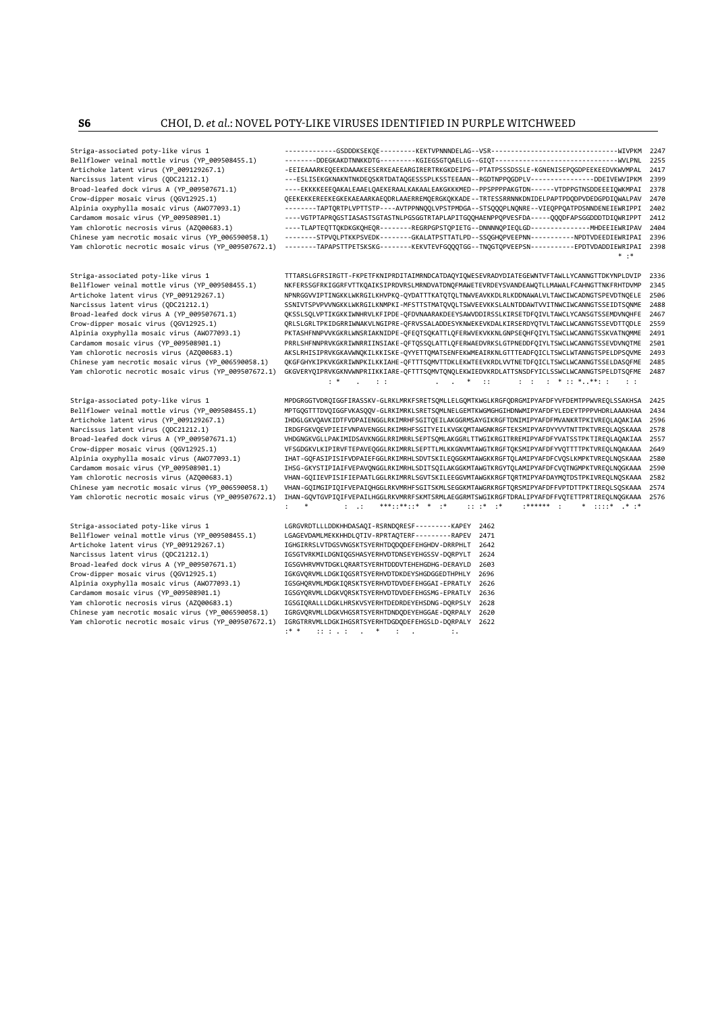Striga-associated poty-like virus 1 LGRGVRDTLLLDDKHHDASAQI-RSRNDQRESF---------KAPEY 2462 Alpinia oxyphylla mosaic virus (AWO77093.1)<br>Cardamom mosaic virus (YP\_009508901.1)

Striga-associated poty-like virus 1 -------------GSDDDKSEKQE---------KEKTVPNNNDELAG--VSR--------------------------------WIVPKM 2247 Bellflower veinal mottle virus (YP\_009508455.1) --------DDEGKAKDTNNKKDTG---------KGIEGSGTQAELLG--GIQT-------------------------------WVLPNL 2255 Artichoke latent virus (YP\_009129267.1) -EEIEAAARKEQEEKDAAAKEESERKEAEEARGIRERTRKGKDEIPG--PTATPSSSDSSLE-KGNENISEPQGDPEEKEEDVKWVMPAL 2417 Narcissus latent virus (QDC21212.1) // ...-ESLISEKGKNAKNTNKDEQSKRTDATAQGESSSPLKSSTEEAAN--RGDTNPPQGDPLV---------------DDEIVEWVIPKM 2399<br>Broad-leafed dock virus A (YP\_009507671.1) // ...-EKKKKEEEQAKALEAAELQAEKERAALKAKAALEAKG Broad-leafed dock virus A (YP\_009507671.1) ----EKKKKEEEQAKALEAAELQAEKERAALKAKAALEAKGKKKMED--PPSPPPPAKGTDN------VTDPPGTNSDDEEEIQWKMPAI<br>QEEKEKKEREEKEGKEAAERAKAEQDRLAAREREMQERGKQKKADE--TRTESSRRNNKDNIDELPAPTPDQDPVDEDGPDIQWALPA Crow-dipper mosaic virus (QGV12925.1) QEEKEKKEREEKEGKEKAEAARKAEQDRLAAERREMQERGKQKKADE--TRTESSRRNNKDNIDELPAPTPDQDPVDEDGPDIQWALPAV 2470 Alpinia oxyphylla mosaic virus (AWO77093.1) --------TAPTQRTPLVPTTSTP----AVTPPNNQQLVPSTPMDGA--STSQQQPLNQNRE--VIEQPPQATPDSNNDENEIEWRIPPI 2402 ----VGTPTAPRQGSTIASASTSGTASTNLPGSGGTRTAPLAPITGQQHAENPPQPVESFDA-----QQQDFAPSGGDDDTDIQWRIPPT 2412 Yam chlorotic necrosis virus (AZQ00683.1) ----TLAPTEQTTQKDKGKQHEQR--------REGRPGPSTQPIETG--DNNNNQPIEQLGD---------------MHDEEIEWRIPAV 2404 Chinese yam necrotic mosaic virus (YP\_006590058.1) --------STPVQLPTKKPSVEDK--------GKALATPSTTATLPD--SSQGHQPVEEPNN-----------PPDTVDEEDIEWRIPAI 2396<br>Yam chlorotic necrotic mosaic virus (YP 009507672.1) -------TAPAPSTTPETSKSK Yam chlorotic necrotic mosaic virus (YP\_009507672.1) --------TAPAPSTTPETSKSKG--------KEKVTEVFGQQQTGG--TNQGTQPVEEPSN-----------EPDTVDADDIEWRIPAI 2398  $*$  :

Striga-associated poty-like virus 1 TTTARSLGFRSIRGTT-FKPETFKNIPRDITAIMRNDCATDAQYIQWESEVRADYDIATEGEWNTVFTAWLLYCANNGTTDKYNPLDVIP 2336<br>Bellflower veinal mottle virus (YP 009508455.1) MKFERSSGFRKIGGRFVTTKOAIKSIPRDVRSLMRNDVATDN Bellflower veinal mottle virus (YP\_009508455.1) NKFERSSGFRKIGGRFVTTKQAIKSIPRDVRSLMRNDVATDNQFMAWETEVRDEYSVANDEAWQTLLMAWALFCAHNGTTNKFRHTDVMP 2345<br>Artichoke latent virus (YP 009129267.1) NPNRGGVVIPTINGKKLWKRGILKHVPKO-OYDATTTK NPNRGGVVIPTINGKKLWKRGILKHVPKO-OYDATTTKATOTQLTNWVEAVKKDLRLKDDNAWALVLTAWCIWCADNGTSPEVDTNOELE Narcissus latent virus (QDC21212.1) SSNIVTSPVPVVNGKKLWKRGILKNMPKI-MFSTTSTMATQVQLTSWVEEVKKSLALNTDDAWTVVITNWCIWCANNGTSSEIDTSQNME 2488<br>Broad-leafed dock virus A (YP 009507671.1) OKSSLSOLVPTIKGKKIWNHRVLKFIPDE-OFDVNAARAKDEEYSAW Broad-leafed dock virus A (YP\_009507671.1) (WSSLSQLVPTIKGKKIWNHRVLKFIPDE-QFDVNAARAKDEEYSAWVDDIRSSLKIRSETDFQIVLTAWCLYCANSGTSSEMDVNQHFE 2467<br>Crow-dipper mosaic virus (QGV12925.1) (RLSLGRLTPKIDGRRIWNAKVLNGIPRE-QFRVSSALADDESYK Crow-dipper mosaic virus (QGV12925.1) QRLSLGRLTPKIDGRRIWNAKVLNGIPRE-QFRVSSALADDESYKNWEKEVKDALKIRSERDYQTVLTAWCLWCANNGTSSEVDTTQDLE 2559 PKTASHFNNPVVKGKRLWNSRIAKNIDPE-QFEQTSQKATTLQFERWVEKVKKNLGNPSEQHFQIYLTSWCLWCANNGTSSKVATNQMME Cardamom mosaic virus (YP\_009508901.1) PRRLSHFNNPRVKGKRIWNRRIINSIAKE-QFTQSSQLATTLQFERWAEDVRKSLGTPNEDDFQIYLTSWCLWCANNGTSSEVDVNQTME 2501 AKSI RHISIPRVKGKAVWNOKTI KKISKE-QYYETTOMATSENEEKWMEAIRKNI GTITEADEOTCI TSWCI WTANNGTSPEI DPSQVME 2493. Chinese yam necrotic mosaic virus (YP\_006590058.1) QKGFGHYKIPKVKGKRIWNPKILKKIAHE-QFTTTSQMVTTDKLEKWTEEVKRDLVVTNETDFQICLTSWCLWCANNGTSSELDASQFME 2485 Yam chlorotic necrotic mosaic virus (YP\_009507672.1) GKGVERYQIPRVKGKNVWNPRIIKKIARE-QFTTTSQMVTQNQLEKWIEDVKRDLATTSNSDFYICLSSWCLWCANNGTSPELDTSQFME 2487 : \* . : : . . \* :: : : : \* :: \*..\*\*: : : :

Striga-associated poty-like virus 1 MPDGRGGTVDRQIGGFIRASSKV-GLRKLMRKFSRETSQMLLELGQMTKWGLKRGFQDRGMIPYAFDFYVFDEMTPPWVREQLSSAKHSA 2425 Bellflower veinal mottle virus (YP\_009508455.1) MPTGQGTTTDVQIGGFVKASQQV-GLRKIMRKLSRETSQMLNELGEMTKWGMGHGIHDNWMIPYAFDFYLEDEYTPPPVHDRLAAAKHAA 2434 Artichoke latent virus (YP\_009129267.1) IHDGLGKVQAVKIDTFVDPAIENGGLRKIMRHFSGITQEILAKGGRMSAYGIKRGFTDNIMIPYAFDFMVANKRTPKIVREQLAQAKIAA 2596 Narcissus latent virus (QDC21212.1) IRDGFGKVQEVPIEIFVNPAVENGGLRKIMRHFSGITYEILKVGKQMTAWGNKRGFTEKSMIPYAFDFYVATNTTPKTVREQLAQSKAAA 2578<br>Broad-leafed dock virus A (YP\_009507671.1) VHDGNGKVGLLPAKIMIDSAVKNGGLRRIMR Broad-leafed dock virus A (YP\_009507671.1) VHDGNGKVGLLPAKIMIDSAVKNGGLRRIMRRLSEPTSQMLAKGGRLTTWGIKRGITRREMIPYAFDFYVATSSTPKTIREQLAQAKIAA 2557 Crow-dipper mosaic virus (QGV12925.1) VFSGDGKVLKIPIRVFTEPAVEQGGLRKIMRRLSEPTTLMLKKGNVMTAWGTKRGFTQKSMIPYAFDFYVQTTTTPKTVREQLNQAKAAA 2649 Alpinia oxyphylla mosaic virus (AWO77093.1) IHAT-GQFASIPISIFVDPAIEFGGLRKIMRHLSDVTSKILEQGGKMTAWGKKRGFTQLAMIPYAFDFCVQSLKMPKTVREQLNQSKAAA 2580 Cardamom mosaic virus (YP\_009508901.1) IHSG-GKYSTIPIAIFVEPAVQNGGLRKIMRHLSDITSQILAKGGKMTAWGTKRGYTQLAMIPYAFDFCVQTNGMPKTVREQLNQGKAAA 2590 VHAN-GOIIEVPISIFIEPAATLGGLRKIMRRLSGVTSKILEEGGVMTAWGKKRGFTORTMIPYAFDAYMOTDSTPKIVREOLNOSKAAA Chinese yam necrotic mosaic virus (YP\_006590058.1) VHAN-GQIMGIPIQIFVEPAIQHGGLRKVMRHFSGITSKMLSEGGKMTAWGRKRGFTQRSMIPYAFDFFVPTDTTPKTIREQLSQSKAAA 2574<br>Yam chlorotic necrotic mosaic virus (YP 009507672.1) IHAN-GOVTGVPIOIFVEPAIL THAN-GQVTGVPIQIFVEPAILHGGLRKVMRRFSKMTSRMLAEGGRMTSWGIKRGFTDRALIPYAFDFFVQTETTPRTIREQLNQGKAAA 2576<br>: \* \* : : : \* \*\*::\*\*::\* \* : : : \* : : \* \* : : \* \* : : : \* \* : : : \* : : : \* : : : \* : : : \* : : : \* : : : \* : : \* : .: \*\*\*::\*\*::\* \* :\* :: :\* :\* :\*\*\*\*\*\* : \* ::::\* .\* :\*

LGAGEVDAMLMEKKHHDLOTIV-RPRTAOTERF--------RAPEV 2471 Artichoke latent virus (YP 009129267.1) IGHGIRRSLVTDGSVNGSKTSYERHTDQDQDEFEHGHDV-DRRPHLT 2642 Narcissus latent virus (QDC21212.1) IGSGTVRKMILDGNIQGSHASYERHVDTDNSEYEHGSSV-DQRPYLT 2624<br>Broad-leafed dock virus A (YP 009507671.1) IGSGVHRVMVTDGKLORARTSYERHTDDDVTEHEHGDHG-DERAYLD 2603 Broad-leafed dock virus A (YP\_009507671.1) IGSGVHRVMVTDGKLQRARTSYERHTDDDVTEHEHGDHG-DERAYLD 2603<br>Crow-dipper mosaic virus (QGV12925.1) IGKGVQRVMLLDGKIQGSRTSYERHVDTDKDEYSHGDGGEDTHPHLY 2696 TGKGVQRVMLLDGKIQGSRTSYERHVDTDKDEYSHGDGGEDTHPHLY 2696<br>IGSGHORVMLMDGKIQRSKTSYERHVDTDVDEFEHGGAI-EPRATLY 2626 IGSGYQRVMLLDGKVQRSKTSYERHVDTDVDEFEHGSMG-EPRATLY 2636 Yam chlorotic necrosis virus (AZQ00683.1) IGSGIQRALLLDGKLHRSKVSYERHTDEDRDEYEHSDNG-DQRPSLY 2628 Chinese yam necrotic mosaic virus (YP\_006590058.1) IGRGVQRVMLLDGKVHGSRTSYERHTDNDQDEYEHGGAE-DQRPALY 2620<br>Yam chlorotic necrotic mosaic virus (YP 009507672.1) IGRGTRRVMLLDGKIHGSRTSYERHTDGDODEFEHGSLD-DORPALY 2622 Yam chlorotic necrotic mosaic virus (YP\_009507672.1) IGRGTRRVMLLDGKIHGSRTSYERHTDGDQDEFEHGSLD-DQRPALY 2622 ::: : : :  $*$  :  $:$  .  $:$  :.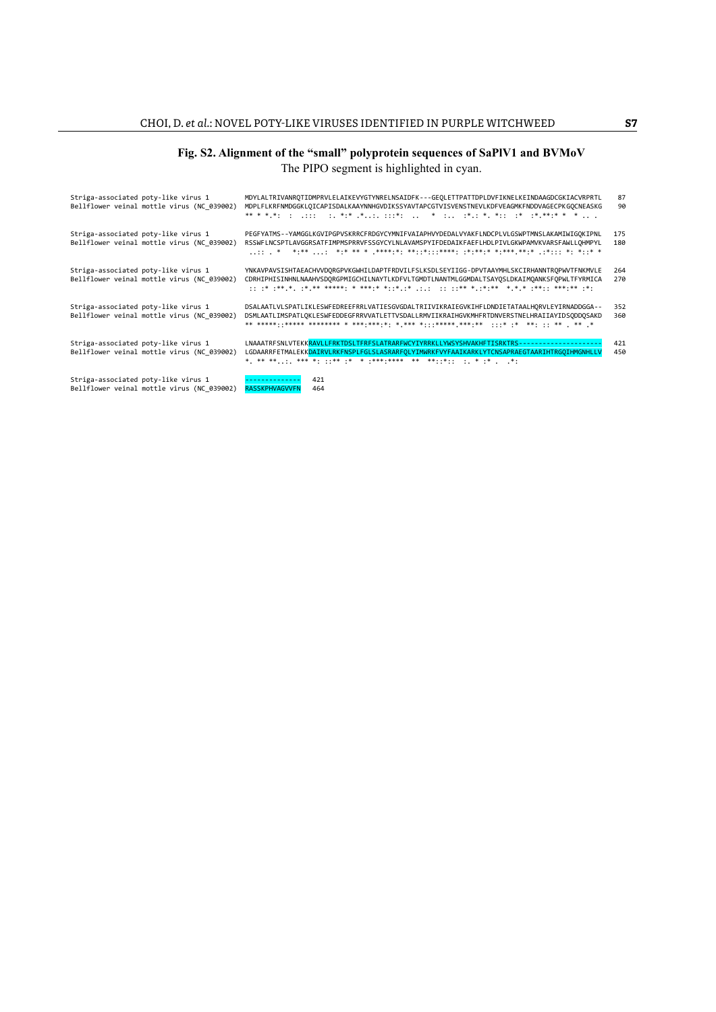# **Fig. S2. Alignment of the "small" polyprotein sequences of SaPlV1 and BVMoV**

The PIPO segment is highlighted in cyan.

| Striga-associated poty-like virus 1<br>Bellflower veinal mottle virus (NC 039002) | MDYLALTRIVANROTIDMPRVLELAIKEVYGTYNRELNSAIDFK---GEOLETTPATTDPLDVFIKNELKEINDAAGDCGKIACVRPRTL<br>MDPLFLKRFNMDGGKLQICAPISDALKAAYNNHGVDIKSSYAVTAPCGTVISVENSTNEVLKDFVEAGMKFNDDVAGECPKGOCNEASKG<br>** * * *: : .::: :. *:* .*: :::*:  * : .*. *. *.: :* .**** * *  .  | 87<br>90   |
|-----------------------------------------------------------------------------------|----------------------------------------------------------------------------------------------------------------------------------------------------------------------------------------------------------------------------------------------------------------|------------|
| Striga-associated poty-like virus 1<br>Bellflower veinal mottle virus (NC 039002) | PEGFYATMS--YAMGGLKGVIPGPVSKRRCFRDGYCYMNIFVAIAPHVYDEDALVYAKFLNDCPLVLGSWPTMNSLAKAMIWIGOKIPNL<br>RSSWFLNCSPTLAVGGRSATFIMPMSPRRVFSSGYCYLNLAVAMSPYIFDEDAIKFAEFLHDLPIVLGKWPAMVKVARSFAWLLOHMPYL                                                                       | 175<br>180 |
| Striga-associated poty-like virus 1<br>Bellflower veinal mottle virus (NC 039002) | YNKAVPAVSISHTAEACHVVDORGPVKGWHILDAPTFRDVILFSLKSDLSEYIIGG-DPVTAAYMHLSKCIRHANNTROPWVTFNKMVLE<br>CDRHIPHISINHNLNAAHVSDQRGPMIGCHILNAYTLKDFVLTGMDTLNANTMLGGMDALTSAYQSLDKAIMQANKSFQPWLTFYRMICA<br>* .** * .** ** ***** * *** * **   ** *.*.* *.* *.** .**. ***.** .* | 264<br>270 |
| Striga-associated poty-like virus 1<br>Bellflower veinal mottle virus (NC 039002) | DSALAATLVLSPATLIKLESWFEDREEFRRLVATIESGVGDALTRIIVIKRAIEGVKIHFLDNDIETATAALHORVLEYIRNADDGGA--<br>DSMLAATLIMSPATLOKLESWFEDDEGFRRVVATLETTVSDALLRMVIIKRAIHGVKMHFRTDNVERSTNELHRAIIAYIDSODDOSAKD                                                                       | 352<br>360 |
| Striga-associated poty-like virus 1<br>Bellflower veinal mottle virus (NC 039002) | LNAAATRFSNLVTEKKRAVLLFRKTDSLTFRFSLATRARFWCYIYRRKLLYWSYSHVAKHFTISRKTRS-<br>LGDAARRFETMALEKKDAIRVLRKFNSPLFGLSLASRARFOLYIMWRKFVYFAAIKARKLYTCNSAPRAEGTAARIHTRGOIHMGNHLLV                                                                                           | 421<br>450 |
| Striga-associated poty-like virus 1<br>Bellflower veinal mottle virus (NC 039002) | 421<br><b>RASSKPHVAGVVFM</b><br>464                                                                                                                                                                                                                            |            |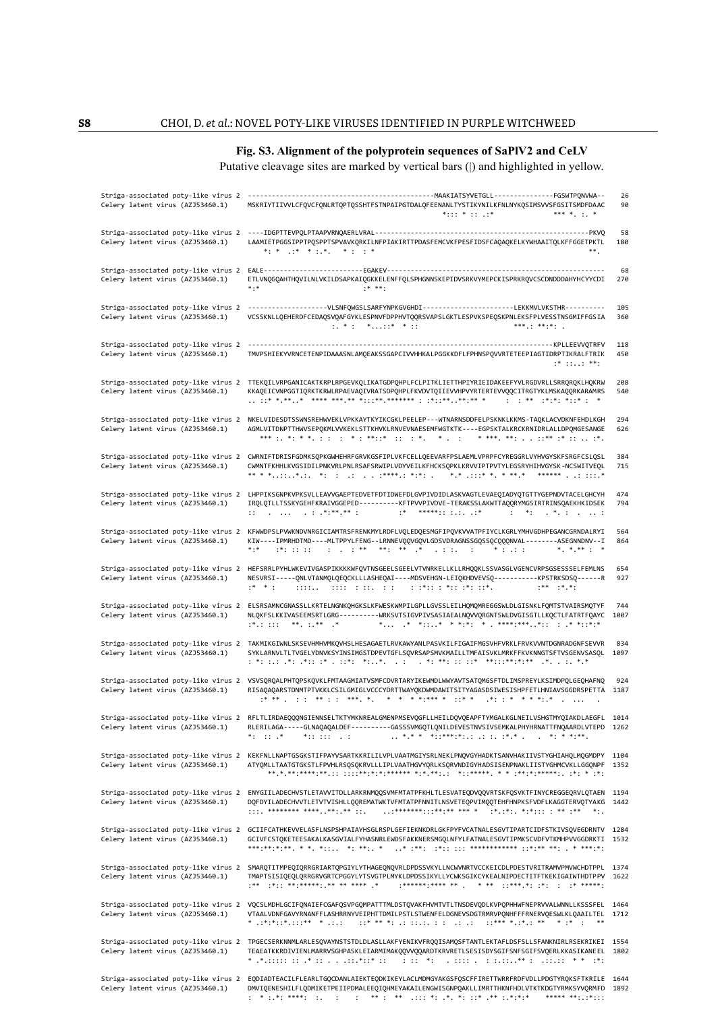## **Fig. S3. Alignment of the polyprotein sequences of SaPlV2 and CeLV**

Putative cleavage sites are marked by vertical bars (|) and highlighted in yellow.

| Celery latent virus (AZJ53460.1)                                        | MSKRIYTIIVVLCFQVCFQNLRTQPTQSSHTFSTNPAIPGTDALQFEENANLTYSTIKYNILKFNLNYKQSIMSVVSFGSITSMDFDAAC<br>$*$ : : : * : : . : *<br>*** * *                                                                                                                                                                                                                                                                                                                                                                                                                                                                                                                              | 26<br>90     |
|-------------------------------------------------------------------------|-------------------------------------------------------------------------------------------------------------------------------------------------------------------------------------------------------------------------------------------------------------------------------------------------------------------------------------------------------------------------------------------------------------------------------------------------------------------------------------------------------------------------------------------------------------------------------------------------------------------------------------------------------------|--------------|
| Striga-associated poty-like virus 2<br>Celery latent virus (AZJ53460.1) | LAAMIETPGGSIPPTPQSPPTSPVAVKQRKILNFPIAKIRTTPDASFEMCVKFPESFIDSFCAQAQKELKYWHAAITQLKFFGGETPKTL<br>$\ast \cdot \hspace{0.1cm} \ast \hspace{0.1cm} \cdot \hspace{0.1cm} \ast \hspace{0.1cm} \cdot \hspace{0.1cm} \ast \hspace{0.1cm} \cdot \hspace{0.1cm} \ast \hspace{0.1cm} \cdot \hspace{0.1cm} \cdot \hspace{0.1cm} \cdot \hspace{0.1cm} \ast$<br>$**.$                                                                                                                                                                                                                                                                                                       | 58<br>180    |
| Celery latent virus (AZJ53460.1)                                        | ETLVNQGQAHTHQVILNLVKILDSAPKAIQGKKELENFFQLSPHGNNSKEPIDVSRKVYMEPCKISPRKRQVCSCDNDDDAHYHCYYCDI<br>$***$<br>$$ * * * $$                                                                                                                                                                                                                                                                                                                                                                                                                                                                                                                                          | 68<br>270    |
| Striga-associated poty-like virus 2<br>Celery latent virus (AZJ53460.1) | ------------------VLSNFQWGSLSARFYNPKGVGHDI--------------------LEKKMVLVKSTHR----------<br>VCSSKNLLQEHERDFCEDAQSVQAFGYKLESPNVFDPPHVTQQRSVAPSLGKTLESPVKSPEQSKPNLEKSFPLVESSTNSGMIFFGSIA<br>$: * : * \dots * \dots * * :$<br>$***$ $***$ $***$ $*$                                                                                                                                                                                                                                                                                                                                                                                                               | 105<br>360   |
| Striga-associated poty-like virus 2<br>Celery latent virus (AZJ53460.1) | TMVPSHIEKYVRNCETENPIDAAASNLAMQEAKSSGAPCIVVHHKALPGGKKDFLFPHNSPQVVRTETEEPIAGTIDRPTIKRALFTRIK<br>$: * : :  : * * :$                                                                                                                                                                                                                                                                                                                                                                                                                                                                                                                                            | 118<br>450   |
| Celery latent virus (AZJ53460.1)                                        | Striga-associated poty-like virus 2 TTEKQILVRPGANICAKTKRPLRPGEVKQLIKATGDPQHPLFCLPITKLIETTHPIYRIEIDAKEEFYVLRGDVRLLSRRQRQKLHQKRW<br>KKAQEICVNPGGTIQRKTKRWLRPAEVAQIVRATSDPQHPLFKVDVTQIIEVVHPVYRTERTEVVQQCITRGTYKLMSKAQQRKARAMRS                                                                                                                                                                                                                                                                                                                                                                                                                                | 208<br>540   |
| Celery latent virus (AZJ53460.1)                                        | Striga-associated poty-like virus 2 NKELVIDESDTSSWNSREHWVEKLVPKKAYTKYIKCGKLPEELEP---WTNARNSDDFELPSKNKLKKMS-TAQKLACVDKNFEHDLKGH<br>AGMLVITDNPTTHWVSEPQKMLVVKEKLSTTKHVKLRNVEVNAESEMFWGTKTK ---- EGPSKTALKRCKRNIDRLALLDPQMGESANGE                                                                                                                                                                                                                                                                                                                                                                                                                              | 294<br>626   |
| Celery latent virus (AZJ53460.1)                                        | Striga-associated poty-like virus 2 CWRNIFTDRISFGDMKSQPKGWHEHRFGRVKGSFIPLVKFCELLQEEVARFPSLAEMLVPRPFCYREGGRLVYHVGYSKFSRGFCSLQSL<br>CWMNTFKHHLKVGSIDILPNKVRLPNLRSAFSRWIPLVDYVEILKFHCKSQPKLKRVVIPTPVTYLEGSRYHIHVGYSK-NCSWITVEQL                                                                                                                                                                                                                                                                                                                                                                                                                                | 384<br>715   |
| Celery latent virus (AZJ53460.1)                                        | Striga-associated poty-like virus 2 LHPPIKSGNPKVPKSVLLEAVVGAEPTEDVETFDTIDWEFDLGVPIVDIDLASKVAGTLEVAEQIADYQTGTTYGEPNDVTACELGHCYH<br>IROLOTLLTSSKYGEHFKRAIVGGEPED---------KFTPVVPIVDVE-TERAKSSLAKWTTAOORYMGSIRTRINSOAEKHKIDSEK<br>$\mathbf{1} \mathbf{1}$ . $\mathbf{1} \mathbf{1}$ . $\mathbf{1} \mathbf{1}$ . $\mathbf{1} \mathbf{1}$ . $\mathbf{1} \mathbf{1}$ . $\mathbf{1} \mathbf{1}$ . $\mathbf{1} \mathbf{1}$ . $\mathbf{1} \mathbf{1}$ . $\mathbf{1} \mathbf{1}$ . $\mathbf{1} \mathbf{1}$ . $\mathbf{1} \mathbf{1}$ . $\mathbf{1} \mathbf{1}$ . $\mathbf{1} \mathbf{1}$ .<br>$\cdots$ $\cdots$ $\cdots$ $\cdots$ $\cdots$ $\cdots$ $\cdots$ $\cdots$ | 474<br>794   |
| Celery latent virus (AZJ53460.1)                                        | Striga-associated poty-like virus 2 KFWWDPSLPVWKNDVNRGICIAMTRSFRENKMYLRDFLVQLEDQESMGFIPQVKVVATPFIYCLKGRLYMHVGDHPEGANCGRNDALRYI<br>KIW----IPMRHDTMD----MLTPPYLFENG--LRNNEVQQVGQVLGDSVDRAGNSSGQSSQCQQQNVAL--------ASEGNNDNV--I<br>$***$<br>* * ** * *                                                                                                                                                                                                                                                                                                                                                                                                         | 564<br>864   |
| Celery latent virus (AZJ53460.1)                                        | Striga-associated poty-like virus 2 HEFSRRLPYHLWKEVIVGASPIKKKKWFQVTNSGEELSGEELVTVNRKELLKLLRHQQKLSSVASGLVGENCVRPSGSESSSELFEMLNS<br>NESVRSI-----QNLVTANMQLQEQCKLLLASHEQAI----MDSVEHGN-LEIQKHDVEVSQ----------KPSTRKSDSQ------R<br>cools. The cool of the cool of the control of the set of the set of the set of the set of the set of the set of<br>$$ $*$<br>$***$ $**$                                                                                                                                                                                                                                                                                      | 654<br>927   |
| Celery latent virus (AZJ53460.1)                                        | Striga-associated poty-like virus 2 ELSRSAMNCGNASSLLKRTELNGNKQHGKSLKFWESKWMPILGPLLGVSSLEILHQMQMREGGSWLDLGISNKLFQMTSTVAIRSMQTYF<br>NLQKFSLKKIVASEEMSRTLGRG----------WRKSVTSIGVPIVSASIAEALNQVVQRGNTSWLDVGISGTLLKQCTLFATRTFQAYC<br>* * * * * * . * . * . * * * * * . * * * * * * *<br>$: *$ .: $: : : : * *$ .: ** . *                                                                                                                                                                                                                                                                                                                                         | 744<br>1007  |
| Celery latent virus (AZJ53460.1)                                        | Striga-associated poty-like virus 2 TAKMIKGIWNLSKSEVHMHVMKQVHSLHESAGAETLRVKAWYANLPASVKILFIGAIFMGSVHFVRKLFRVKVVNTDGNRADGNFSEVVR<br>SYKLARNVLTLTVGELYDNVKSYINSIMGSTDPEVTGFLSQVRSAPSMVKMAILLTMFAISVKLMRKFFKVKNNGTSFTVSGENVSASQL                                                                                                                                                                                                                                                                                                                                                                                                                                | 834<br>1097  |
| Celery latent virus (AZJ53460.1)                                        | Striga-associated poty-like virus 2 VSVSQRQALPHTQPSKQVKLFMTAAGMIATVSMFCDVRTARYIKEWMDLWWYAVTSATQMGSFTDLIMSPREYLKSIMDPQLGEQHAFNQ<br>RISAQAQARSTDNMTPTVKKLCSILGMIGLVCCCYDRTTWAYQKDWMDAWITSITYAGASDSIWESISHPFETLHNIAVSGGDRSPETTA                                                                                                                                                                                                                                                                                                                                                                                                                                | 924<br>1187  |
| Celery latent virus (AZJ53460.1)                                        | Striga-associated poty-like virus 2 RFLTLIRDAEQQQNGIENNSELTKTYMKNREALGMENPMSEVQGFLLHEILDQVQEAPFTYMGALKGLNEILVSHGTMYQIAKDLAEGFL<br>RLERILAGA-----GLNAQAQALDEF---------GASSSVMGQTLQNILDEVESTNVSIVSEMKALPHYHRNATTFNQAARDLVTEPD<br>$*$ : $*$<br>$*$ :: ::: $\therefore$ :                                                                                                                                                                                                                                                                                                                                                                                       | 1014<br>1262 |
| Celery latent virus (AZJ53460.1)                                        | Striga-associated poty-like virus 2 KEKFNLLNAPTGSGKSTIFPAYVSARTKKRILILVPLVAATMGIYSRLNEKLPNQVGYHADKTSANVHAKIIVSTYGHIAHQLMQGMDPY 1104<br>ATYQMLLTAATGTGKSTLFPVHLRSQSQKRVLLLIPLVAATHGVYQRLKSQRVNDIGYHADSISENPNAKLIISTYGHMCVKLLGGQNPF 1352                                                                                                                                                                                                                                                                                                                                                                                                                      |              |
| Celery latent virus (AZJ53460.1)                                        | Striga-associated poty-like virus 2 ENYGIILADECHVSTLETAVVITDLLARKRNMQQSVMFMTATPFKHLTLESVATEQDVQQVRTSKFQSVKTFINYCREGGEQRVLQTAEN 1194<br>DQFDYILADECHVVTLETVTVISHLLQQREMATWKTVFMTATPFNNITLNSVETEQPVIMQQTEHFHNPKSFVDFLKAGGTERVQTYAKG 1442<br>******** **** *** **                                                                                                                                                                                                                                                                                                                                                                                              |              |
| Celery latent virus (AZJ53460.1)                                        | Striga-associated poty-like virus 2 GCIIFCATHKEVVELASFLNSPSHPAIAYHSGLRSPLGEFIEKNKDRLGKFPYFVCATNALESGVTIPARTCIDFSTKIVSQVEGDRNTV 1284<br>GCIVFCSTOKETEESAKALKASGVIALFYHASNRLEWDSFAKKNERSMGOLNFYLFATNALESGVTIPMKSCVDFVTKMHPVVGGDRKTI 1532                                                                                                                                                                                                                                                                                                                                                                                                                      |              |
| Celery latent virus (AZJ53460.1)                                        | Striga-associated poty-like virus 2 SMARQTITMPEQIQRRGRIARTQPGIYLYTHAGEQNQVRLDPDSSVKYLLNCWVNRTVCCKEICDLPDESTVRITRAMVPMVWCHDTPPL 1374<br>TMAPTSISIOEOLORRGRVGRTCPGGYLYTSVGTPLMYKLDPDSSIKYLLYCWKSGIKCYKEALNIPDECTITFTKEKIGAIWTHDTPPV 1622<br>*** *** ******** ** ** **** *                                                                                                                                                                                                                                                                                                                                                                                     |              |
| Celery latent virus (AZJ53460.1)                                        | Striga-associated poty-like virus 2 VQCSLMDHLGCIFQNAIEFCGAFQSVPGQMPATTTMLDSTQVAKFHVMTVTLTNSDEVQDLKVPQPHHWFNEPRVVALWNNLLKSSSFEL 1464<br>VTAALVDNFGAVYRNANFFLASHRRNYVEIPHTTDMILPSTLSTWENFELDGNEVSDGTRMRVPONHFFFRNERVQESWLKLOAAILTEL 1712<br>$\cdot \cdot \cdot$ * ** *: .: ::.:. : :: .: .: $\cdot \cdot \cdot$ :*** ** ** * .* . **<br>* $:$ *:*: *: * * * * .: .:                                                                                                                                                                                                                                                                                           |              |
| Celery latent virus (AZJ53460.1)                                        | Striga-associated poty-like virus 2 TPGECSERKNNMLARLESQVAYNSTSTDLDLASLLAKFYENIKVFRQQISAMQSFTANTLEKTAFLDSFSLLSFANKNIRLRSEKRIKEI 1554<br>TEAEATKKRDIVIENLMARRVSGHPASKLEIARMIMAKQQVVQQARDTKRVRETLSESISDYSGIFSNFSGIFSVQERLKKASIKANEEL 1802<br>* .*.::::: :: .* ::::.*::* ::<br>(1) 11 (*1) (1) 1111 (1) 1111111 <sup>**</sup> (1) 111111 (* * (1*1                                                                                                                                                                                                                                                                                                              |              |
| Celery latent virus (AZJ53460.1)                                        | Striga-associated poty-like virus 2 EQDIADTEACILFLEARLTGQCDANLAIEKTEQDKIKEYLACLMDMGYAKGSFQSCFFIRETTWRRFRDFVDLLPDGTYRQKSFTKRILE 1644<br>DMVIQENESHILFLQDMIKETPEIIPDMALEEQIQHMEYAKAILENGWISGNPQAKLLIMRTTHKNFHDLVTKTKDGTYRMKSYVQRMFD 1892<br>$\mathbf{r}^2 = \mathbf{r}^2 + \mathbf{r}^2 + \mathbf{r}^2 + \mathbf{r}^3 + \mathbf{r}^4 + \mathbf{r}^3 + \mathbf{r}^4 + \mathbf{r}^3 + \mathbf{r}^4 + \mathbf{r}^3 + \mathbf{r}^4 + \mathbf{r}^2 + \mathbf{r}^3 + \mathbf{r}^4 + \mathbf{r}^5 + \mathbf{r}^6 + \mathbf{r}^7 + \mathbf{r}^8 + \mathbf{r}^4 + \mathbf{r}^6 + \mathbf{r}^7 + \mathbf{r}^8 + \mathbf{r}^8 + \mathbf{$<br>***** *** *****             |              |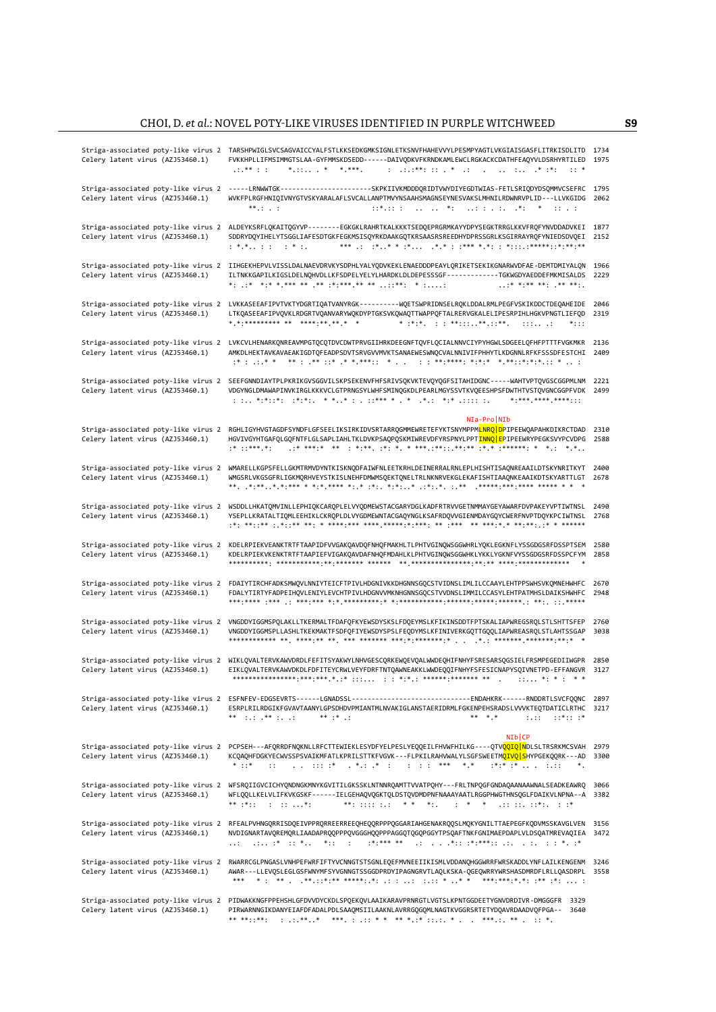| Celery latent virus (AZJ53460.1)                                        | Striga-associated poty-like virus 2 TARSHPWIGLSVCSAGVAICCYALFSTLKKSEDKGMKSIGNLETKSNVFHAHEVVYLPESMPYAGTLVKGIAISGASFLITRKISDLITD 1734<br>FVKKHPLLIFMSIMMGTSLAA-GYFMMSKDSEDD------DAIVODKVFKRNDKAMLEWCLRGKACKCDATHFEAOYVLDSRHYRTILED<br>$\cdots$ **<br>$*$ * * ***.<br>: .:.:**: :: . * .: _. : .* :*:<br>$\cdot$ : *                                                                                                                                                                                                                                                                                            | 1975         |
|-------------------------------------------------------------------------|---------------------------------------------------------------------------------------------------------------------------------------------------------------------------------------------------------------------------------------------------------------------------------------------------------------------------------------------------------------------------------------------------------------------------------------------------------------------------------------------------------------------------------------------------------------------------------------------------------------|--------------|
| Striga-associated poty-like virus 2<br>Celery latent virus (AZJ53460.1) | -----LRNWWTGK--------------------SKPKIIVKMDDDQRIDTVWYDIYEGDTWIAS-FETLSRIQDYDSQMMVCSEFRC 1795<br>WVKFPLRGFHNIQIVNYGTVSKYARALAFLSVCALLANPTMVYNSAAHSMAGNSEYNESVAKSLMHNILRDWNRVPLID---LLVKGIDG 2062<br>$***.$<br>$\mathbf{1}:\mathbf{1}^*,\mathbf{1}:\mathbf{1}^*,\mathbf{1}^*,\ldots,\mathbf{1}^*,\mathbf{1}^*,\mathbf{1}^*,\mathbf{1}^*,\mathbf{1}^*,\mathbf{1}^*,\mathbf{1}^*,\mathbf{1}^*,\mathbf{1}^*,\mathbf{1}^*,\mathbf{1}^*,\mathbf{1}^*,\mathbf{1}^*,\mathbf{1}^*,\mathbf{1}^*,\mathbf{1}^*,\mathbf{1}^*,\mathbf{1}^*,\mathbf{1}^*,\mathbf{1}^*,\mathbf{1}^*,\mathbf{1}^*,\mathbf{1$<br><b>Contract</b> |              |
| Celery latent virus (AZJ53460.1)                                        | Striga-associated poty-like virus 2 ALDEYKSRFLQKAITQGYVP-------EGKGKLRAHRTKALKKKTSEDQEPRGRMKAYYDPYSEGKTRRGLKKVFRQFYNVDDADVKEI 1877<br>SDDRYDQYIHELYTSGGLIAFESDTGKFEGKMSISQYRKDAAKGQTKRSAASRSREEDHYDPRSSGRLKSGIRRAYRQFYNIEDSDVQEI<br>$: *.* : :  : * :$                                                                                                                                                                                                                                                                                                                                                        | 2152         |
| Celery latent virus (AZJ53460.1)                                        | Striga-associated poty-like virus 2 IIHGEKHEPVLVISSLDALNAEVDRVKYSDPHLYALYQDVKEKLENAEDDDPEAYLQRIKETSEKIKGNARWVDFAE-DEMTDMIYALQN<br>ILTNKKGAPILKIGSLDELNOHVDLLKFSDPELYELYLHARDKLDLDEPESSSGF-----------TGKWGDYAEDDEFMKMISALDS<br>** ** *** **** ** ** ***** ** ** *** *<br>$$ * * ** ** * ** ** .                                                                                                                                                                                                                                                                                                                | 1966<br>2229 |
| Striga-associated poty-like virus 2<br>Celery latent virus (AZJ53460.1) | LVKKASEEAFIPVTVKTYDGRTIQATVANYRGK---------WQETSWPRIDNSELRQKLDDALRMLPEGFVSKIKDDCTDEQAHEIDE<br>LTKQASEEAFIPVQVKLRDGRTVQANVARYWQKDYPTGKSVKQWAQTTWAPPQFTALRERVGKALELIPESRPIHLHGKVPNGTLIEFQD<br>* * ********** ** **** ** ** * *<br>$*$ : : :                                                                                                                                                                                                                                                                                                                                                                      | 2046<br>2319 |
| Celery latent virus (AZJ53460.1)                                        | Striga-associated poty-like virus 2 LVKCVLHENARKQNREAVMPGTQCQTDVCDWTPRVGIIHRKDEEGNFTQVFLQCIALNNVCIYPYHGWLSDGEELQFHFPTTTFVGKMKR<br>AMKDLHEKTAVKAVAEAKIGDTQFEADPSDVTSRVGVVMVKTSANAEWESWNQCVALNNIVIFPHHYTLKDGNNLRFKFSSSDFESTCHI                                                                                                                                                                                                                                                                                                                                                                                  | 2136<br>2409 |
| Striga-associated poty-like virus 2<br>Celery latent virus (AZJ53460.1) | SEEFGNNDIAYTPLPKRIKGVSGGVILSKPSEKENVFHFSRIVSQKVKTEVQYQGFSITAHIDGNC-----WAHTVPTQVGSCGGPMLNM<br>VDGYNGLDMAWAPINVKIRGLKKKVCLGTPRNGSYLWHFSMINQGKDLPEARLMGYSSVTKVQEESHPSFDWTHTVSTQVGNCGGPFVDK<br>* **** **** ****                                                                                                                                                                                                                                                                                                                                                                                                  | 2221<br>2499 |
| Striga-associated poty-like virus 2<br>Celery latent virus (AZJ53460.1) | NIa-Pro NIb<br>RGHLIGYHVGTAGDFSYNDFLGFSEELIKSIRKIDVSRTARRQGMMEWRETEFYKTSNYMPPM <mark>LNRQ D</mark> PIPEEWQAPAHKDIKRCTDAD<br>HGVIVGYHTGAFQLGQFNTFLGLSAPLIAHLTKLDVKPSAQPQSKMIWREVDFYRSPNYLPPT <mark>INNQ E</mark> PIPEEWRYPEGKSVYPCVDPG                                                                                                                                                                                                                                                                                                                                                                         | 2310<br>2588 |
| Striga-associated poty-like virus 2<br>Celery latent virus (AZJ53460.1) | WMARELLKGPSFELLGKMTRMVDYNTKISKNODFAIWFNLEETKRHLDEINERRALRNLEPLHISHTISAONREAAILDTSKYNRITKYT<br>WMGSRLVKGSGFRLIGKMQRHVEYSTKISLNEHFDMWMSQEKTQNELTRLNKNRVEKGLEKAFISHTIAAQNKEAAIKDTSKYARTTLGT                                                                                                                                                                                                                                                                                                                                                                                                                      | 2400<br>2678 |
| Striga-associated poty-like virus 2<br>Celery latent virus (AZJ53460.1) | WSDDLLHKATQMVINLLEPHIQKCARQPLELVYQDMEWSTACGARYDGLKADFRTRVVGETNMMAYGEYAWARFDVPAKEYVPTIWTNSL<br>YSEPLLKRATALTIQMLEEHIKLCKRQPLDLVYGDMEWNTACGAQYNGLKSAFRDQVVGIENMDAYGQYCWERFNVPTDQYKPCIWTNSL                                                                                                                                                                                                                                                                                                                                                                                                                      | 2490<br>2768 |
| Celery latent virus (AZJ53460.1)                                        | Striga-associated poty-like virus 2 KDELRPIEKVEANKTRTFTAAPIDFVVGAKQAVDQFNHQFMAKHLTLPHTVGINQWSGGWHRLYQKLEGKNFLYSSGDGSRFDSSPTSEM<br>KDELRPIEKVKENKTRTFTAAPIEFVIGAKQAVDAFNHQFMDAHLKLPHTVGINQWSGGWHKLYKKLYGKNFVYSSGDGSRFDSSPCFYM<br>$\ast$                                                                                                                                                                                                                                                                                                                                                                        | 2580<br>2858 |
| Striga-associated poty-like virus 2<br>Celery latent virus (AZJ53460.1) | FDAIYTIRCHFADKSMWQVLNNIYTEICFTPIVLHDGNIVKKDHGNNSGQCSTVIDNSLIMLILCCAAYLEHTPPSWHSVKQMNEHWHFC<br>FDALYTIRTYFADPEIHOVLENIYLEVCHTPIVLHDGNVVMKNHGNNSGOCSTVVDNSLIMMILCCASYLEHTPATMHSLDAIKSHWHFC                                                                                                                                                                                                                                                                                                                                                                                                                      | 2670<br>2948 |
| Striga-associated poty-like virus 2<br>Celery latent virus (AZJ53460.1) | VNGDDYIGGMSPOLAKLLTKERMALTFDAFOFKYEWSDYSKSLFDOEYMSLKFIKINSDDTFPTSKALIAPWREGSROLSTLSHTTSFEP<br>VNGDDYIGGMSPLLASHLTKEKMAKTFSDFQFIYEWSDYSPSLFEQDYMSLKFINIVERKGQTTGQQLIAPWREASRQLSTLAHTSSGAP                                                                                                                                                                                                                                                                                                                                                                                                                      | 2760<br>3038 |
| Striga-associated poty-like virus 2<br>Celery latent virus (AZJ53460.1) | WIKLQVALTERVKAWVDRDLFEFITSYAKWYLNHVGESCQRKEWQEVQALWWDEQHIFNHYFSRESARSQGSIELFRSMPEGEDIIWGPR<br>EIKLOVALTERVKAWVDKDLFDFITEYCRWLVEYFDRFTNTOAWNEAKKLWWDEOOIFNHYFSFESICNAPYSOIVNETPD-EFFANGVR                                                                                                                                                                                                                                                                                                                                                                                                                      | 2850<br>3127 |
| Celery latent virus (AZJ53460.1)                                        | Striga-associated poty-like virus 2 ESFNFEV-EDGSEVRTS------LGNADSSL-------------------------------FNDAHKRK------RNDDRTLSVCFQQNC 2897<br>ESRPLRILRDGIKFGVAVTAANYLGPSDHDVPMIANTMLNVAKIGLANSTAERIDRMLFGKENPEHSRADSLVVVKTEQTDATICLRTHC 3217<br>$***$ : :: $***$ : : ::<br>$***$ $*$ $$<br>** * *<br>$1.11 - 1$<br>$:.*:.*$                                                                                                                                                                                                                                                                                        |              |
|                                                                         | $N1$ <sub>CP</sub>                                                                                                                                                                                                                                                                                                                                                                                                                                                                                                                                                                                            |              |
| Celery latent virus (AZJ53460.1)                                        | Striga-associated poty-like virus 2  PCPSEH---AFQRRDFNQKNLLRFCTTEWIEKLESYDFYELPESLYEQQEILFHVWFHILKG----QTV <mark>QQIQ N</mark> DLSLTRSRKMCSVAH<br>KCQAQHFDGKYECWVSSPSVAIKMFATLKPRILSTTKFVGVK---FLPKILRAHVWALYLSGFSWEETM <mark>QIVQ S</mark> HYPGEKQQRK---AD<br>$\cdots$ $*$ $\cdots$ $*$<br>$*$ : $*$<br>*******<br>$\mathbf{1}$<br>$^\ast$ .                                                                                                                                                                                                                                                                 | 2979<br>3300 |
| Celery latent virus (AZJ53460.1)                                        | Striga-associated poty-like virus 2 WFSRQIIGVCICHYQNDNGKMNYKGVITILGKSSKLNTNNRQAMTTVVATPQHY---FRLTNPQGFGNDAQAANAAWNALSEADKEAWRQ<br>WFLQQLLKELVLIFKVKGSKF------IELGEHAQVQGKTQLDSTQVDMDPNFNAAAYAATLRGGPHWGTHNSQGLFDAIKVLNPNA--A 3382<br>$***$ $***$ $}:$ $}:$ $}:$ $}:$ $**$ :<br>**: :::: :.: ** *:. . * * .:: ::: ::*:. . :*                                                                                                                                                                                                                                                                                   | 3066         |
| Celery latent virus (AZJ53460.1)                                        | Striga-associated poty-like virus 2 RFEALPVHNGQRRISDQEIVPPRQRREERREEQHEQQRPPPQGGARIAHGENAKRQQSLMQKYGNILTTAEPEGFKQDVMSSKAVGLVEN 3156<br>NVDIGNARTAVQREMQRLIAADAPRQQPPPQVGGGHQQPPPAGGQTQGQPGGYTPSQAFTNKFGNIMAEPDAPLVLDSQATMREVAQIEA 3472<br>$\ldots$ :<br>$\ldots$ : $*$ : $*$ . $*$ : $*$ : $\ldots$                                                                                                                                                                                                                                                                                                           |              |
| Celery latent virus (AZJ53460.1)                                        | Striga-associated poty-like virus 2 RWARRCGLPNGASLVNHPEFWRFIFTYVCNNGTSTSGNLEQEFMVNEEIIKISMLVDDANQHGGWRRFWRSKADDLYNFLAILKENGENM 3246<br>AWAR---LLEVQSLEGLGSFWNYMFSYVGNNGTSSGGDPRDYIPAGNGRVTLAQLKSKA-QGEQWRRYWRSHASDMRDFLRLLQASDRPL 3558<br>***                                                                                                                                                                                                                                                                                                                                                                 |              |
| Celery latent virus (AZJ53460.1)                                        | Striga-associated poty-like virus 2 PIDWAKKNGFPPEHSHLGFDVVDYCKDLSPQEKQVLAAIKARAVPRNRGTLVGTSLKPNTGGDEETYGNVDRDIVR-DMGGGFR 3329<br>PIRWARNNGIKDANYEIAFDFADALPDLSAAQMSIILAAKNLAVRRGQGQMLNAGTKVGGRSRTETYDQAVRDAADVQFPGA-- 3640                                                                                                                                                                                                                                                                                                                                                                                    |              |